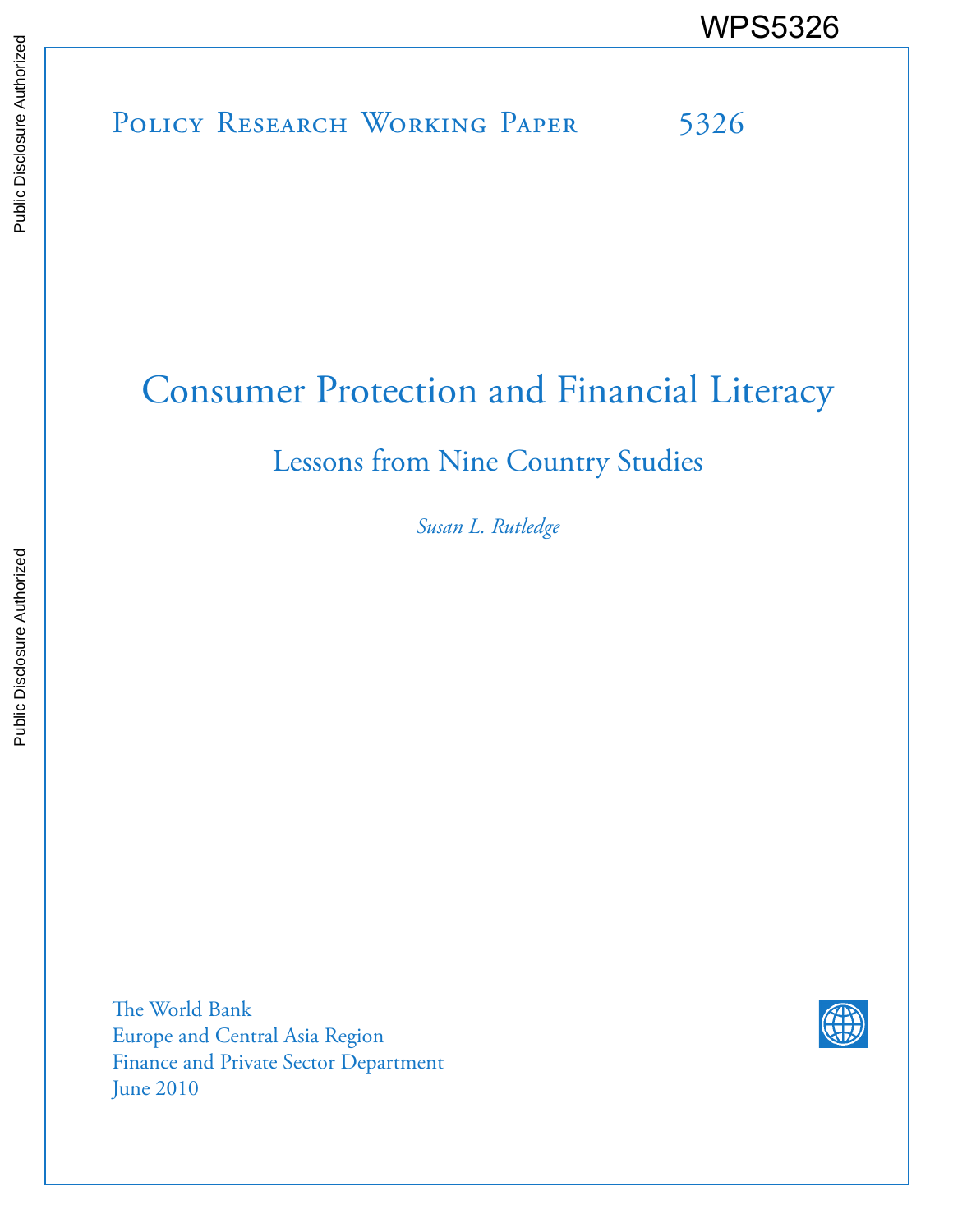# POLICY RESEARCH WORKING PAPER 5326 WPS5326<br>
Media<br>
Media<br>
Policy Research Working Paper 5326<br>
Policy Research Working Paper 5326

# Consumer Protection and Financial Literacy

# Lessons from Nine Country Studies

*Susan L. Rutledge*

The World Bank Europe and Central Asia Region Finance and Private Sector Department June 2010

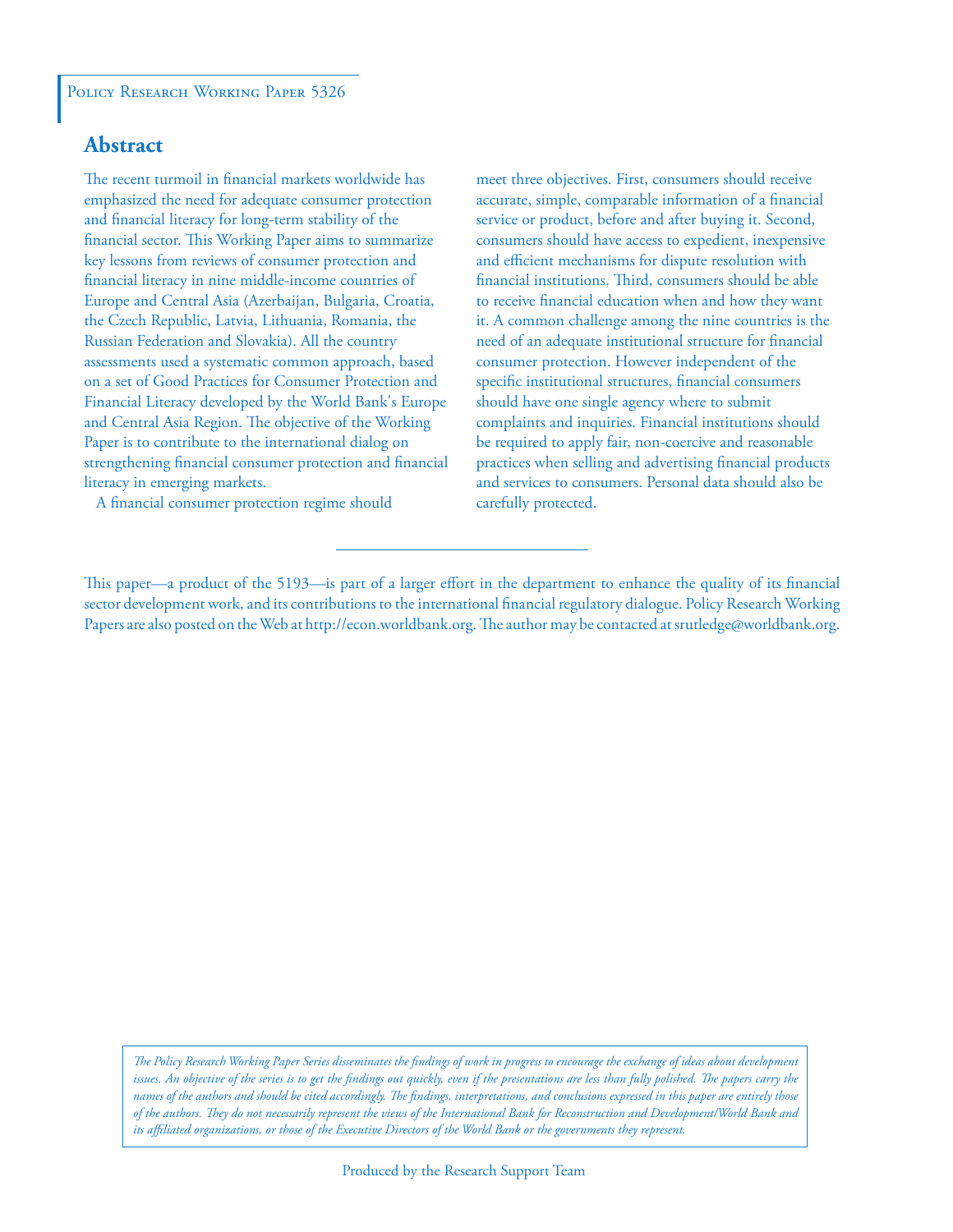# **Abstract**

The recent turmoil in financial markets worldwide has emphasized the need for adequate consumer protection and financial literacy for long-term stability of the financial sector. This Working Paper aims to summarize key lessons from reviews of consumer protection and financial literacy in nine middle-income countries of Europe and Central Asia (Azerbaijan, Bulgaria, Croatia, the Czech Republic, Latvia, Lithuania, Romania, the Russian Federation and Slovakia). All the country assessments used a systematic common approach, based on a set of Good Practices for Consumer Protection and Financial Literacy developed by the World Bank's Europe and Central Asia Region. The objective of the Working Paper is to contribute to the international dialog on strengthening financial consumer protection and financial literacy in emerging markets.

A financial consumer protection regime should

meet three objectives. First, consumers should receive accurate, simple, comparable information of a financial service or product, before and after buying it. Second, consumers should have access to expedient, inexpensive and efficient mechanisms for dispute resolution with financial institutions. Third, consumers should be able to receive financial education when and how they want it. A common challenge among the nine countries is the need of an adequate institutional structure for financial consumer protection. However independent of the specific institutional structures, financial consumers should have one single agency where to submit complaints and inquiries. Financial institutions should be required to apply fair, non-coercive and reasonable practices when selling and advertising financial products and services to consumers. Personal data should also be carefully protected.

This paper—a product of the 5193—is part of a larger effort in the department to enhance the quality of its financial sector development work, and its contributions to the international financial regulatory dialogue. Policy Research Working Papers are also posted on the Web at http://econ.worldbank.org. The author may be contacted at srutledge@worldbank.org.

*The Policy Research Working Paper Series disseminates the findings of work in progress to encourage the exchange of ideas about development*  issues. An objective of the series is to get the findings out quickly, even if the presentations are less than fully polished. The papers carry the *names of the authors and should be cited accordingly. The findings, interpretations, and conclusions expressed in this paper are entirely those of the authors. They do not necessarily represent the views of the International Bank for Reconstruction and Development/World Bank and its affiliated organizations, or those of the Executive Directors of the World Bank or the governments they represent.*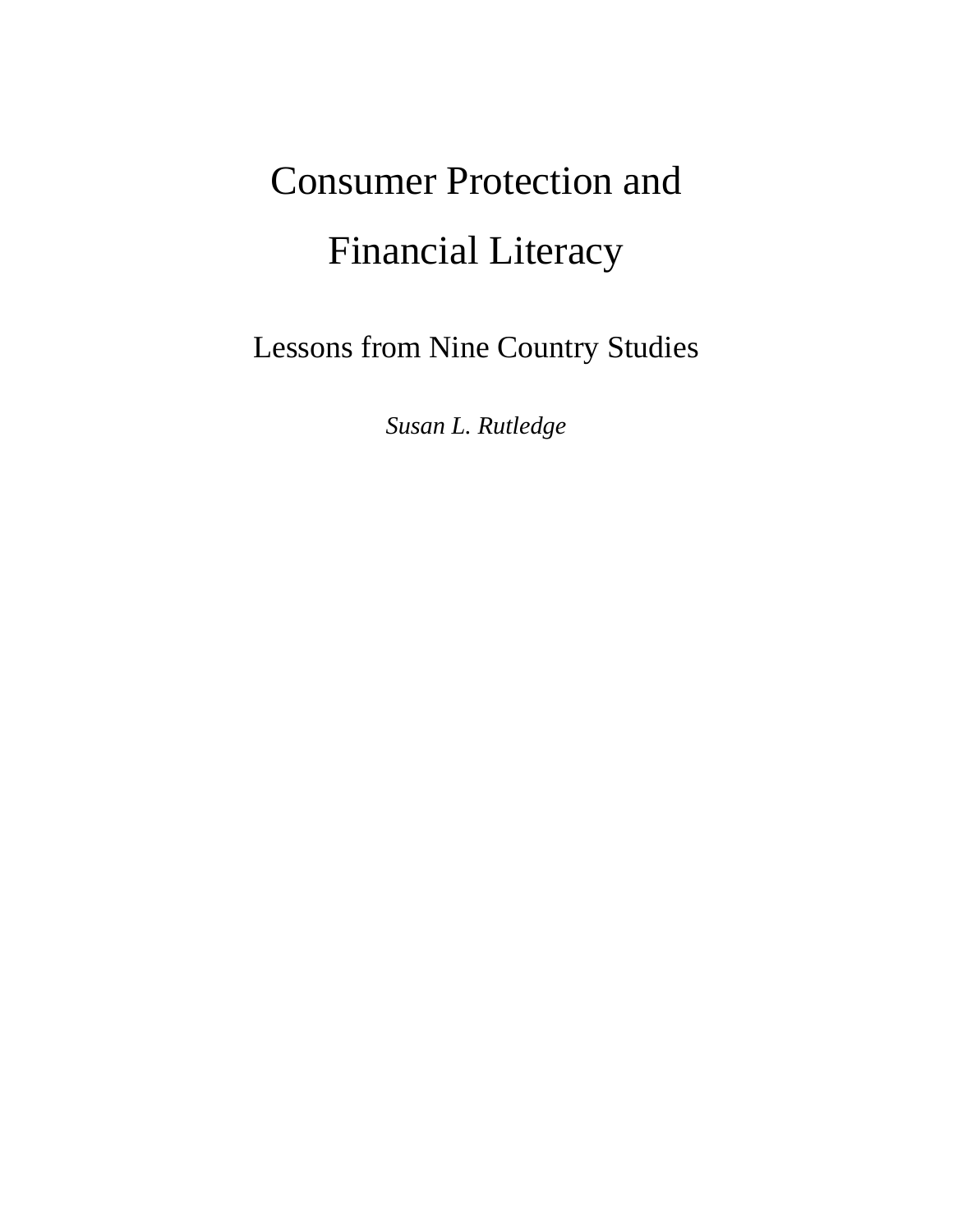# Consumer Protection and Financial Literacy

Lessons from Nine Country Studies

*Susan L. Rutledge*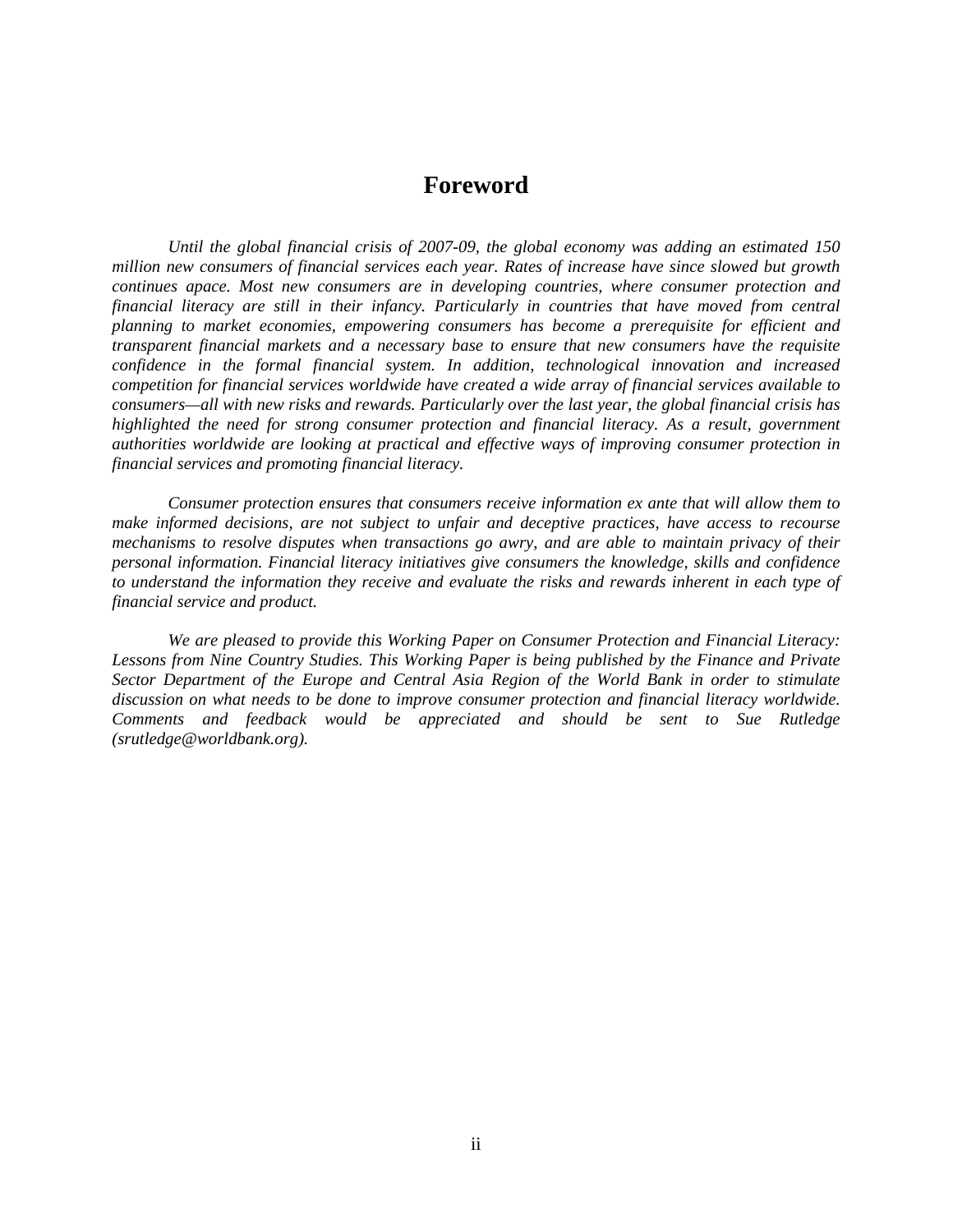# **Foreword**

*Until the global financial crisis of 2007-09, the global economy was adding an estimated 150 million new consumers of financial services each year. Rates of increase have since slowed but growth continues apace. Most new consumers are in developing countries, where consumer protection and financial literacy are still in their infancy. Particularly in countries that have moved from central planning to market economies, empowering consumers has become a prerequisite for efficient and transparent financial markets and a necessary base to ensure that new consumers have the requisite confidence in the formal financial system. In addition, technological innovation and increased competition for financial services worldwide have created a wide array of financial services available to consumers—all with new risks and rewards. Particularly over the last year, the global financial crisis has highlighted the need for strong consumer protection and financial literacy. As a result, government authorities worldwide are looking at practical and effective ways of improving consumer protection in financial services and promoting financial literacy.* 

*Consumer protection ensures that consumers receive information ex ante that will allow them to make informed decisions, are not subject to unfair and deceptive practices, have access to recourse mechanisms to resolve disputes when transactions go awry, and are able to maintain privacy of their personal information. Financial literacy initiatives give consumers the knowledge, skills and confidence to understand the information they receive and evaluate the risks and rewards inherent in each type of financial service and product.* 

*We are pleased to provide this Working Paper on Consumer Protection and Financial Literacy: Lessons from Nine Country Studies. This Working Paper is being published by the Finance and Private Sector Department of the Europe and Central Asia Region of the World Bank in order to stimulate discussion on what needs to be done to improve consumer protection and financial literacy worldwide. Comments and feedback would be appreciated and should be sent to Sue Rutledge (srutledge@worldbank.org).*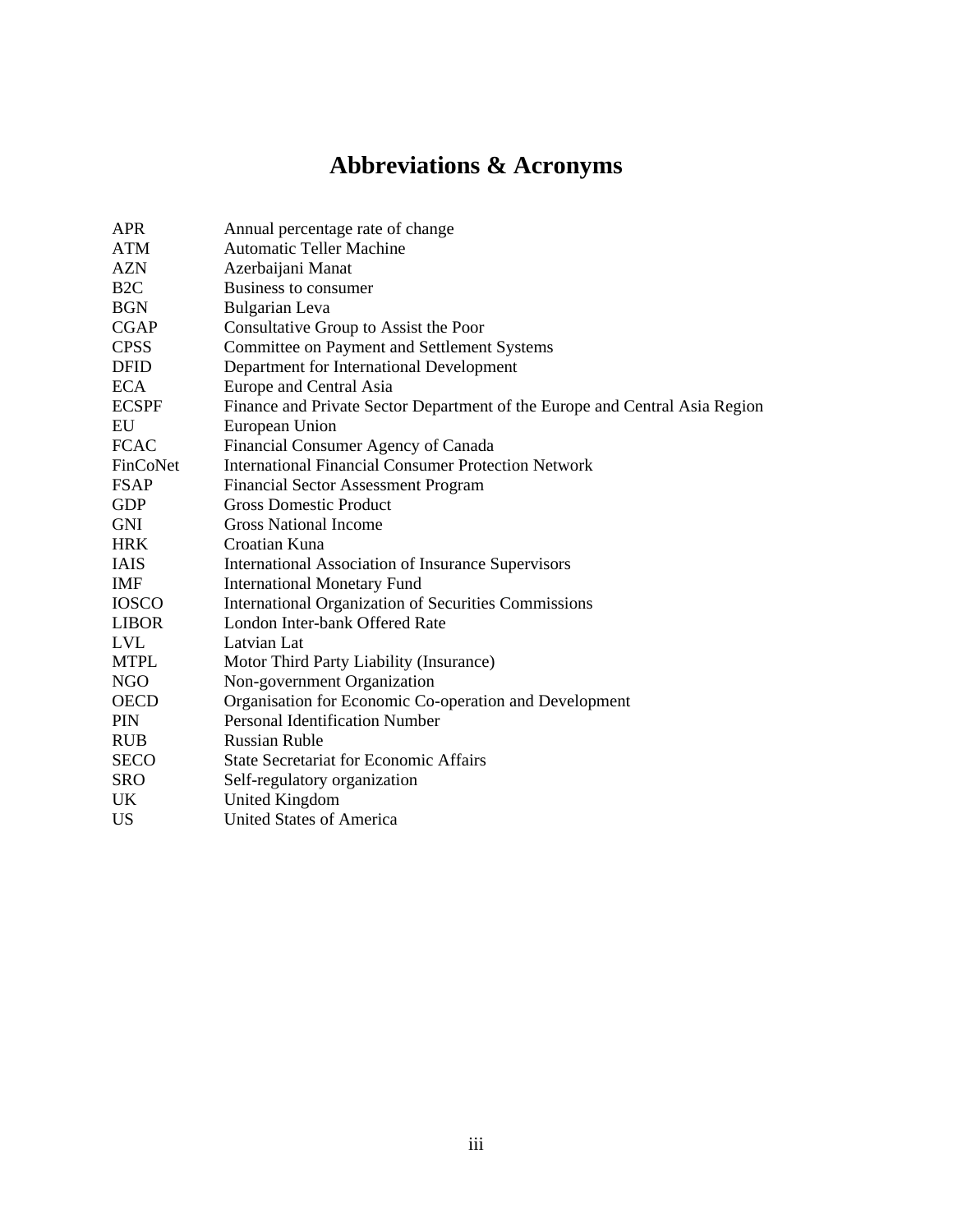# **Abbreviations & Acronyms**

| <b>APR</b>      | Annual percentage rate of change                                            |  |  |  |  |
|-----------------|-----------------------------------------------------------------------------|--|--|--|--|
| <b>ATM</b>      | <b>Automatic Teller Machine</b>                                             |  |  |  |  |
| <b>AZN</b>      | Azerbaijani Manat                                                           |  |  |  |  |
| B <sub>2C</sub> | Business to consumer                                                        |  |  |  |  |
| <b>BGN</b>      | <b>Bulgarian</b> Leva                                                       |  |  |  |  |
| <b>CGAP</b>     | Consultative Group to Assist the Poor                                       |  |  |  |  |
| <b>CPSS</b>     | Committee on Payment and Settlement Systems                                 |  |  |  |  |
| <b>DFID</b>     | Department for International Development                                    |  |  |  |  |
| <b>ECA</b>      | Europe and Central Asia                                                     |  |  |  |  |
| <b>ECSPF</b>    | Finance and Private Sector Department of the Europe and Central Asia Region |  |  |  |  |
| EU              | European Union                                                              |  |  |  |  |
| <b>FCAC</b>     | Financial Consumer Agency of Canada                                         |  |  |  |  |
| FinCoNet        | <b>International Financial Consumer Protection Network</b>                  |  |  |  |  |
| <b>FSAP</b>     | <b>Financial Sector Assessment Program</b>                                  |  |  |  |  |
| <b>GDP</b>      | <b>Gross Domestic Product</b>                                               |  |  |  |  |
| <b>GNI</b>      | <b>Gross National Income</b>                                                |  |  |  |  |
| <b>HRK</b>      | Croatian Kuna                                                               |  |  |  |  |
| <b>IAIS</b>     | <b>International Association of Insurance Supervisors</b>                   |  |  |  |  |
| IMF             | <b>International Monetary Fund</b>                                          |  |  |  |  |
| <b>IOSCO</b>    | International Organization of Securities Commissions                        |  |  |  |  |
| <b>LIBOR</b>    | London Inter-bank Offered Rate                                              |  |  |  |  |
| <b>LVL</b>      | Latvian Lat                                                                 |  |  |  |  |
| <b>MTPL</b>     | Motor Third Party Liability (Insurance)                                     |  |  |  |  |
| <b>NGO</b>      | Non-government Organization                                                 |  |  |  |  |
| <b>OECD</b>     | Organisation for Economic Co-operation and Development                      |  |  |  |  |
| <b>PIN</b>      | <b>Personal Identification Number</b>                                       |  |  |  |  |
| <b>RUB</b>      | <b>Russian Ruble</b>                                                        |  |  |  |  |
| <b>SECO</b>     | <b>State Secretariat for Economic Affairs</b>                               |  |  |  |  |
| <b>SRO</b>      | Self-regulatory organization                                                |  |  |  |  |
| UK              | <b>United Kingdom</b>                                                       |  |  |  |  |
| US              | <b>United States of America</b>                                             |  |  |  |  |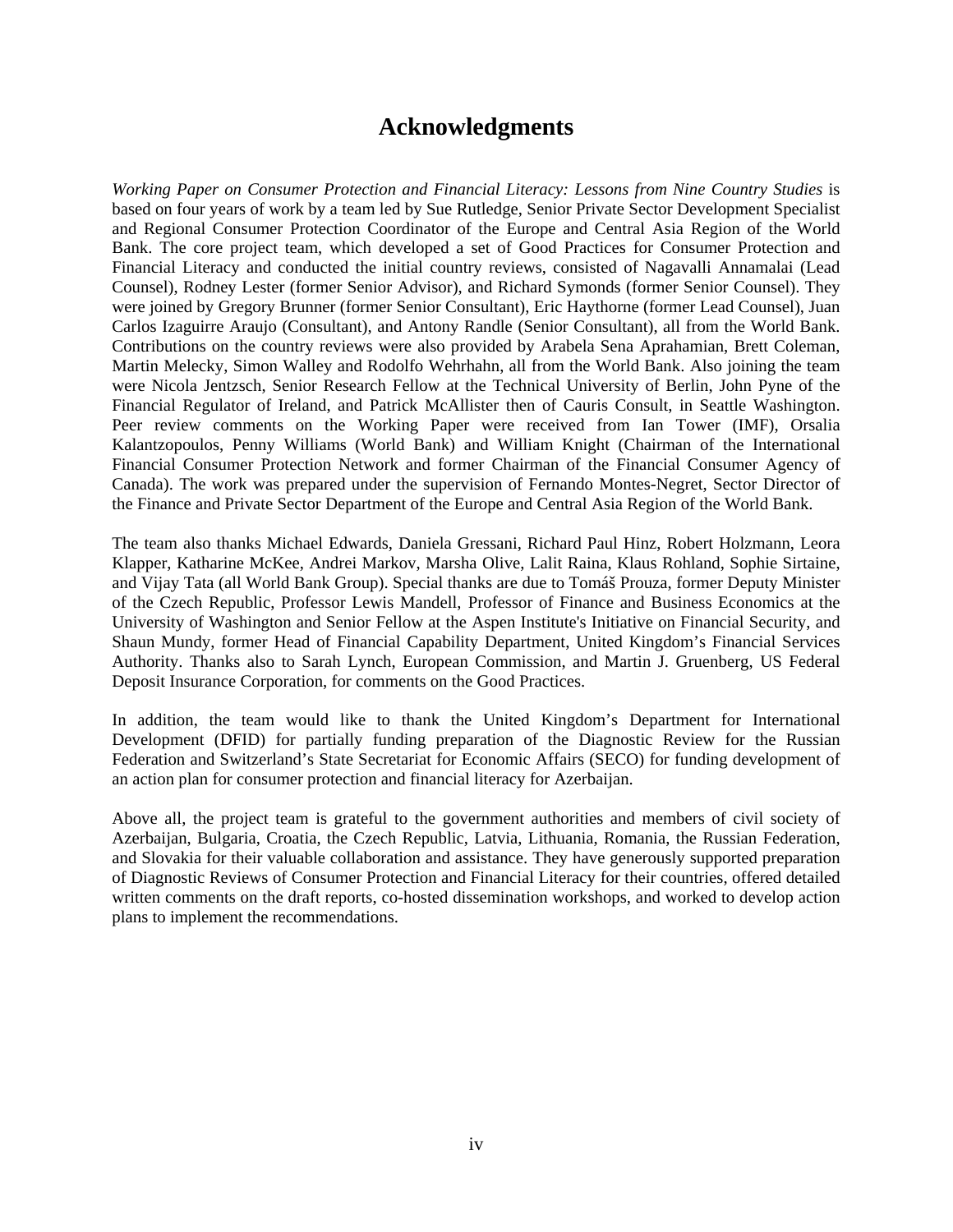# **Acknowledgments**

*Working Paper on Consumer Protection and Financial Literacy: Lessons from Nine Country Studies* is based on four years of work by a team led by Sue Rutledge, Senior Private Sector Development Specialist and Regional Consumer Protection Coordinator of the Europe and Central Asia Region of the World Bank. The core project team, which developed a set of Good Practices for Consumer Protection and Financial Literacy and conducted the initial country reviews, consisted of Nagavalli Annamalai (Lead Counsel), Rodney Lester (former Senior Advisor), and Richard Symonds (former Senior Counsel). They were joined by Gregory Brunner (former Senior Consultant), Eric Haythorne (former Lead Counsel), Juan Carlos Izaguirre Araujo (Consultant), and Antony Randle (Senior Consultant), all from the World Bank. Contributions on the country reviews were also provided by Arabela Sena Aprahamian, Brett Coleman, Martin Melecky, Simon Walley and Rodolfo Wehrhahn, all from the World Bank. Also joining the team were Nicola Jentzsch, Senior Research Fellow at the Technical University of Berlin, John Pyne of the Financial Regulator of Ireland, and Patrick McAllister then of Cauris Consult, in Seattle Washington. Peer review comments on the Working Paper were received from Ian Tower (IMF), Orsalia Kalantzopoulos, Penny Williams (World Bank) and William Knight (Chairman of the International Financial Consumer Protection Network and former Chairman of the Financial Consumer Agency of Canada). The work was prepared under the supervision of Fernando Montes-Negret, Sector Director of the Finance and Private Sector Department of the Europe and Central Asia Region of the World Bank.

The team also thanks Michael Edwards, Daniela Gressani, Richard Paul Hinz, Robert Holzmann, Leora Klapper, Katharine McKee, Andrei Markov, Marsha Olive, Lalit Raina, Klaus Rohland, Sophie Sirtaine, and Vijay Tata (all World Bank Group). Special thanks are due to Tomáš Prouza, former Deputy Minister of the Czech Republic, Professor Lewis Mandell, Professor of Finance and Business Economics at the University of Washington and Senior Fellow at the Aspen Institute's Initiative on Financial Security, and Shaun Mundy, former Head of Financial Capability Department, United Kingdom's Financial Services Authority. Thanks also to Sarah Lynch, European Commission, and Martin J. Gruenberg, US Federal Deposit Insurance Corporation, for comments on the Good Practices.

In addition, the team would like to thank the United Kingdom's Department for International Development (DFID) for partially funding preparation of the Diagnostic Review for the Russian Federation and Switzerland's State Secretariat for Economic Affairs (SECO) for funding development of an action plan for consumer protection and financial literacy for Azerbaijan.

Above all, the project team is grateful to the government authorities and members of civil society of Azerbaijan, Bulgaria, Croatia, the Czech Republic, Latvia, Lithuania, Romania, the Russian Federation, and Slovakia for their valuable collaboration and assistance. They have generously supported preparation of Diagnostic Reviews of Consumer Protection and Financial Literacy for their countries, offered detailed written comments on the draft reports, co-hosted dissemination workshops, and worked to develop action plans to implement the recommendations.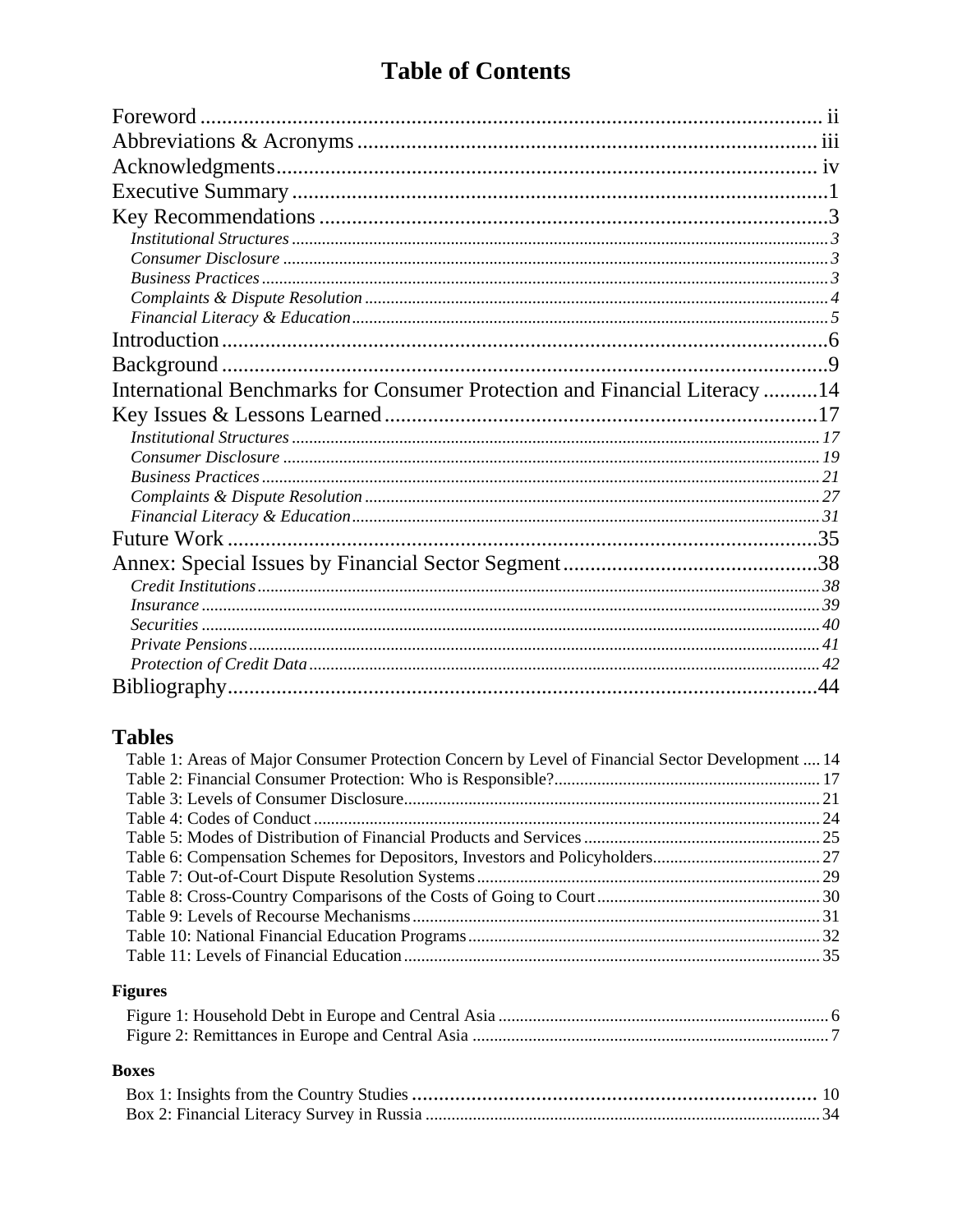# **Table of Contents**

| International Benchmarks for Consumer Protection and Financial Literacy 14 |  |
|----------------------------------------------------------------------------|--|
|                                                                            |  |
|                                                                            |  |
|                                                                            |  |
|                                                                            |  |
|                                                                            |  |
|                                                                            |  |
| <b>Future Work</b>                                                         |  |
|                                                                            |  |
|                                                                            |  |
|                                                                            |  |
|                                                                            |  |
|                                                                            |  |
|                                                                            |  |
|                                                                            |  |

# **Tables**

| Table 1: Areas of Major Consumer Protection Concern by Level of Financial Sector Development  14 |  |
|--------------------------------------------------------------------------------------------------|--|
|                                                                                                  |  |
|                                                                                                  |  |
|                                                                                                  |  |
|                                                                                                  |  |
|                                                                                                  |  |
|                                                                                                  |  |
|                                                                                                  |  |
|                                                                                                  |  |
|                                                                                                  |  |
|                                                                                                  |  |
|                                                                                                  |  |

# **Figures**

# **Boxes**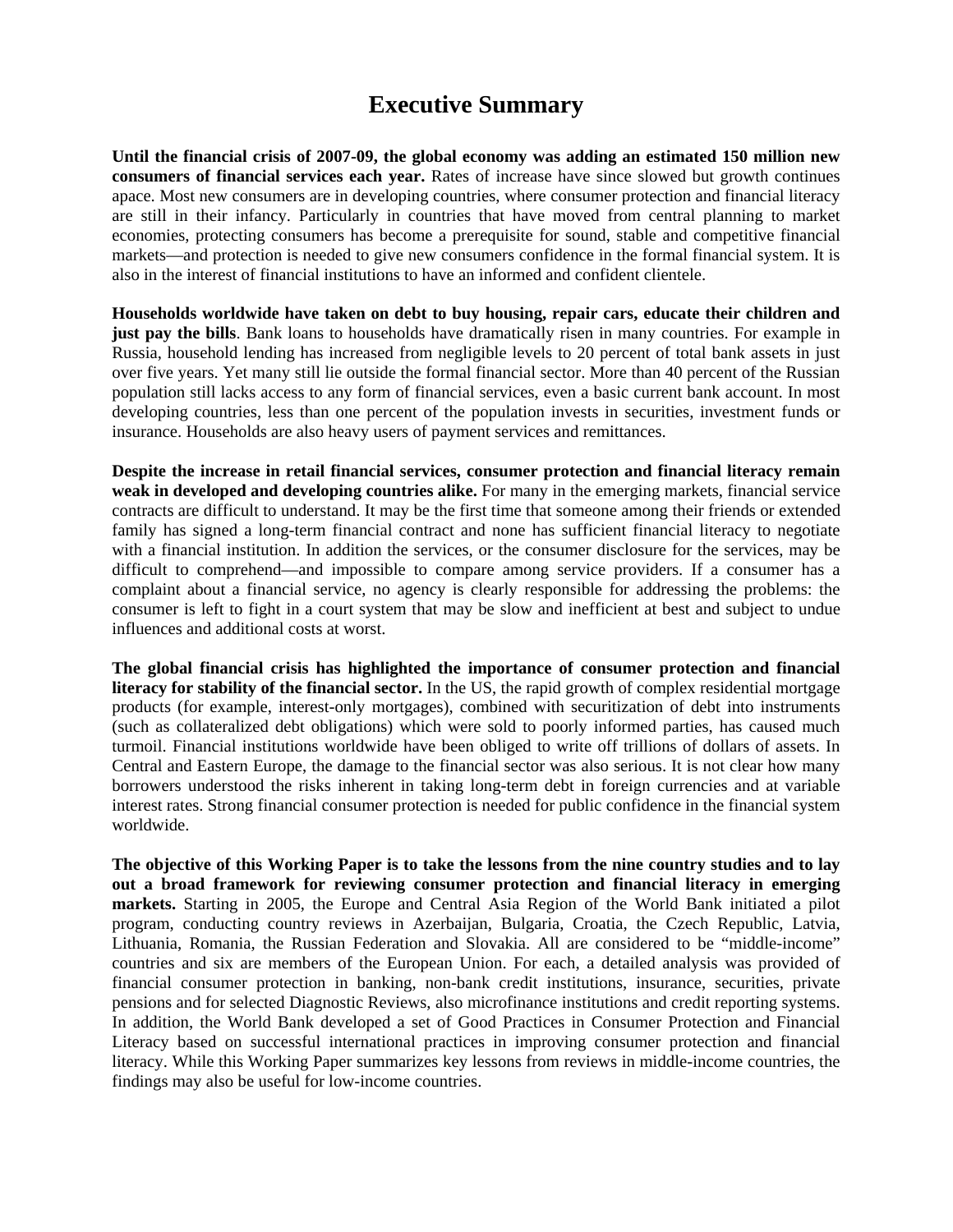# **Executive Summary**

**Until the financial crisis of 2007-09, the global economy was adding an estimated 150 million new consumers of financial services each year.** Rates of increase have since slowed but growth continues apace. Most new consumers are in developing countries, where consumer protection and financial literacy are still in their infancy. Particularly in countries that have moved from central planning to market economies, protecting consumers has become a prerequisite for sound, stable and competitive financial markets—and protection is needed to give new consumers confidence in the formal financial system. It is also in the interest of financial institutions to have an informed and confident clientele.

**Households worldwide have taken on debt to buy housing, repair cars, educate their children and just pay the bills**. Bank loans to households have dramatically risen in many countries. For example in Russia, household lending has increased from negligible levels to 20 percent of total bank assets in just over five years. Yet many still lie outside the formal financial sector. More than 40 percent of the Russian population still lacks access to any form of financial services, even a basic current bank account. In most developing countries, less than one percent of the population invests in securities, investment funds or insurance. Households are also heavy users of payment services and remittances.

**Despite the increase in retail financial services, consumer protection and financial literacy remain weak in developed and developing countries alike.** For many in the emerging markets, financial service contracts are difficult to understand. It may be the first time that someone among their friends or extended family has signed a long-term financial contract and none has sufficient financial literacy to negotiate with a financial institution. In addition the services, or the consumer disclosure for the services, may be difficult to comprehend—and impossible to compare among service providers. If a consumer has a complaint about a financial service, no agency is clearly responsible for addressing the problems: the consumer is left to fight in a court system that may be slow and inefficient at best and subject to undue influences and additional costs at worst.

**The global financial crisis has highlighted the importance of consumer protection and financial literacy for stability of the financial sector.** In the US, the rapid growth of complex residential mortgage products (for example, interest-only mortgages), combined with securitization of debt into instruments (such as collateralized debt obligations) which were sold to poorly informed parties, has caused much turmoil. Financial institutions worldwide have been obliged to write off trillions of dollars of assets. In Central and Eastern Europe, the damage to the financial sector was also serious. It is not clear how many borrowers understood the risks inherent in taking long-term debt in foreign currencies and at variable interest rates. Strong financial consumer protection is needed for public confidence in the financial system worldwide.

**The objective of this Working Paper is to take the lessons from the nine country studies and to lay out a broad framework for reviewing consumer protection and financial literacy in emerging markets.** Starting in 2005, the Europe and Central Asia Region of the World Bank initiated a pilot program, conducting country reviews in Azerbaijan, Bulgaria, Croatia, the Czech Republic, Latvia, Lithuania, Romania, the Russian Federation and Slovakia. All are considered to be "middle-income" countries and six are members of the European Union. For each, a detailed analysis was provided of financial consumer protection in banking, non-bank credit institutions, insurance, securities, private pensions and for selected Diagnostic Reviews, also microfinance institutions and credit reporting systems. In addition, the World Bank developed a set of Good Practices in Consumer Protection and Financial Literacy based on successful international practices in improving consumer protection and financial literacy. While this Working Paper summarizes key lessons from reviews in middle-income countries, the findings may also be useful for low-income countries.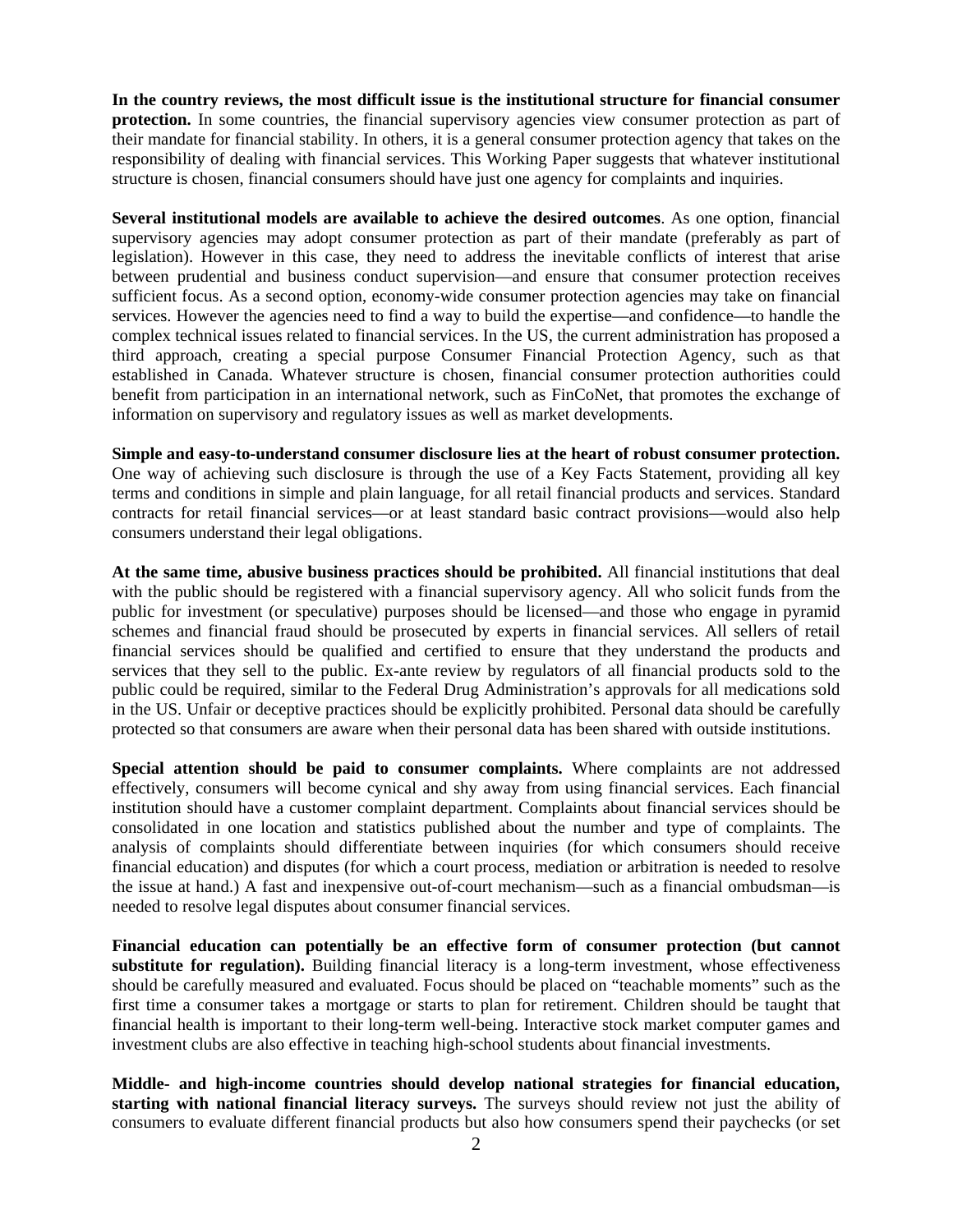**In the country reviews, the most difficult issue is the institutional structure for financial consumer protection.** In some countries, the financial supervisory agencies view consumer protection as part of their mandate for financial stability. In others, it is a general consumer protection agency that takes on the responsibility of dealing with financial services. This Working Paper suggests that whatever institutional structure is chosen, financial consumers should have just one agency for complaints and inquiries.

**Several institutional models are available to achieve the desired outcomes**. As one option, financial supervisory agencies may adopt consumer protection as part of their mandate (preferably as part of legislation). However in this case, they need to address the inevitable conflicts of interest that arise between prudential and business conduct supervision—and ensure that consumer protection receives sufficient focus. As a second option, economy-wide consumer protection agencies may take on financial services. However the agencies need to find a way to build the expertise—and confidence—to handle the complex technical issues related to financial services. In the US, the current administration has proposed a third approach, creating a special purpose Consumer Financial Protection Agency, such as that established in Canada. Whatever structure is chosen, financial consumer protection authorities could benefit from participation in an international network, such as FinCoNet, that promotes the exchange of information on supervisory and regulatory issues as well as market developments.

**Simple and easy-to-understand consumer disclosure lies at the heart of robust consumer protection.**  One way of achieving such disclosure is through the use of a Key Facts Statement, providing all key terms and conditions in simple and plain language, for all retail financial products and services. Standard contracts for retail financial services—or at least standard basic contract provisions—would also help consumers understand their legal obligations.

**At the same time, abusive business practices should be prohibited.** All financial institutions that deal with the public should be registered with a financial supervisory agency. All who solicit funds from the public for investment (or speculative) purposes should be licensed—and those who engage in pyramid schemes and financial fraud should be prosecuted by experts in financial services. All sellers of retail financial services should be qualified and certified to ensure that they understand the products and services that they sell to the public. Ex-ante review by regulators of all financial products sold to the public could be required, similar to the Federal Drug Administration's approvals for all medications sold in the US. Unfair or deceptive practices should be explicitly prohibited. Personal data should be carefully protected so that consumers are aware when their personal data has been shared with outside institutions.

**Special attention should be paid to consumer complaints.** Where complaints are not addressed effectively, consumers will become cynical and shy away from using financial services. Each financial institution should have a customer complaint department. Complaints about financial services should be consolidated in one location and statistics published about the number and type of complaints. The analysis of complaints should differentiate between inquiries (for which consumers should receive financial education) and disputes (for which a court process, mediation or arbitration is needed to resolve the issue at hand.) A fast and inexpensive out-of-court mechanism—such as a financial ombudsman—is needed to resolve legal disputes about consumer financial services.

**Financial education can potentially be an effective form of consumer protection (but cannot substitute for regulation).** Building financial literacy is a long-term investment, whose effectiveness should be carefully measured and evaluated. Focus should be placed on "teachable moments" such as the first time a consumer takes a mortgage or starts to plan for retirement. Children should be taught that financial health is important to their long-term well-being. Interactive stock market computer games and investment clubs are also effective in teaching high-school students about financial investments.

**Middle- and high-income countries should develop national strategies for financial education, starting with national financial literacy surveys.** The surveys should review not just the ability of consumers to evaluate different financial products but also how consumers spend their paychecks (or set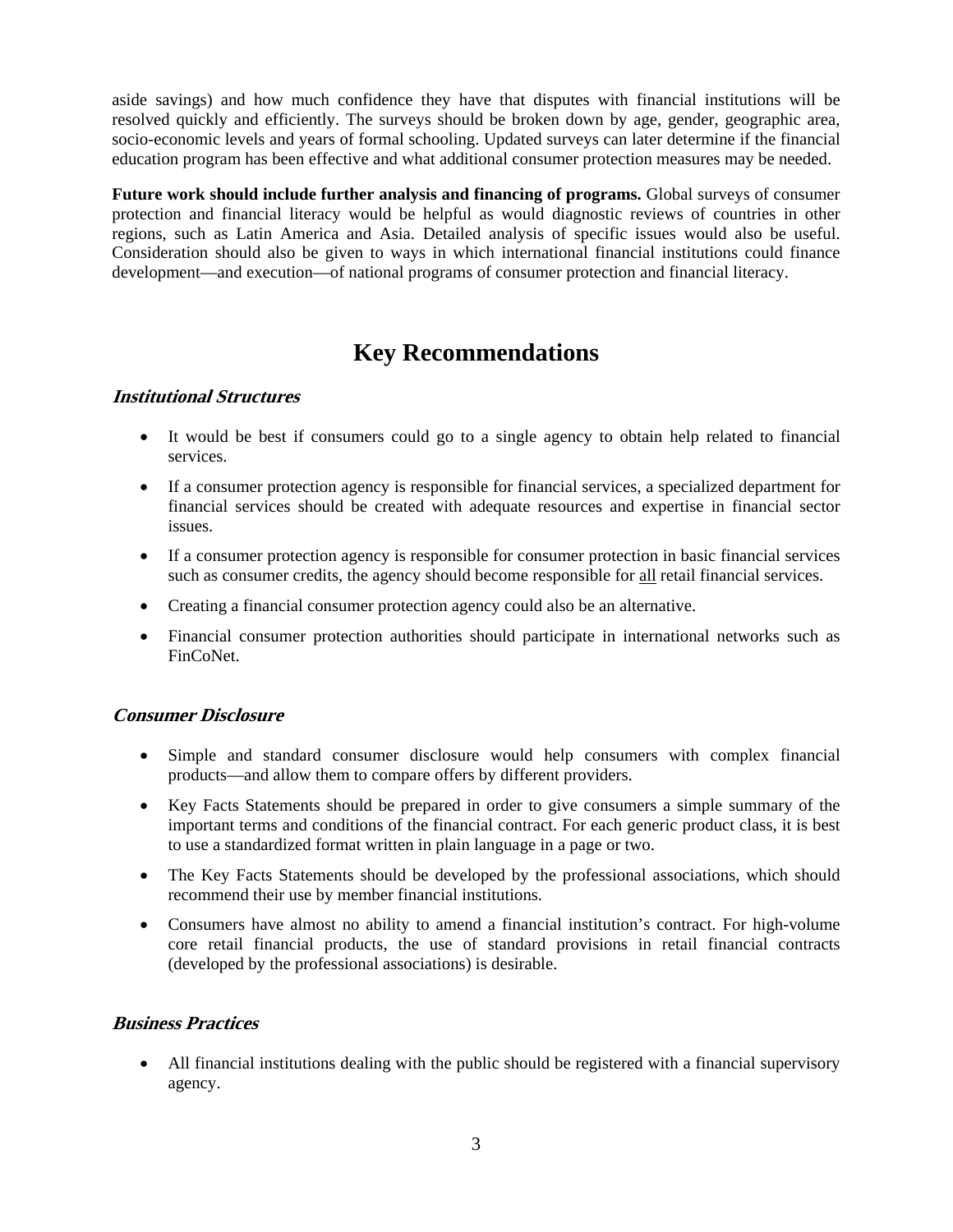aside savings) and how much confidence they have that disputes with financial institutions will be resolved quickly and efficiently. The surveys should be broken down by age, gender, geographic area, socio-economic levels and years of formal schooling. Updated surveys can later determine if the financial education program has been effective and what additional consumer protection measures may be needed.

**Future work should include further analysis and financing of programs.** Global surveys of consumer protection and financial literacy would be helpful as would diagnostic reviews of countries in other regions, such as Latin America and Asia. Detailed analysis of specific issues would also be useful. Consideration should also be given to ways in which international financial institutions could finance development—and execution—of national programs of consumer protection and financial literacy.

# **Key Recommendations**

# **Institutional Structures**

- It would be best if consumers could go to a single agency to obtain help related to financial services.
- If a consumer protection agency is responsible for financial services, a specialized department for financial services should be created with adequate resources and expertise in financial sector issues.
- If a consumer protection agency is responsible for consumer protection in basic financial services such as consumer credits, the agency should become responsible for all retail financial services.
- Creating a financial consumer protection agency could also be an alternative.
- Financial consumer protection authorities should participate in international networks such as FinCoNet.

# **Consumer Disclosure**

- Simple and standard consumer disclosure would help consumers with complex financial products—and allow them to compare offers by different providers.
- Key Facts Statements should be prepared in order to give consumers a simple summary of the important terms and conditions of the financial contract. For each generic product class, it is best to use a standardized format written in plain language in a page or two.
- The Key Facts Statements should be developed by the professional associations, which should recommend their use by member financial institutions.
- Consumers have almost no ability to amend a financial institution's contract. For high-volume core retail financial products, the use of standard provisions in retail financial contracts (developed by the professional associations) is desirable.

# **Business Practices**

 All financial institutions dealing with the public should be registered with a financial supervisory agency.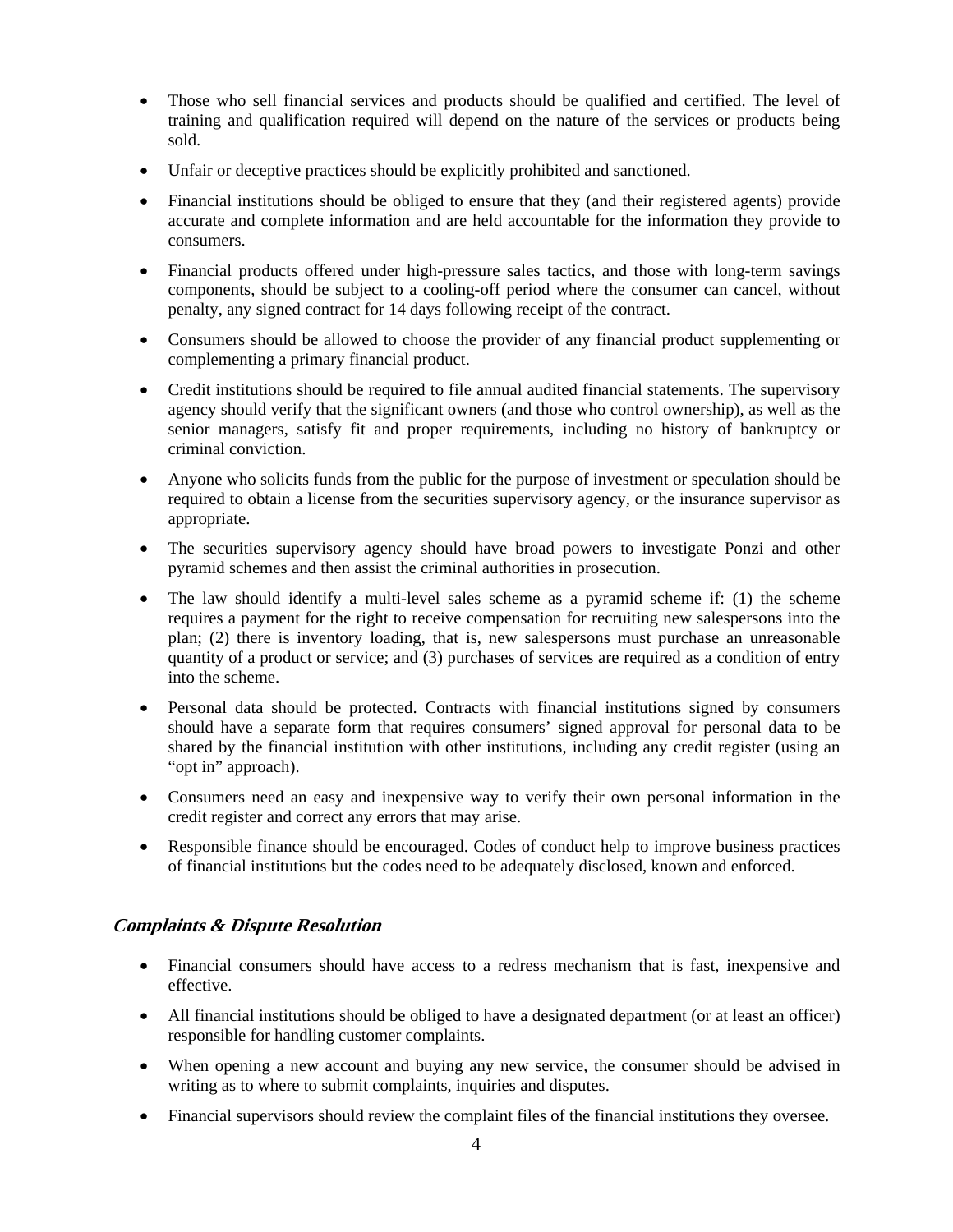- Those who sell financial services and products should be qualified and certified. The level of training and qualification required will depend on the nature of the services or products being sold.
- Unfair or deceptive practices should be explicitly prohibited and sanctioned.
- Financial institutions should be obliged to ensure that they (and their registered agents) provide accurate and complete information and are held accountable for the information they provide to consumers.
- Financial products offered under high-pressure sales tactics, and those with long-term savings components, should be subject to a cooling-off period where the consumer can cancel, without penalty, any signed contract for 14 days following receipt of the contract.
- Consumers should be allowed to choose the provider of any financial product supplementing or complementing a primary financial product.
- Credit institutions should be required to file annual audited financial statements. The supervisory agency should verify that the significant owners (and those who control ownership), as well as the senior managers, satisfy fit and proper requirements, including no history of bankruptcy or criminal conviction.
- Anyone who solicits funds from the public for the purpose of investment or speculation should be required to obtain a license from the securities supervisory agency, or the insurance supervisor as appropriate.
- The securities supervisory agency should have broad powers to investigate Ponzi and other pyramid schemes and then assist the criminal authorities in prosecution.
- The law should identify a multi-level sales scheme as a pyramid scheme if: (1) the scheme requires a payment for the right to receive compensation for recruiting new salespersons into the plan; (2) there is inventory loading, that is, new salespersons must purchase an unreasonable quantity of a product or service; and (3) purchases of services are required as a condition of entry into the scheme.
- Personal data should be protected. Contracts with financial institutions signed by consumers should have a separate form that requires consumers' signed approval for personal data to be shared by the financial institution with other institutions, including any credit register (using an "opt in" approach).
- Consumers need an easy and inexpensive way to verify their own personal information in the credit register and correct any errors that may arise.
- Responsible finance should be encouraged. Codes of conduct help to improve business practices of financial institutions but the codes need to be adequately disclosed, known and enforced.

# **Complaints & Dispute Resolution**

- Financial consumers should have access to a redress mechanism that is fast, inexpensive and effective.
- All financial institutions should be obliged to have a designated department (or at least an officer) responsible for handling customer complaints.
- When opening a new account and buying any new service, the consumer should be advised in writing as to where to submit complaints, inquiries and disputes.
- Financial supervisors should review the complaint files of the financial institutions they oversee.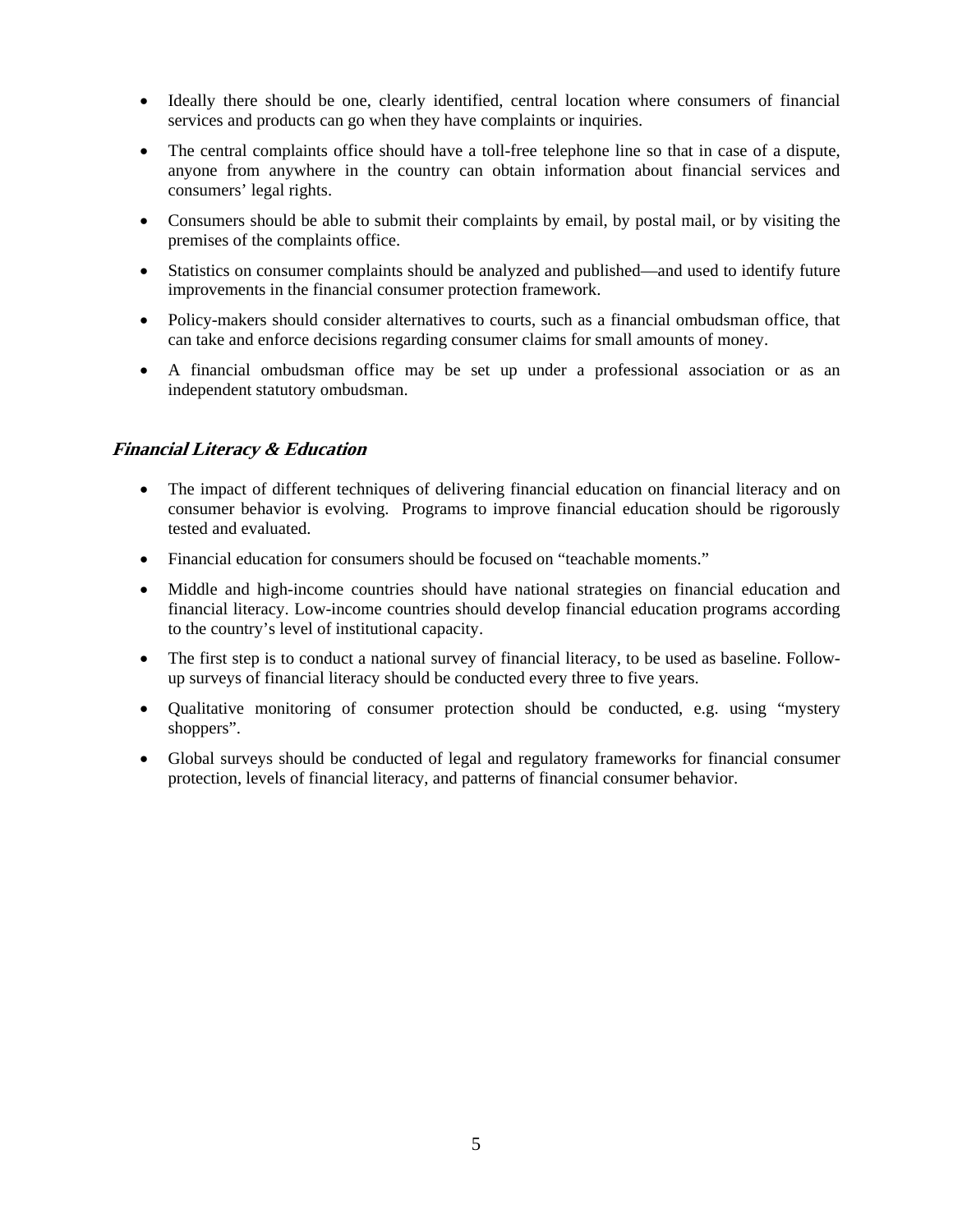- Ideally there should be one, clearly identified, central location where consumers of financial services and products can go when they have complaints or inquiries.
- The central complaints office should have a toll-free telephone line so that in case of a dispute, anyone from anywhere in the country can obtain information about financial services and consumers' legal rights.
- Consumers should be able to submit their complaints by email, by postal mail, or by visiting the premises of the complaints office.
- Statistics on consumer complaints should be analyzed and published—and used to identify future improvements in the financial consumer protection framework.
- Policy-makers should consider alternatives to courts, such as a financial ombudsman office, that can take and enforce decisions regarding consumer claims for small amounts of money.
- A financial ombudsman office may be set up under a professional association or as an independent statutory ombudsman.

# **Financial Literacy & Education**

- The impact of different techniques of delivering financial education on financial literacy and on consumer behavior is evolving. Programs to improve financial education should be rigorously tested and evaluated.
- Financial education for consumers should be focused on "teachable moments."
- Middle and high-income countries should have national strategies on financial education and financial literacy. Low-income countries should develop financial education programs according to the country's level of institutional capacity.
- The first step is to conduct a national survey of financial literacy, to be used as baseline. Followup surveys of financial literacy should be conducted every three to five years.
- Qualitative monitoring of consumer protection should be conducted, e.g. using "mystery shoppers".
- Global surveys should be conducted of legal and regulatory frameworks for financial consumer protection, levels of financial literacy, and patterns of financial consumer behavior.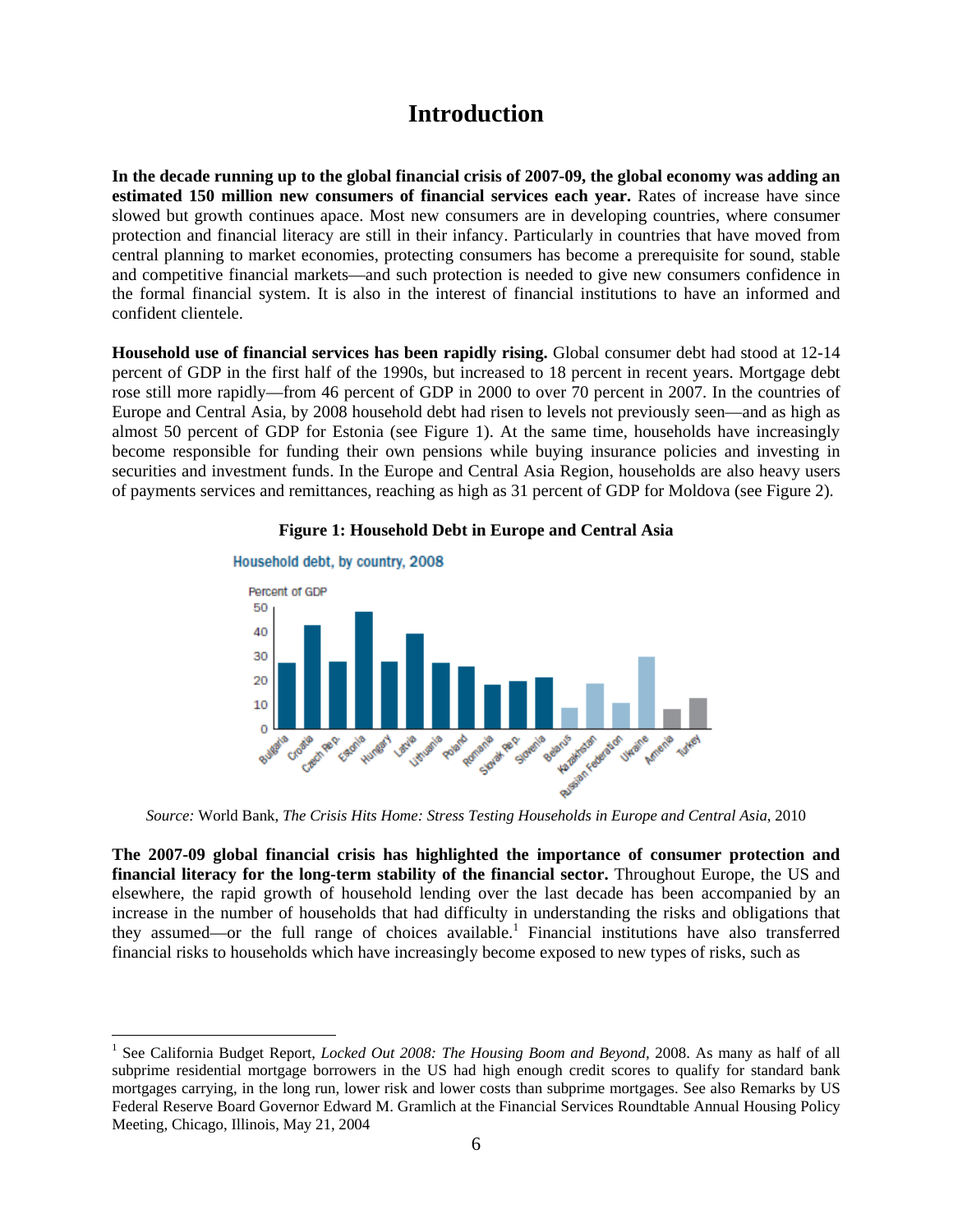# **Introduction**

**In the decade running up to the global financial crisis of 2007-09, the global economy was adding an estimated 150 million new consumers of financial services each year.** Rates of increase have since slowed but growth continues apace. Most new consumers are in developing countries, where consumer protection and financial literacy are still in their infancy. Particularly in countries that have moved from central planning to market economies, protecting consumers has become a prerequisite for sound, stable and competitive financial markets—and such protection is needed to give new consumers confidence in the formal financial system. It is also in the interest of financial institutions to have an informed and confident clientele.

**Household use of financial services has been rapidly rising.** Global consumer debt had stood at 12-14 percent of GDP in the first half of the 1990s, but increased to 18 percent in recent years. Mortgage debt rose still more rapidly—from 46 percent of GDP in 2000 to over 70 percent in 2007. In the countries of Europe and Central Asia, by 2008 household debt had risen to levels not previously seen—and as high as almost 50 percent of GDP for Estonia (see Figure 1). At the same time, households have increasingly become responsible for funding their own pensions while buying insurance policies and investing in securities and investment funds. In the Europe and Central Asia Region, households are also heavy users of payments services and remittances, reaching as high as 31 percent of GDP for Moldova (see Figure 2).



#### **Figure 1: Household Debt in Europe and Central Asia**

*Source:* World Bank, *The Crisis Hits Home: Stress Testing Households in Europe and Central Asia*, 2010

**The 2007-09 global financial crisis has highlighted the importance of consumer protection and financial literacy for the long-term stability of the financial sector.** Throughout Europe, the US and elsewhere, the rapid growth of household lending over the last decade has been accompanied by an increase in the number of households that had difficulty in understanding the risks and obligations that they assumed—or the full range of choices available.<sup>1</sup> Financial institutions have also transferred financial risks to households which have increasingly become exposed to new types of risks, such as

<sup>&</sup>lt;sup>1</sup> See California Budget Report, *Locked Out 2008: The Housing Boom and Beyond*, 2008. As many as half of all subprime residential mortgage borrowers in the US had high enough credit scores to qualify for standard bank mortgages carrying, in the long run, lower risk and lower costs than subprime mortgages. See also Remarks by US Federal Reserve Board Governor Edward M. Gramlich at the Financial Services Roundtable Annual Housing Policy Meeting, Chicago, Illinois, May 21, 2004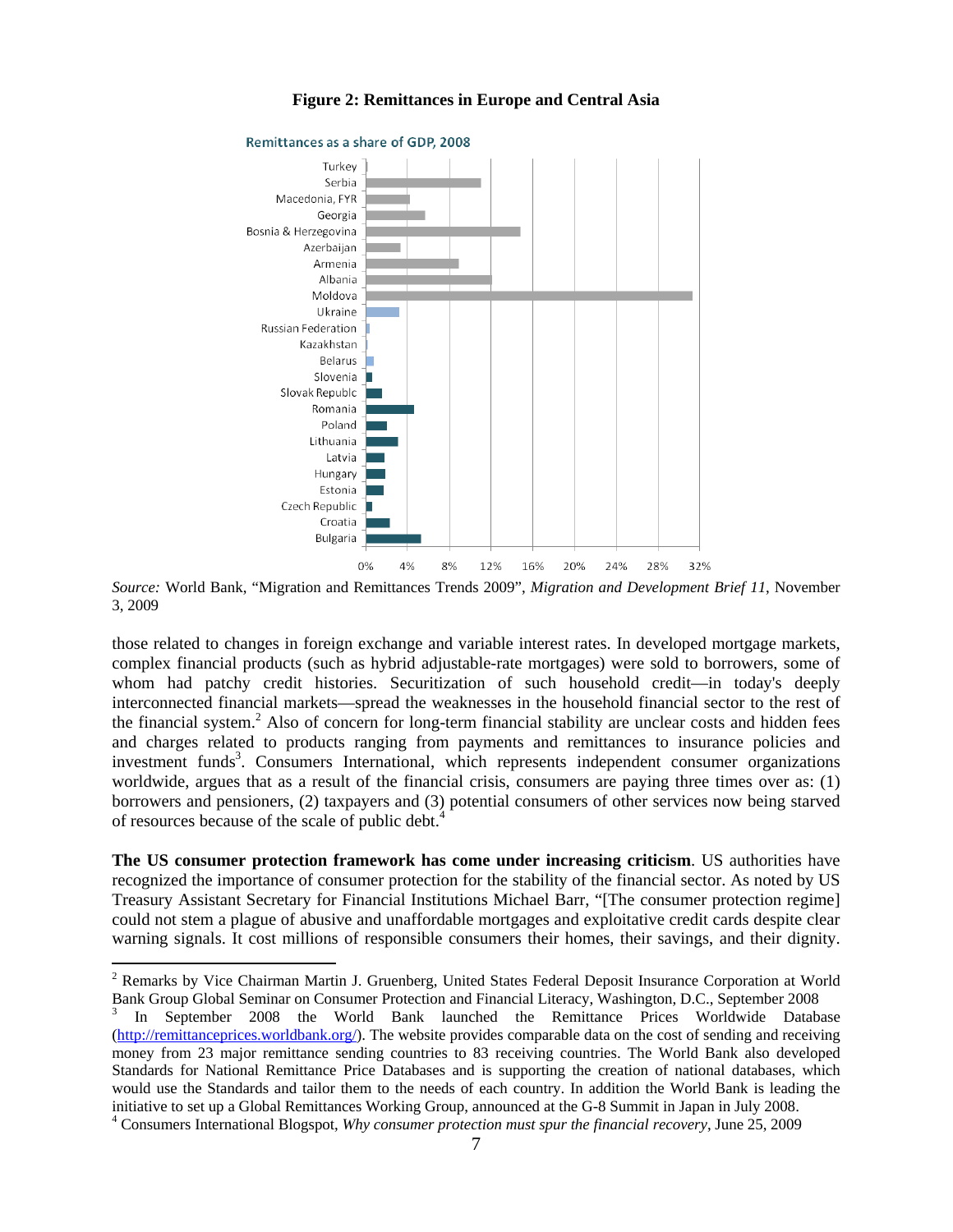

#### **Figure 2: Remittances in Europe and Central Asia**

*Source:* World Bank, "Migration and Remittances Trends 2009", *Migration and Development Brief 11*, November 3, 2009

those related to changes in foreign exchange and variable interest rates. In developed mortgage markets, complex financial products (such as hybrid adjustable-rate mortgages) were sold to borrowers, some of whom had patchy credit histories. Securitization of such household credit—in today's deeply interconnected financial markets—spread the weaknesses in the household financial sector to the rest of the financial system.<sup>2</sup> Also of concern for long-term financial stability are unclear costs and hidden fees and charges related to products ranging from payments and remittances to insurance policies and investment funds<sup>3</sup>. Consumers International, which represents independent consumer organizations worldwide, argues that as a result of the financial crisis, consumers are paying three times over as: (1) borrowers and pensioners, (2) taxpayers and (3) potential consumers of other services now being starved of resources because of the scale of public debt.<sup>4</sup>

**The US consumer protection framework has come under increasing criticism**. US authorities have recognized the importance of consumer protection for the stability of the financial sector. As noted by US Treasury Assistant Secretary for Financial Institutions Michael Barr, "[The consumer protection regime] could not stem a plague of abusive and unaffordable mortgages and exploitative credit cards despite clear warning signals. It cost millions of responsible consumers their homes, their savings, and their dignity.

<sup>&</sup>lt;sup>2</sup> Remarks by Vice Chairman Martin J. Gruenberg, United States Federal Deposit Insurance Corporation at World Bank Group Global Seminar on Consumer Protection and Financial Literacy, Washington, D.C., September 2008

<sup>3</sup> In September 2008 the World Bank launched the Remittance Prices Worldwide Database (http://remittanceprices.worldbank.org/). The website provides comparable data on the cost of sending and receiving money from 23 major remittance sending countries to 83 receiving countries. The World Bank also developed Standards for National Remittance Price Databases and is supporting the creation of national databases, which would use the Standards and tailor them to the needs of each country. In addition the World Bank is leading the initiative to set up a Global Remittances Working Group, announced at the G-8 Summit in Japan in July 2008. 4 Consumers International Blogspot, *Why consumer protection must spur the financial recovery*, June 25, 2009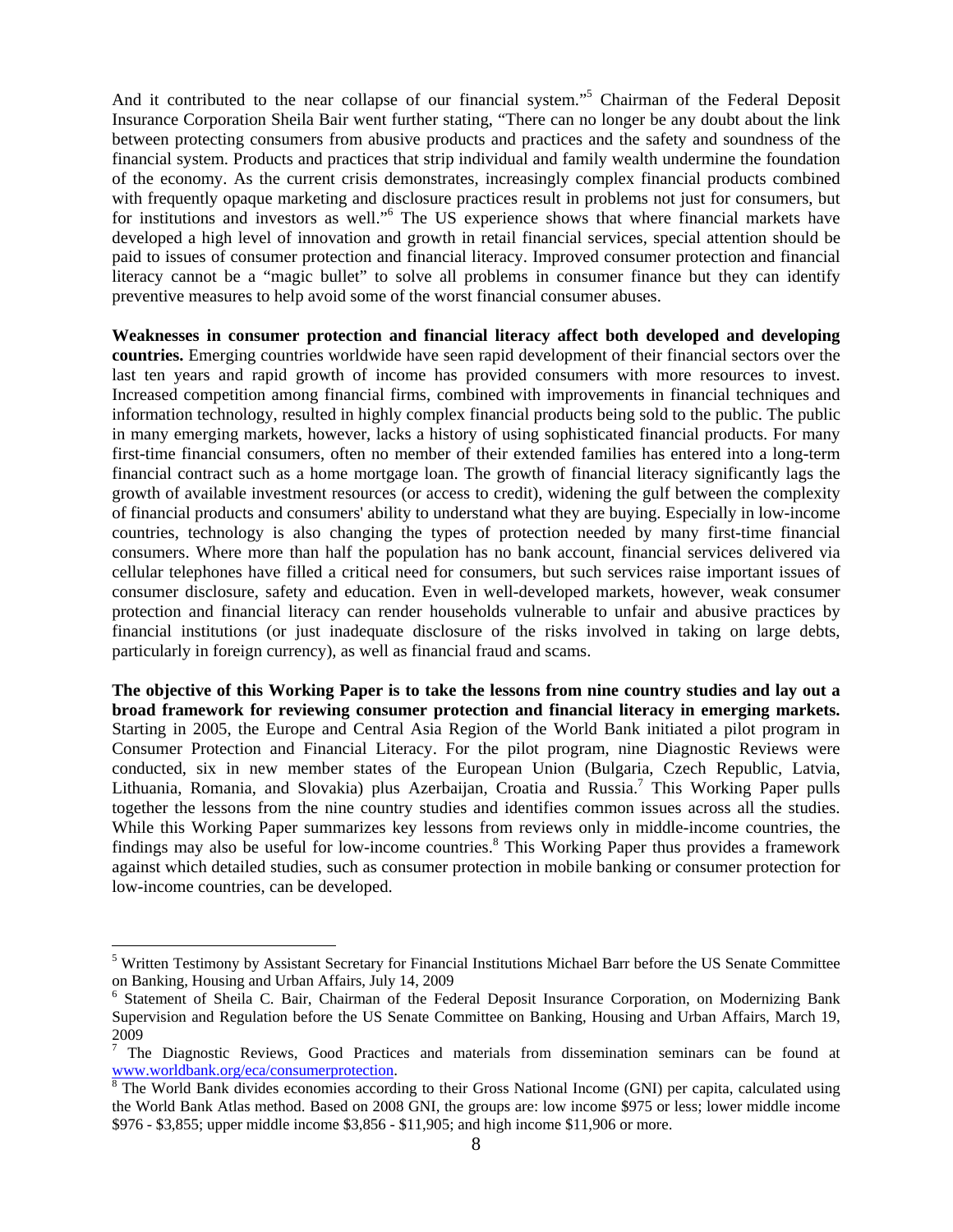And it contributed to the near collapse of our financial system."<sup>5</sup> Chairman of the Federal Deposit Insurance Corporation Sheila Bair went further stating, "There can no longer be any doubt about the link between protecting consumers from abusive products and practices and the safety and soundness of the financial system. Products and practices that strip individual and family wealth undermine the foundation of the economy. As the current crisis demonstrates, increasingly complex financial products combined with frequently opaque marketing and disclosure practices result in problems not just for consumers, but for institutions and investors as well."<sup>6</sup> The US experience shows that where financial markets have developed a high level of innovation and growth in retail financial services, special attention should be paid to issues of consumer protection and financial literacy. Improved consumer protection and financial literacy cannot be a "magic bullet" to solve all problems in consumer finance but they can identify preventive measures to help avoid some of the worst financial consumer abuses.

**Weaknesses in consumer protection and financial literacy affect both developed and developing countries.** Emerging countries worldwide have seen rapid development of their financial sectors over the last ten years and rapid growth of income has provided consumers with more resources to invest. Increased competition among financial firms, combined with improvements in financial techniques and information technology, resulted in highly complex financial products being sold to the public. The public in many emerging markets, however, lacks a history of using sophisticated financial products. For many first-time financial consumers, often no member of their extended families has entered into a long-term financial contract such as a home mortgage loan. The growth of financial literacy significantly lags the growth of available investment resources (or access to credit), widening the gulf between the complexity of financial products and consumers' ability to understand what they are buying. Especially in low-income countries, technology is also changing the types of protection needed by many first-time financial consumers. Where more than half the population has no bank account, financial services delivered via cellular telephones have filled a critical need for consumers, but such services raise important issues of consumer disclosure, safety and education. Even in well-developed markets, however, weak consumer protection and financial literacy can render households vulnerable to unfair and abusive practices by financial institutions (or just inadequate disclosure of the risks involved in taking on large debts, particularly in foreign currency), as well as financial fraud and scams.

**The objective of this Working Paper is to take the lessons from nine country studies and lay out a broad framework for reviewing consumer protection and financial literacy in emerging markets.**  Starting in 2005, the Europe and Central Asia Region of the World Bank initiated a pilot program in Consumer Protection and Financial Literacy. For the pilot program, nine Diagnostic Reviews were conducted, six in new member states of the European Union (Bulgaria, Czech Republic, Latvia, Lithuania, Romania, and Slovakia) plus Azerbaijan, Croatia and Russia.<sup>7</sup> This Working Paper pulls together the lessons from the nine country studies and identifies common issues across all the studies. While this Working Paper summarizes key lessons from reviews only in middle-income countries, the findings may also be useful for low-income countries.<sup>8</sup> This Working Paper thus provides a framework against which detailed studies, such as consumer protection in mobile banking or consumer protection for low-income countries, can be developed.

<sup>&</sup>lt;sup>5</sup> Written Testimony by Assistant Secretary for Financial Institutions Michael Barr before the US Senate Committee on Banking, Housing and Urban Affairs, July 14, 2009

<sup>&</sup>lt;sup>6</sup> Statement of Sheila C. Bair, Chairman of the Federal Deposit Insurance Corporation, on Modernizing Bank Supervision and Regulation before the US Senate Committee on Banking, Housing and Urban Affairs, March 19, 2009

 $7$  The Diagnostic Reviews, Good Practices and materials from dissemination seminars can be found at www.worldbank.org/eca/consumerprotection. 8

 $\overline{\text{B}}$  The World Bank divides economies according to their Gross National Income (GNI) per capita, calculated using the World Bank Atlas method. Based on 2008 GNI, the groups are: low income \$975 or less; lower middle income \$976 - \$3,855; upper middle income \$3,856 - \$11,905; and high income \$11,906 or more.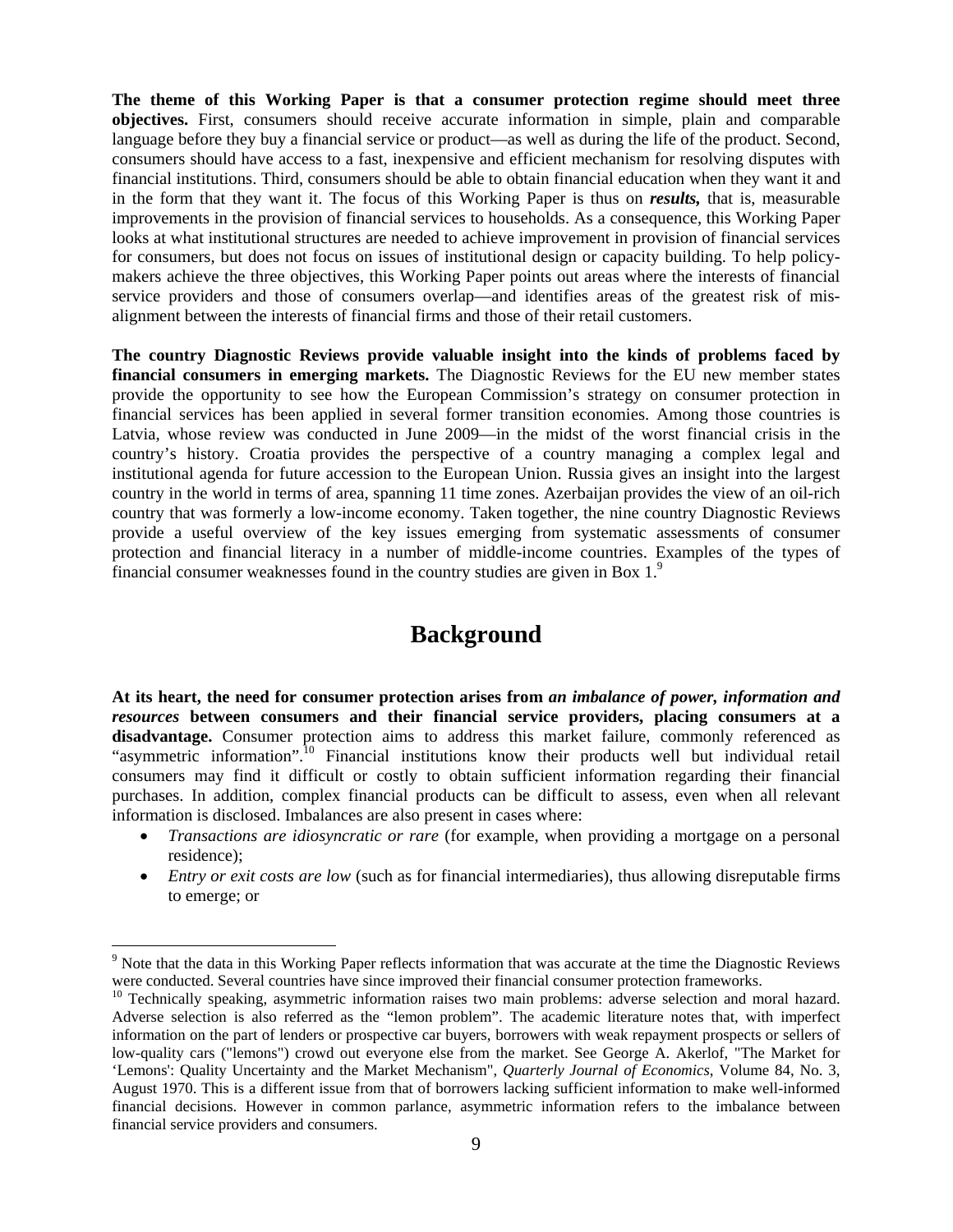**The theme of this Working Paper is that a consumer protection regime should meet three objectives.** First, consumers should receive accurate information in simple, plain and comparable language before they buy a financial service or product—as well as during the life of the product. Second, consumers should have access to a fast, inexpensive and efficient mechanism for resolving disputes with financial institutions. Third, consumers should be able to obtain financial education when they want it and in the form that they want it. The focus of this Working Paper is thus on *results,* that is, measurable improvements in the provision of financial services to households. As a consequence, this Working Paper looks at what institutional structures are needed to achieve improvement in provision of financial services for consumers, but does not focus on issues of institutional design or capacity building. To help policymakers achieve the three objectives, this Working Paper points out areas where the interests of financial service providers and those of consumers overlap—and identifies areas of the greatest risk of misalignment between the interests of financial firms and those of their retail customers.

**The country Diagnostic Reviews provide valuable insight into the kinds of problems faced by financial consumers in emerging markets.** The Diagnostic Reviews for the EU new member states provide the opportunity to see how the European Commission's strategy on consumer protection in financial services has been applied in several former transition economies. Among those countries is Latvia, whose review was conducted in June 2009—in the midst of the worst financial crisis in the country's history. Croatia provides the perspective of a country managing a complex legal and institutional agenda for future accession to the European Union. Russia gives an insight into the largest country in the world in terms of area, spanning 11 time zones. Azerbaijan provides the view of an oil-rich country that was formerly a low-income economy. Taken together, the nine country Diagnostic Reviews provide a useful overview of the key issues emerging from systematic assessments of consumer protection and financial literacy in a number of middle-income countries. Examples of the types of financial consumer weaknesses found in the country studies are given in Box  $1<sup>9</sup>$ 

# **Background**

**At its heart, the need for consumer protection arises from** *an imbalance of power, information and resources* **between consumers and their financial service providers, placing consumers at a disadvantage.** Consumer protection aims to address this market failure, commonly referenced as "asymmetric information".10 Financial institutions know their products well but individual retail consumers may find it difficult or costly to obtain sufficient information regarding their financial purchases. In addition, complex financial products can be difficult to assess, even when all relevant information is disclosed. Imbalances are also present in cases where:

- *Transactions are idiosyncratic or rare* (for example, when providing a mortgage on a personal residence);
- *Entry or exit costs are low* (such as for financial intermediaries), thus allowing disreputable firms to emerge; or

<sup>&</sup>lt;sup>9</sup> Note that the data in this Working Paper reflects information that was accurate at the time the Diagnostic Reviews were conducted. Several countries have since improved their financial consumer protection frameworks.<br><sup>10</sup> Technically speaking, asymmetric information raises two main problems: adverse selection and moral hazard.

Adverse selection is also referred as the "lemon problem". The academic literature notes that, with imperfect information on the part of lenders or prospective car buyers, borrowers with weak repayment prospects or sellers of low-quality cars ("lemons") crowd out everyone else from the market. See George A. Akerlof, "The Market for 'Lemons': Quality Uncertainty and the Market Mechanism", *Quarterly Journal of Economics*, Volume 84, No. 3, August 1970. This is a different issue from that of borrowers lacking sufficient information to make well-informed financial decisions. However in common parlance, asymmetric information refers to the imbalance between financial service providers and consumers.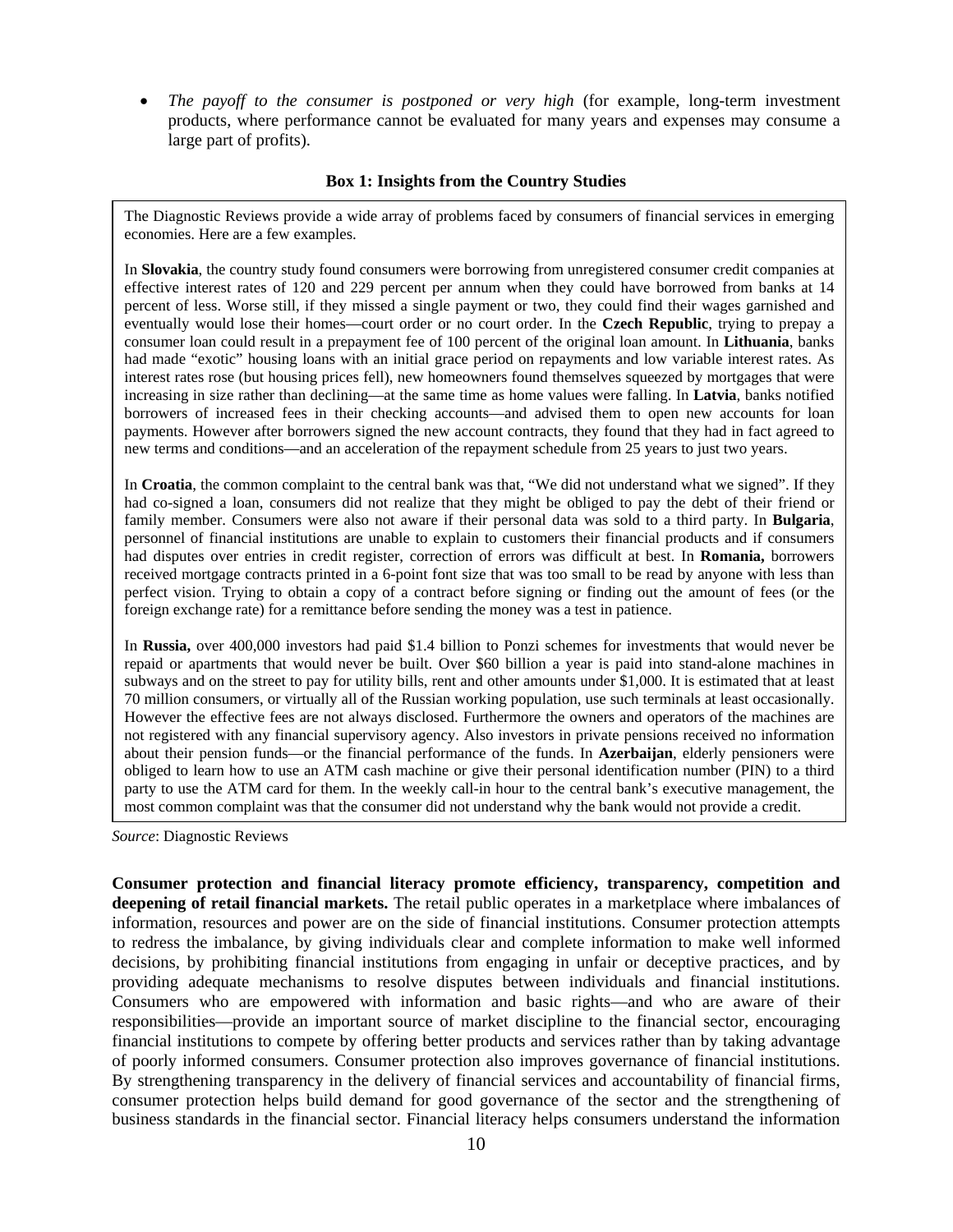*The payoff to the consumer is postponed or very high* (for example, long-term investment products, where performance cannot be evaluated for many years and expenses may consume a large part of profits).

#### **Box 1: Insights from the Country Studies**

The Diagnostic Reviews provide a wide array of problems faced by consumers of financial services in emerging economies. Here are a few examples.

In **Slovakia**, the country study found consumers were borrowing from unregistered consumer credit companies at effective interest rates of 120 and 229 percent per annum when they could have borrowed from banks at 14 percent of less. Worse still, if they missed a single payment or two, they could find their wages garnished and eventually would lose their homes—court order or no court order. In the **Czech Republic**, trying to prepay a consumer loan could result in a prepayment fee of 100 percent of the original loan amount. In **Lithuania**, banks had made "exotic" housing loans with an initial grace period on repayments and low variable interest rates. As interest rates rose (but housing prices fell), new homeowners found themselves squeezed by mortgages that were increasing in size rather than declining—at the same time as home values were falling. In **Latvia**, banks notified borrowers of increased fees in their checking accounts—and advised them to open new accounts for loan payments. However after borrowers signed the new account contracts, they found that they had in fact agreed to new terms and conditions—and an acceleration of the repayment schedule from 25 years to just two years.

In **Croatia**, the common complaint to the central bank was that, "We did not understand what we signed". If they had co-signed a loan, consumers did not realize that they might be obliged to pay the debt of their friend or family member. Consumers were also not aware if their personal data was sold to a third party. In **Bulgaria**, personnel of financial institutions are unable to explain to customers their financial products and if consumers had disputes over entries in credit register, correction of errors was difficult at best. In **Romania,** borrowers received mortgage contracts printed in a 6-point font size that was too small to be read by anyone with less than perfect vision. Trying to obtain a copy of a contract before signing or finding out the amount of fees (or the foreign exchange rate) for a remittance before sending the money was a test in patience.

In **Russia,** over 400,000 investors had paid \$1.4 billion to Ponzi schemes for investments that would never be repaid or apartments that would never be built. Over \$60 billion a year is paid into stand-alone machines in subways and on the street to pay for utility bills, rent and other amounts under \$1,000. It is estimated that at least 70 million consumers, or virtually all of the Russian working population, use such terminals at least occasionally. However the effective fees are not always disclosed. Furthermore the owners and operators of the machines are not registered with any financial supervisory agency. Also investors in private pensions received no information about their pension funds—or the financial performance of the funds. In **Azerbaijan**, elderly pensioners were obliged to learn how to use an ATM cash machine or give their personal identification number (PIN) to a third party to use the ATM card for them. In the weekly call-in hour to the central bank's executive management, the most common complaint was that the consumer did not understand why the bank would not provide a credit.

*Source*: Diagnostic Reviews

**Consumer protection and financial literacy promote efficiency, transparency, competition and deepening of retail financial markets.** The retail public operates in a marketplace where imbalances of information, resources and power are on the side of financial institutions. Consumer protection attempts to redress the imbalance, by giving individuals clear and complete information to make well informed decisions, by prohibiting financial institutions from engaging in unfair or deceptive practices, and by providing adequate mechanisms to resolve disputes between individuals and financial institutions. Consumers who are empowered with information and basic rights—and who are aware of their responsibilities—provide an important source of market discipline to the financial sector, encouraging financial institutions to compete by offering better products and services rather than by taking advantage of poorly informed consumers. Consumer protection also improves governance of financial institutions. By strengthening transparency in the delivery of financial services and accountability of financial firms, consumer protection helps build demand for good governance of the sector and the strengthening of business standards in the financial sector. Financial literacy helps consumers understand the information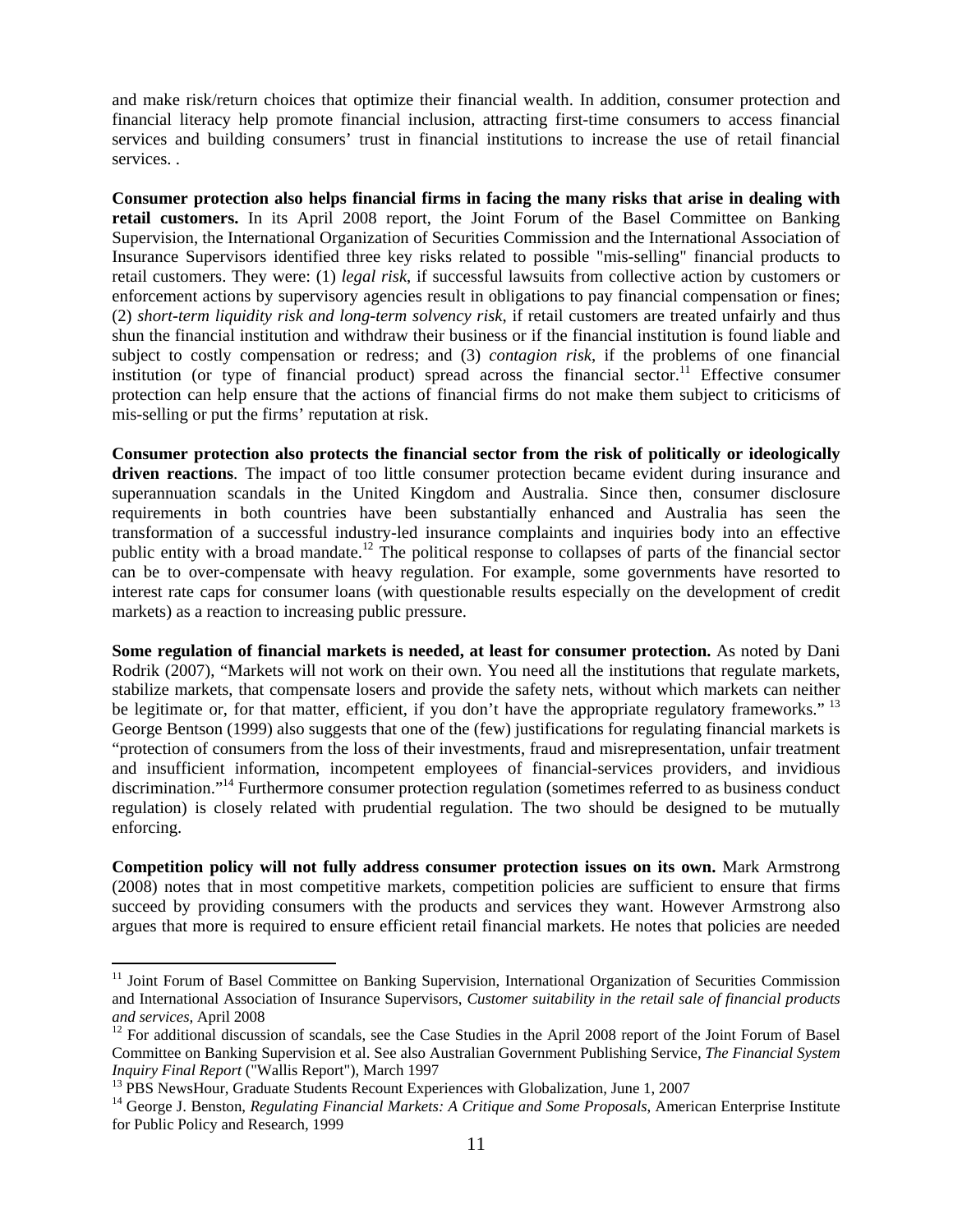and make risk/return choices that optimize their financial wealth. In addition, consumer protection and financial literacy help promote financial inclusion, attracting first-time consumers to access financial services and building consumers' trust in financial institutions to increase the use of retail financial services. .

**Consumer protection also helps financial firms in facing the many risks that arise in dealing with retail customers.** In its April 2008 report, the Joint Forum of the Basel Committee on Banking Supervision, the International Organization of Securities Commission and the International Association of Insurance Supervisors identified three key risks related to possible "mis-selling" financial products to retail customers. They were: (1) *legal risk*, if successful lawsuits from collective action by customers or enforcement actions by supervisory agencies result in obligations to pay financial compensation or fines; (2) *short-term liquidity risk and long-term solvency risk*, if retail customers are treated unfairly and thus shun the financial institution and withdraw their business or if the financial institution is found liable and subject to costly compensation or redress; and (3) *contagion risk*, if the problems of one financial institution (or type of financial product) spread across the financial sector.<sup>11</sup> Effective consumer protection can help ensure that the actions of financial firms do not make them subject to criticisms of mis-selling or put the firms' reputation at risk.

**Consumer protection also protects the financial sector from the risk of politically or ideologically driven reactions**. The impact of too little consumer protection became evident during insurance and superannuation scandals in the United Kingdom and Australia. Since then, consumer disclosure requirements in both countries have been substantially enhanced and Australia has seen the transformation of a successful industry-led insurance complaints and inquiries body into an effective public entity with a broad mandate.<sup>12</sup> The political response to collapses of parts of the financial sector can be to over-compensate with heavy regulation. For example, some governments have resorted to interest rate caps for consumer loans (with questionable results especially on the development of credit markets) as a reaction to increasing public pressure.

**Some regulation of financial markets is needed, at least for consumer protection.** As noted by Dani Rodrik (2007), "Markets will not work on their own. You need all the institutions that regulate markets, stabilize markets, that compensate losers and provide the safety nets, without which markets can neither be legitimate or, for that matter, efficient, if you don't have the appropriate regulatory frameworks."<sup>13</sup> George Bentson (1999) also suggests that one of the (few) justifications for regulating financial markets is "protection of consumers from the loss of their investments, fraud and misrepresentation, unfair treatment and insufficient information, incompetent employees of financial-services providers, and invidious discrimination."<sup>14</sup> Furthermore consumer protection regulation (sometimes referred to as business conduct regulation) is closely related with prudential regulation. The two should be designed to be mutually enforcing.

**Competition policy will not fully address consumer protection issues on its own.** Mark Armstrong (2008) notes that in most competitive markets, competition policies are sufficient to ensure that firms succeed by providing consumers with the products and services they want. However Armstrong also argues that more is required to ensure efficient retail financial markets. He notes that policies are needed

<sup>&</sup>lt;sup>11</sup> Joint Forum of Basel Committee on Banking Supervision, International Organization of Securities Commission and International Association of Insurance Supervisors, *Customer suitability in the retail sale of financial products* 

<sup>&</sup>lt;sup>12</sup> For additional discussion of scandals, see the Case Studies in the April 2008 report of the Joint Forum of Basel Committee on Banking Supervision et al. See also Australian Government Publishing Service, *The Financial System* 

<sup>&</sup>lt;sup>13</sup> PBS NewsHour, Graduate Students Recount Experiences with Globalization, June 1, 2007

<sup>14</sup> George J. Benston, *Regulating Financial Markets: A Critique and Some Proposals*, American Enterprise Institute for Public Policy and Research, 1999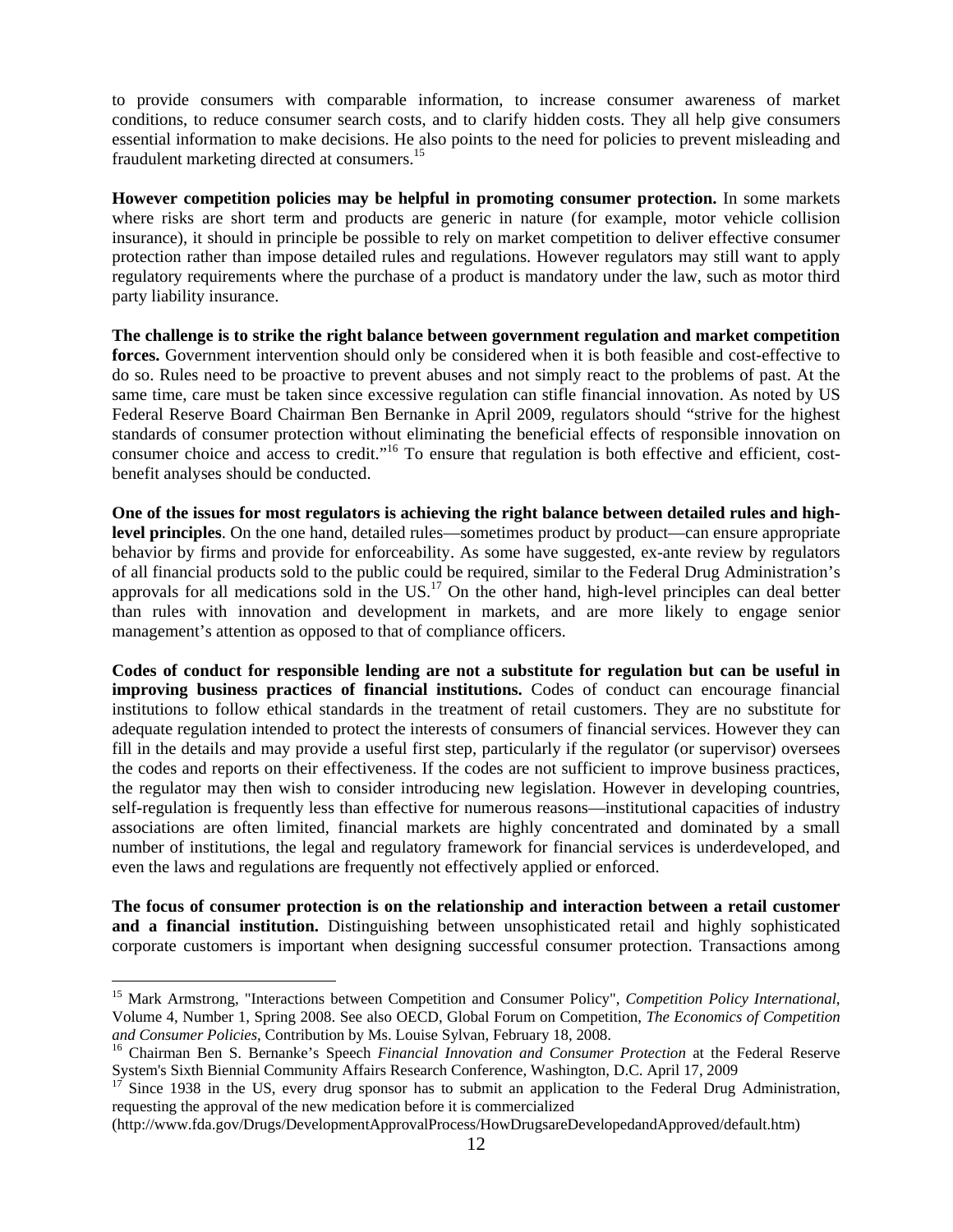to provide consumers with comparable information, to increase consumer awareness of market conditions, to reduce consumer search costs, and to clarify hidden costs. They all help give consumers essential information to make decisions. He also points to the need for policies to prevent misleading and fraudulent marketing directed at consumers.<sup>15</sup>

**However competition policies may be helpful in promoting consumer protection.** In some markets where risks are short term and products are generic in nature (for example, motor vehicle collision insurance), it should in principle be possible to rely on market competition to deliver effective consumer protection rather than impose detailed rules and regulations. However regulators may still want to apply regulatory requirements where the purchase of a product is mandatory under the law, such as motor third party liability insurance.

**The challenge is to strike the right balance between government regulation and market competition forces.** Government intervention should only be considered when it is both feasible and cost-effective to do so. Rules need to be proactive to prevent abuses and not simply react to the problems of past. At the same time, care must be taken since excessive regulation can stifle financial innovation. As noted by US Federal Reserve Board Chairman Ben Bernanke in April 2009, regulators should "strive for the highest standards of consumer protection without eliminating the beneficial effects of responsible innovation on consumer choice and access to credit."<sup>16</sup> To ensure that regulation is both effective and efficient, costbenefit analyses should be conducted.

**One of the issues for most regulators is achieving the right balance between detailed rules and highlevel principles**. On the one hand, detailed rules—sometimes product by product—can ensure appropriate behavior by firms and provide for enforceability. As some have suggested, ex-ante review by regulators of all financial products sold to the public could be required, similar to the Federal Drug Administration's approvals for all medications sold in the US. $^{17}$  On the other hand, high-level principles can deal better than rules with innovation and development in markets, and are more likely to engage senior management's attention as opposed to that of compliance officers.

**Codes of conduct for responsible lending are not a substitute for regulation but can be useful in improving business practices of financial institutions.** Codes of conduct can encourage financial institutions to follow ethical standards in the treatment of retail customers. They are no substitute for adequate regulation intended to protect the interests of consumers of financial services. However they can fill in the details and may provide a useful first step, particularly if the regulator (or supervisor) oversees the codes and reports on their effectiveness. If the codes are not sufficient to improve business practices, the regulator may then wish to consider introducing new legislation. However in developing countries, self-regulation is frequently less than effective for numerous reasons—institutional capacities of industry associations are often limited, financial markets are highly concentrated and dominated by a small number of institutions, the legal and regulatory framework for financial services is underdeveloped, and even the laws and regulations are frequently not effectively applied or enforced.

**The focus of consumer protection is on the relationship and interaction between a retail customer and a financial institution.** Distinguishing between unsophisticated retail and highly sophisticated corporate customers is important when designing successful consumer protection. Transactions among

<sup>15</sup> Mark Armstrong, "Interactions between Competition and Consumer Policy", *Competition Policy International*, Volume 4, Number 1, Spring 2008. See also OECD, Global Forum on Competition, *The Economics of Competition and Consumer Policies*, Contribution by Ms. Louise Sylvan, February 18, 2008.<br><sup>16</sup> Chairman Ben S. Bernanke's Speech *Financial Innovation and Consumer Protection* at the Federal Reserve

System's Sixth Biennial Community Affairs Research Conference, Washington, D.C. April 17, 2009

Since 1938 in the US, every drug sponsor has to submit an application to the Federal Drug Administration, requesting the approval of the new medication before it is commercialized

<sup>(</sup>http://www.fda.gov/Drugs/DevelopmentApprovalProcess/HowDrugsareDevelopedandApproved/default.htm)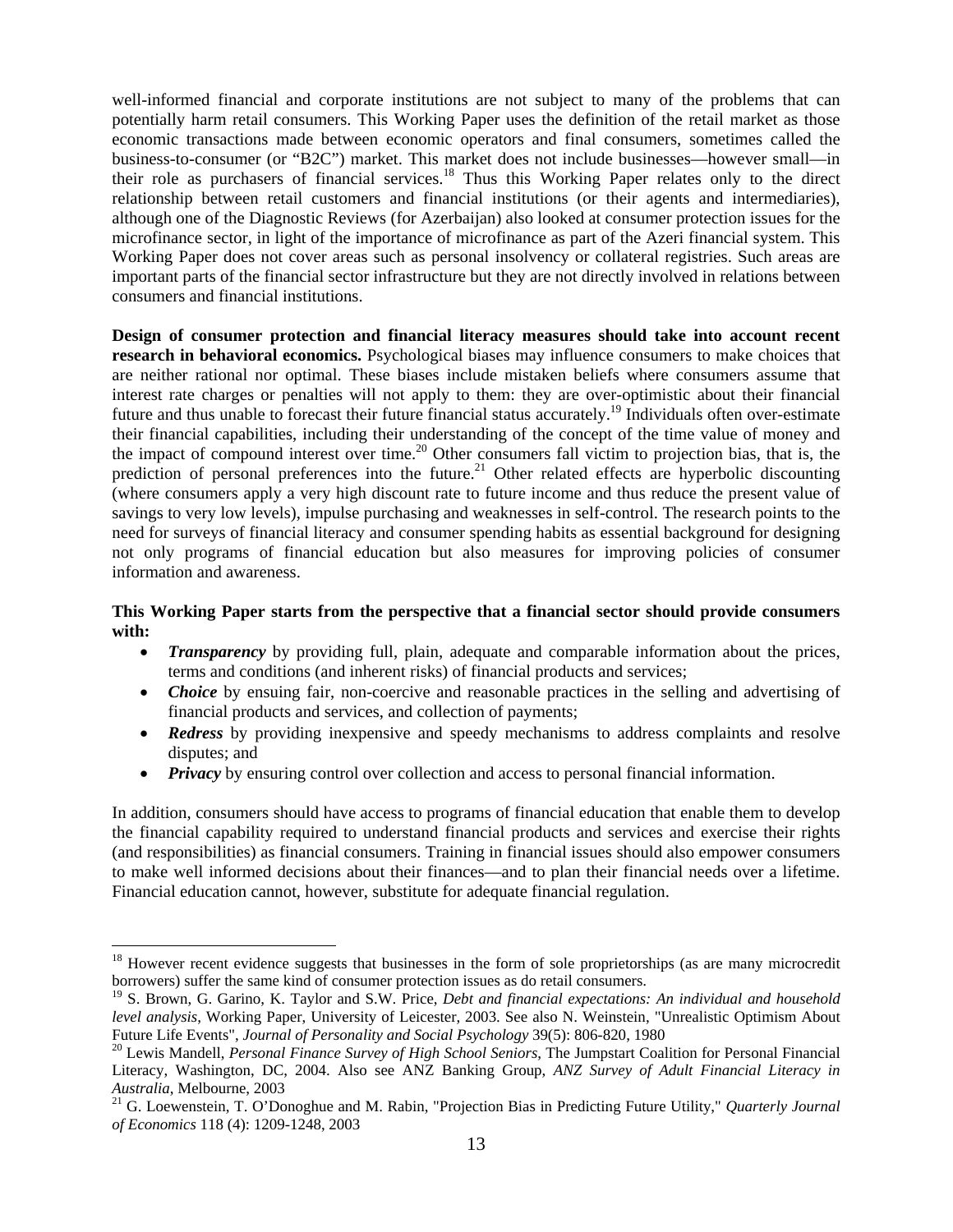well-informed financial and corporate institutions are not subject to many of the problems that can potentially harm retail consumers. This Working Paper uses the definition of the retail market as those economic transactions made between economic operators and final consumers, sometimes called the business-to-consumer (or "B2C") market. This market does not include businesses—however small—in their role as purchasers of financial services.<sup>18</sup> Thus this Working Paper relates only to the direct relationship between retail customers and financial institutions (or their agents and intermediaries), although one of the Diagnostic Reviews (for Azerbaijan) also looked at consumer protection issues for the microfinance sector, in light of the importance of microfinance as part of the Azeri financial system. This Working Paper does not cover areas such as personal insolvency or collateral registries. Such areas are important parts of the financial sector infrastructure but they are not directly involved in relations between consumers and financial institutions.

**Design of consumer protection and financial literacy measures should take into account recent research in behavioral economics.** Psychological biases may influence consumers to make choices that are neither rational nor optimal. These biases include mistaken beliefs where consumers assume that interest rate charges or penalties will not apply to them: they are over-optimistic about their financial future and thus unable to forecast their future financial status accurately.19 Individuals often over-estimate their financial capabilities, including their understanding of the concept of the time value of money and the impact of compound interest over time.<sup>20</sup> Other consumers fall victim to projection bias, that is, the prediction of personal preferences into the future.<sup>21</sup> Other related effects are hyperbolic discounting (where consumers apply a very high discount rate to future income and thus reduce the present value of savings to very low levels), impulse purchasing and weaknesses in self-control. The research points to the need for surveys of financial literacy and consumer spending habits as essential background for designing not only programs of financial education but also measures for improving policies of consumer information and awareness.

#### **This Working Paper starts from the perspective that a financial sector should provide consumers with:**

- *Transparency* by providing full, plain, adequate and comparable information about the prices, terms and conditions (and inherent risks) of financial products and services;
- *Choice* by ensuing fair, non-coercive and reasonable practices in the selling and advertising of financial products and services, and collection of payments;
- *Redress* by providing inexpensive and speedy mechanisms to address complaints and resolve disputes; and
- *Privacy* by ensuring control over collection and access to personal financial information.

In addition, consumers should have access to programs of financial education that enable them to develop the financial capability required to understand financial products and services and exercise their rights (and responsibilities) as financial consumers. Training in financial issues should also empower consumers to make well informed decisions about their finances—and to plan their financial needs over a lifetime. Financial education cannot, however, substitute for adequate financial regulation.

<sup>&</sup>lt;sup>18</sup> However recent evidence suggests that businesses in the form of sole proprietorships (as are many microcredit borrowers) suffer the same kind of consumer protection issues as do retail consumers.

<sup>19</sup> S. Brown, G. Garino, K. Taylor and S.W. Price, *Debt and financial expectations: An individual and household level analysis*, Working Paper, University of Leicester, 2003. See also N. Weinstein, "Unrealistic Optimism About Future Life Events", *Journal of Personality and Social Psychology* 39(5): 806-820, 1980<br><sup>20</sup> Lewis Mandell, *Personal Finance Survey of High School Seniors*, The Jumpstart Coalition for Personal Financial

Literacy, Washington, DC, 2004. Also see ANZ Banking Group, *ANZ Survey of Adult Financial Literacy in* 

*Australia*, Melbourne, 2003 21 G. Loewenstein, T. O'Donoghue and M. Rabin, "Projection Bias in Predicting Future Utility," *Quarterly Journal of Economics* 118 (4): 1209-1248, 2003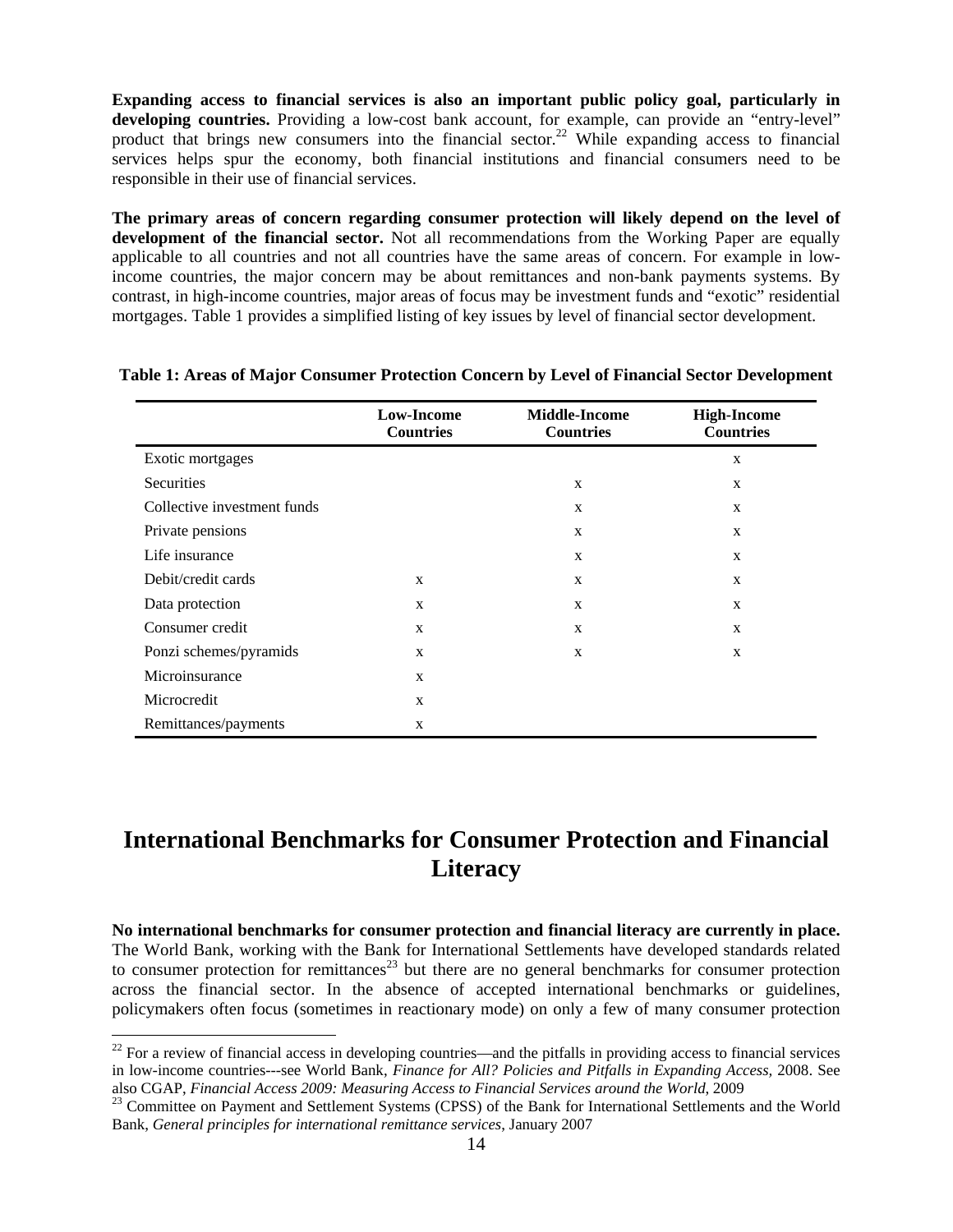**Expanding access to financial services is also an important public policy goal, particularly in developing countries.** Providing a low-cost bank account, for example, can provide an "entry-level" product that brings new consumers into the financial sector.<sup>22</sup> While expanding access to financial services helps spur the economy, both financial institutions and financial consumers need to be responsible in their use of financial services.

**The primary areas of concern regarding consumer protection will likely depend on the level of development of the financial sector.** Not all recommendations from the Working Paper are equally applicable to all countries and not all countries have the same areas of concern. For example in lowincome countries, the major concern may be about remittances and non-bank payments systems. By contrast, in high-income countries, major areas of focus may be investment funds and "exotic" residential mortgages. Table 1 provides a simplified listing of key issues by level of financial sector development.

|                             | <b>Low-Income</b><br><b>Countries</b> | <b>Middle-Income</b><br><b>Countries</b> | <b>High-Income</b><br><b>Countries</b> |
|-----------------------------|---------------------------------------|------------------------------------------|----------------------------------------|
| Exotic mortgages            |                                       |                                          | X                                      |
| <b>Securities</b>           |                                       | $\mathbf{x}$                             | $\mathbf{x}$                           |
| Collective investment funds |                                       | $\mathbf{x}$                             | X                                      |
| Private pensions            |                                       | $\mathbf{X}$                             | $\mathbf{x}$                           |
| Life insurance              |                                       | X                                        | $\mathbf{x}$                           |
| Debit/credit cards          | X                                     | X                                        | X                                      |
| Data protection             | X                                     | $\mathbf{x}$                             | $\mathbf{x}$                           |
| Consumer credit             | $\mathbf{x}$                          | X                                        | $\mathbf{x}$                           |
| Ponzi schemes/pyramids      | X                                     | X                                        | X                                      |
| Microinsurance              | X                                     |                                          |                                        |
| Microcredit                 | X                                     |                                          |                                        |
| Remittances/payments        | X                                     |                                          |                                        |

#### **Table 1: Areas of Major Consumer Protection Concern by Level of Financial Sector Development**

# **International Benchmarks for Consumer Protection and Financial Literacy**

**No international benchmarks for consumer protection and financial literacy are currently in place.** The World Bank, working with the Bank for International Settlements have developed standards related to consumer protection for remittances<sup>23</sup> but there are no general benchmarks for consumer protection across the financial sector. In the absence of accepted international benchmarks or guidelines, policymakers often focus (sometimes in reactionary mode) on only a few of many consumer protection

 $22$  For a review of financial access in developing countries—and the pitfalls in providing access to financial services in low-income countries---see World Bank, *Finance for All? Policies and Pitfalls in Expanding Access,* 2008. See also CGAP, *Financial Access 2009: Measuring Access to Financial Services around the World*, 2009<br><sup>23</sup> Committee on Payment and Settlement Systems (CPSS) of the Bank for International Settlements and the World

Bank, *General principles for international remittance services*, January 2007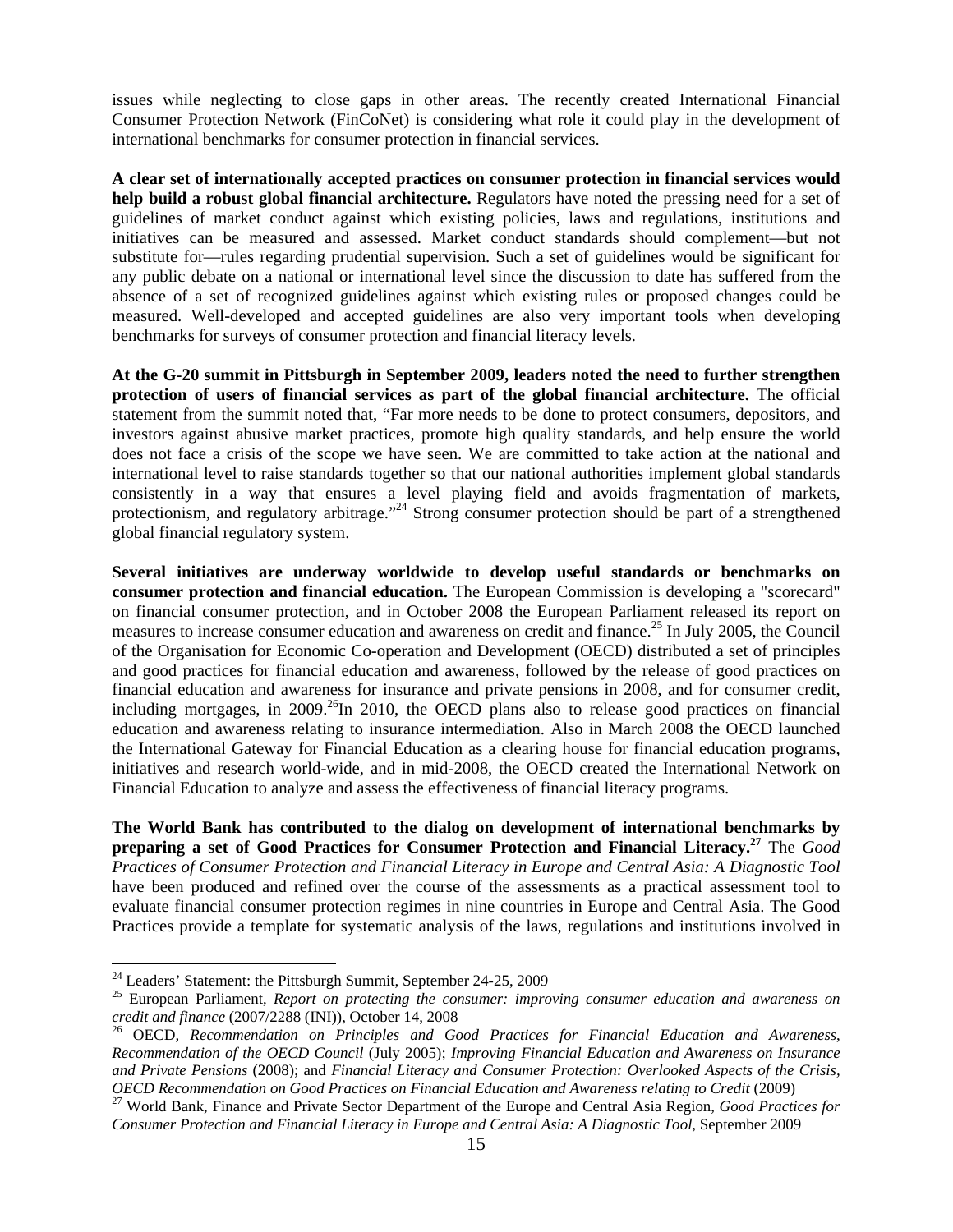issues while neglecting to close gaps in other areas. The recently created International Financial Consumer Protection Network (FinCoNet) is considering what role it could play in the development of international benchmarks for consumer protection in financial services.

**A clear set of internationally accepted practices on consumer protection in financial services would help build a robust global financial architecture.** Regulators have noted the pressing need for a set of guidelines of market conduct against which existing policies, laws and regulations, institutions and initiatives can be measured and assessed. Market conduct standards should complement—but not substitute for—rules regarding prudential supervision. Such a set of guidelines would be significant for any public debate on a national or international level since the discussion to date has suffered from the absence of a set of recognized guidelines against which existing rules or proposed changes could be measured. Well-developed and accepted guidelines are also very important tools when developing benchmarks for surveys of consumer protection and financial literacy levels.

**At the G-20 summit in Pittsburgh in September 2009, leaders noted the need to further strengthen protection of users of financial services as part of the global financial architecture.** The official statement from the summit noted that, "Far more needs to be done to protect consumers, depositors, and investors against abusive market practices, promote high quality standards, and help ensure the world does not face a crisis of the scope we have seen. We are committed to take action at the national and international level to raise standards together so that our national authorities implement global standards consistently in a way that ensures a level playing field and avoids fragmentation of markets, protectionism, and regulatory arbitrage."<sup>24</sup> Strong consumer protection should be part of a strengthened global financial regulatory system.

**Several initiatives are underway worldwide to develop useful standards or benchmarks on consumer protection and financial education.** The European Commission is developing a "scorecard" on financial consumer protection, and in October 2008 the European Parliament released its report on measures to increase consumer education and awareness on credit and finance.25 In July 2005, the Council of the Organisation for Economic Co-operation and Development (OECD) distributed a set of principles and good practices for financial education and awareness, followed by the release of good practices on financial education and awareness for insurance and private pensions in 2008, and for consumer credit, including mortgages, in  $2009<sup>26</sup>$  In 2010, the OECD plans also to release good practices on financial education and awareness relating to insurance intermediation. Also in March 2008 the OECD launched the International Gateway for Financial Education as a clearing house for financial education programs, initiatives and research world-wide, and in mid-2008, the OECD created the International Network on Financial Education to analyze and assess the effectiveness of financial literacy programs.

**The World Bank has contributed to the dialog on development of international benchmarks by preparing a set of Good Practices for Consumer Protection and Financial Literacy.27** The *Good Practices of Consumer Protection and Financial Literacy in Europe and Central Asia: A Diagnostic Tool* have been produced and refined over the course of the assessments as a practical assessment tool to evaluate financial consumer protection regimes in nine countries in Europe and Central Asia. The Good Practices provide a template for systematic analysis of the laws, regulations and institutions involved in

 $24$  Leaders' Statement: the Pittsburgh Summit, September 24-25, 2009

<sup>&</sup>lt;sup>25</sup> European Parliament, *Report on protecting the consumer: improving consumer education and awareness on credit and finance (2007/2288 (INI)), October 14, 2008* 

<sup>&</sup>lt;sup>26</sup> OECD, *Recommendation on Principles and Good Practices for Financial Education and Awareness*, *Recommendation of the OECD Council* (July 2005); *Improving Financial Education and Awareness on Insurance and Private Pensions* (2008); and *Financial Literacy and Consumer Protection: Overlooked Aspects of the Crisis,*  OECD Recommendation on Good Practices on Financial Education and Awareness relating to Credit (2009)<br><sup>27</sup> World Bank, Finance and Private Sector Department of the Europe and Central Asia Region, Good Practices for

*Consumer Protection and Financial Literacy in Europe and Central Asia: A Diagnostic Tool*, September 2009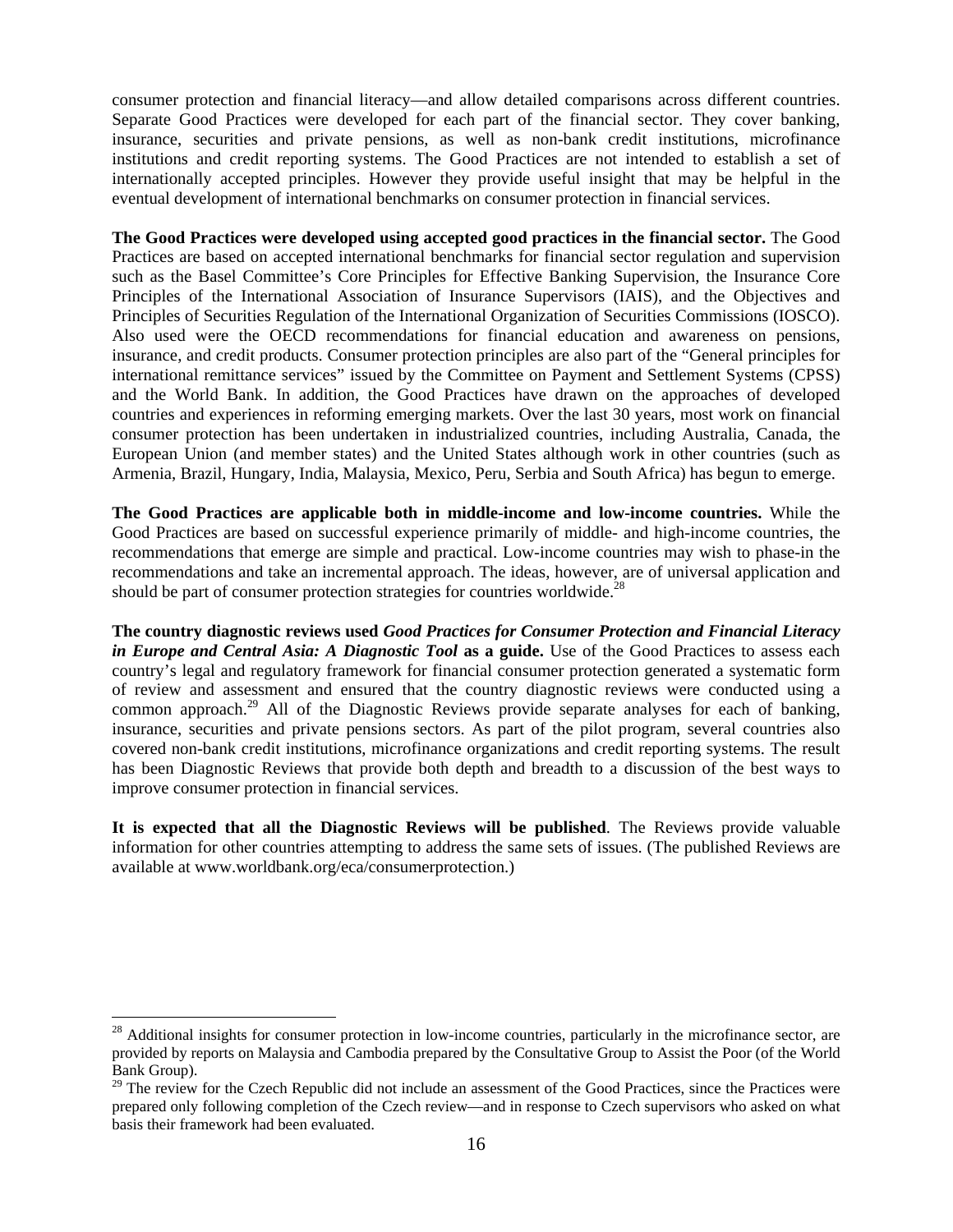consumer protection and financial literacy—and allow detailed comparisons across different countries. Separate Good Practices were developed for each part of the financial sector. They cover banking, insurance, securities and private pensions, as well as non-bank credit institutions, microfinance institutions and credit reporting systems. The Good Practices are not intended to establish a set of internationally accepted principles. However they provide useful insight that may be helpful in the eventual development of international benchmarks on consumer protection in financial services.

**The Good Practices were developed using accepted good practices in the financial sector.** The Good Practices are based on accepted international benchmarks for financial sector regulation and supervision such as the Basel Committee's Core Principles for Effective Banking Supervision, the Insurance Core Principles of the International Association of Insurance Supervisors (IAIS), and the Objectives and Principles of Securities Regulation of the International Organization of Securities Commissions (IOSCO). Also used were the OECD recommendations for financial education and awareness on pensions, insurance, and credit products. Consumer protection principles are also part of the "General principles for international remittance services" issued by the Committee on Payment and Settlement Systems (CPSS) and the World Bank. In addition, the Good Practices have drawn on the approaches of developed countries and experiences in reforming emerging markets. Over the last 30 years, most work on financial consumer protection has been undertaken in industrialized countries, including Australia, Canada, the European Union (and member states) and the United States although work in other countries (such as Armenia, Brazil, Hungary, India, Malaysia, Mexico, Peru, Serbia and South Africa) has begun to emerge.

**The Good Practices are applicable both in middle-income and low-income countries.** While the Good Practices are based on successful experience primarily of middle- and high-income countries, the recommendations that emerge are simple and practical. Low-income countries may wish to phase-in the recommendations and take an incremental approach. The ideas, however, are of universal application and should be part of consumer protection strategies for countries worldwide.<sup>28</sup>

**The country diagnostic reviews used** *Good Practices for Consumer Protection and Financial Literacy in Europe and Central Asia: A Diagnostic Tool* **as a guide.** Use of the Good Practices to assess each country's legal and regulatory framework for financial consumer protection generated a systematic form of review and assessment and ensured that the country diagnostic reviews were conducted using a common approach.<sup>29</sup> All of the Diagnostic Reviews provide separate analyses for each of banking, insurance, securities and private pensions sectors. As part of the pilot program, several countries also covered non-bank credit institutions, microfinance organizations and credit reporting systems. The result has been Diagnostic Reviews that provide both depth and breadth to a discussion of the best ways to improve consumer protection in financial services.

**It is expected that all the Diagnostic Reviews will be published**. The Reviews provide valuable information for other countries attempting to address the same sets of issues. (The published Reviews are available at www.worldbank.org/eca/consumerprotection.)

 $^{28}$  Additional insights for consumer protection in low-income countries, particularly in the microfinance sector, are provided by reports on Malaysia and Cambodia prepared by the Consultative Group to Assist the Poor (of the World Bank Group).

<sup>&</sup>lt;sup>29</sup> The review for the Czech Republic did not include an assessment of the Good Practices, since the Practices were prepared only following completion of the Czech review—and in response to Czech supervisors who asked on what basis their framework had been evaluated.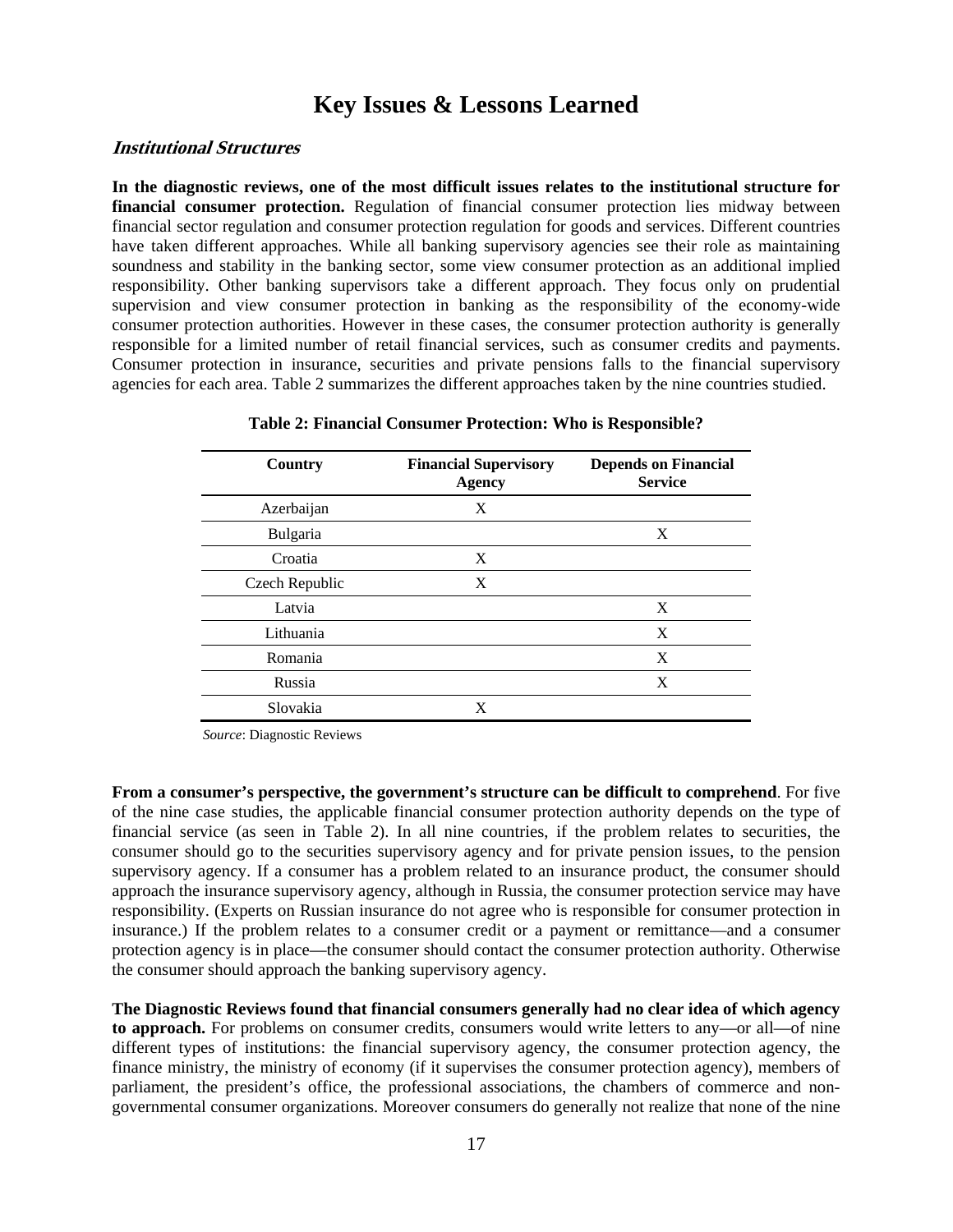# **Key Issues & Lessons Learned**

#### **Institutional Structures**

**In the diagnostic reviews, one of the most difficult issues relates to the institutional structure for financial consumer protection.** Regulation of financial consumer protection lies midway between financial sector regulation and consumer protection regulation for goods and services. Different countries have taken different approaches. While all banking supervisory agencies see their role as maintaining soundness and stability in the banking sector, some view consumer protection as an additional implied responsibility. Other banking supervisors take a different approach. They focus only on prudential supervision and view consumer protection in banking as the responsibility of the economy-wide consumer protection authorities. However in these cases, the consumer protection authority is generally responsible for a limited number of retail financial services, such as consumer credits and payments. Consumer protection in insurance, securities and private pensions falls to the financial supervisory agencies for each area. Table 2 summarizes the different approaches taken by the nine countries studied.

| Country        | <b>Financial Supervisory</b><br><b>Agency</b> | <b>Depends on Financial</b><br><b>Service</b> |  |
|----------------|-----------------------------------------------|-----------------------------------------------|--|
| Azerbaijan     | X                                             |                                               |  |
| Bulgaria       |                                               | X                                             |  |
| Croatia        | X                                             |                                               |  |
| Czech Republic | X                                             |                                               |  |
| Latvia         |                                               | X                                             |  |
| Lithuania      |                                               | X                                             |  |
| Romania        |                                               | X                                             |  |
| Russia         |                                               | X                                             |  |
| Slovakia       | X                                             |                                               |  |

#### **Table 2: Financial Consumer Protection: Who is Responsible?**

*Source*: Diagnostic Reviews

**From a consumer's perspective, the government's structure can be difficult to comprehend**. For five of the nine case studies, the applicable financial consumer protection authority depends on the type of financial service (as seen in Table 2). In all nine countries, if the problem relates to securities, the consumer should go to the securities supervisory agency and for private pension issues, to the pension supervisory agency. If a consumer has a problem related to an insurance product, the consumer should approach the insurance supervisory agency, although in Russia, the consumer protection service may have responsibility. (Experts on Russian insurance do not agree who is responsible for consumer protection in insurance.) If the problem relates to a consumer credit or a payment or remittance—and a consumer protection agency is in place—the consumer should contact the consumer protection authority. Otherwise the consumer should approach the banking supervisory agency.

**The Diagnostic Reviews found that financial consumers generally had no clear idea of which agency to approach.** For problems on consumer credits, consumers would write letters to any—or all—of nine different types of institutions: the financial supervisory agency, the consumer protection agency, the finance ministry, the ministry of economy (if it supervises the consumer protection agency), members of parliament, the president's office, the professional associations, the chambers of commerce and nongovernmental consumer organizations. Moreover consumers do generally not realize that none of the nine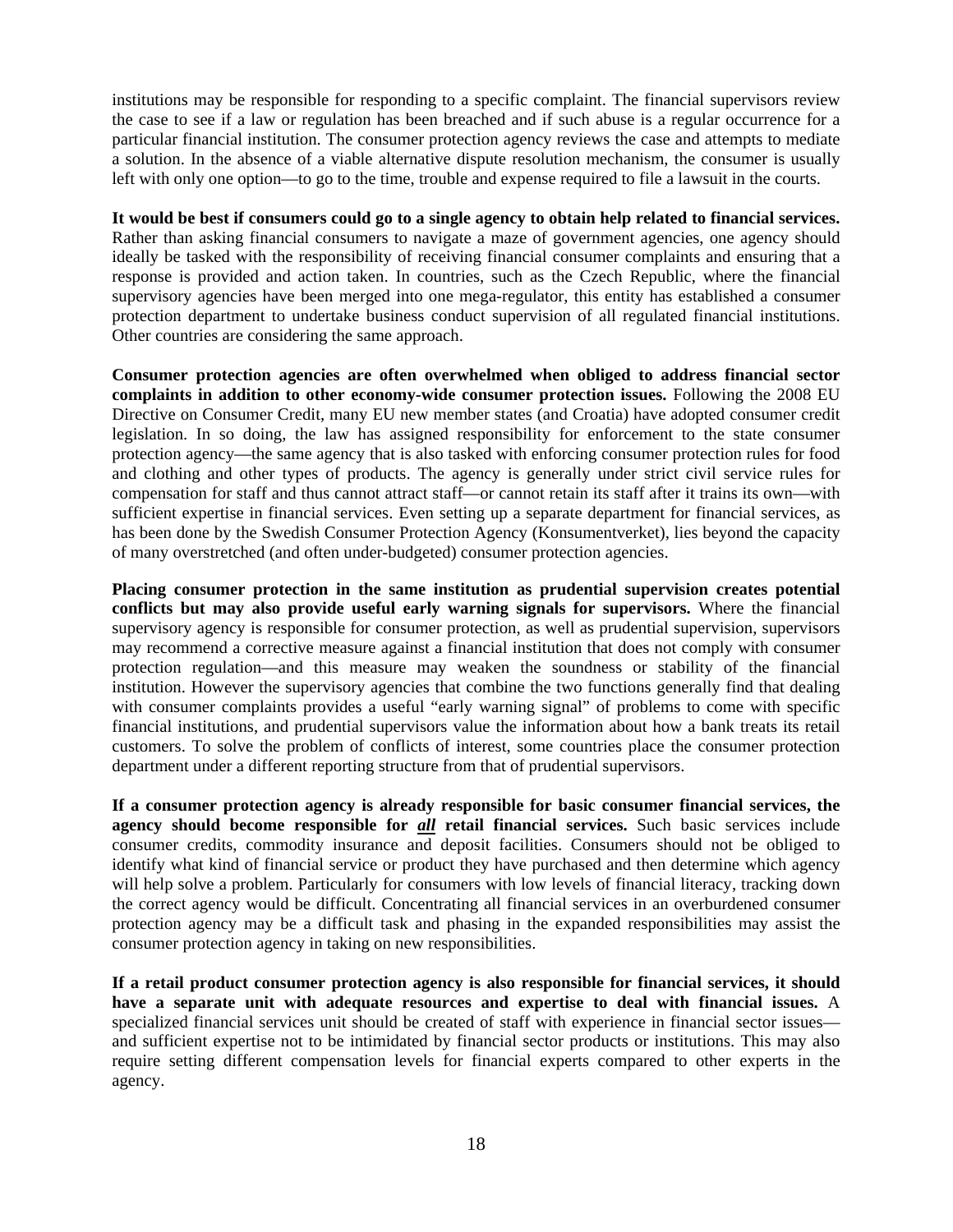institutions may be responsible for responding to a specific complaint. The financial supervisors review the case to see if a law or regulation has been breached and if such abuse is a regular occurrence for a particular financial institution. The consumer protection agency reviews the case and attempts to mediate a solution. In the absence of a viable alternative dispute resolution mechanism, the consumer is usually left with only one option—to go to the time, trouble and expense required to file a lawsuit in the courts.

# **It would be best if consumers could go to a single agency to obtain help related to financial services.**

Rather than asking financial consumers to navigate a maze of government agencies, one agency should ideally be tasked with the responsibility of receiving financial consumer complaints and ensuring that a response is provided and action taken. In countries, such as the Czech Republic, where the financial supervisory agencies have been merged into one mega-regulator, this entity has established a consumer protection department to undertake business conduct supervision of all regulated financial institutions. Other countries are considering the same approach.

**Consumer protection agencies are often overwhelmed when obliged to address financial sector complaints in addition to other economy-wide consumer protection issues.** Following the 2008 EU Directive on Consumer Credit, many EU new member states (and Croatia) have adopted consumer credit legislation. In so doing, the law has assigned responsibility for enforcement to the state consumer protection agency—the same agency that is also tasked with enforcing consumer protection rules for food and clothing and other types of products. The agency is generally under strict civil service rules for compensation for staff and thus cannot attract staff—or cannot retain its staff after it trains its own—with sufficient expertise in financial services. Even setting up a separate department for financial services, as has been done by the Swedish Consumer Protection Agency (Konsumentverket), lies beyond the capacity of many overstretched (and often under-budgeted) consumer protection agencies.

**Placing consumer protection in the same institution as prudential supervision creates potential conflicts but may also provide useful early warning signals for supervisors.** Where the financial supervisory agency is responsible for consumer protection, as well as prudential supervision, supervisors may recommend a corrective measure against a financial institution that does not comply with consumer protection regulation—and this measure may weaken the soundness or stability of the financial institution. However the supervisory agencies that combine the two functions generally find that dealing with consumer complaints provides a useful "early warning signal" of problems to come with specific financial institutions, and prudential supervisors value the information about how a bank treats its retail customers. To solve the problem of conflicts of interest, some countries place the consumer protection department under a different reporting structure from that of prudential supervisors.

**If a consumer protection agency is already responsible for basic consumer financial services, the agency should become responsible for** *all* **retail financial services.** Such basic services include consumer credits, commodity insurance and deposit facilities. Consumers should not be obliged to identify what kind of financial service or product they have purchased and then determine which agency will help solve a problem. Particularly for consumers with low levels of financial literacy, tracking down the correct agency would be difficult. Concentrating all financial services in an overburdened consumer protection agency may be a difficult task and phasing in the expanded responsibilities may assist the consumer protection agency in taking on new responsibilities.

**If a retail product consumer protection agency is also responsible for financial services, it should have a separate unit with adequate resources and expertise to deal with financial issues.** A specialized financial services unit should be created of staff with experience in financial sector issues and sufficient expertise not to be intimidated by financial sector products or institutions. This may also require setting different compensation levels for financial experts compared to other experts in the agency.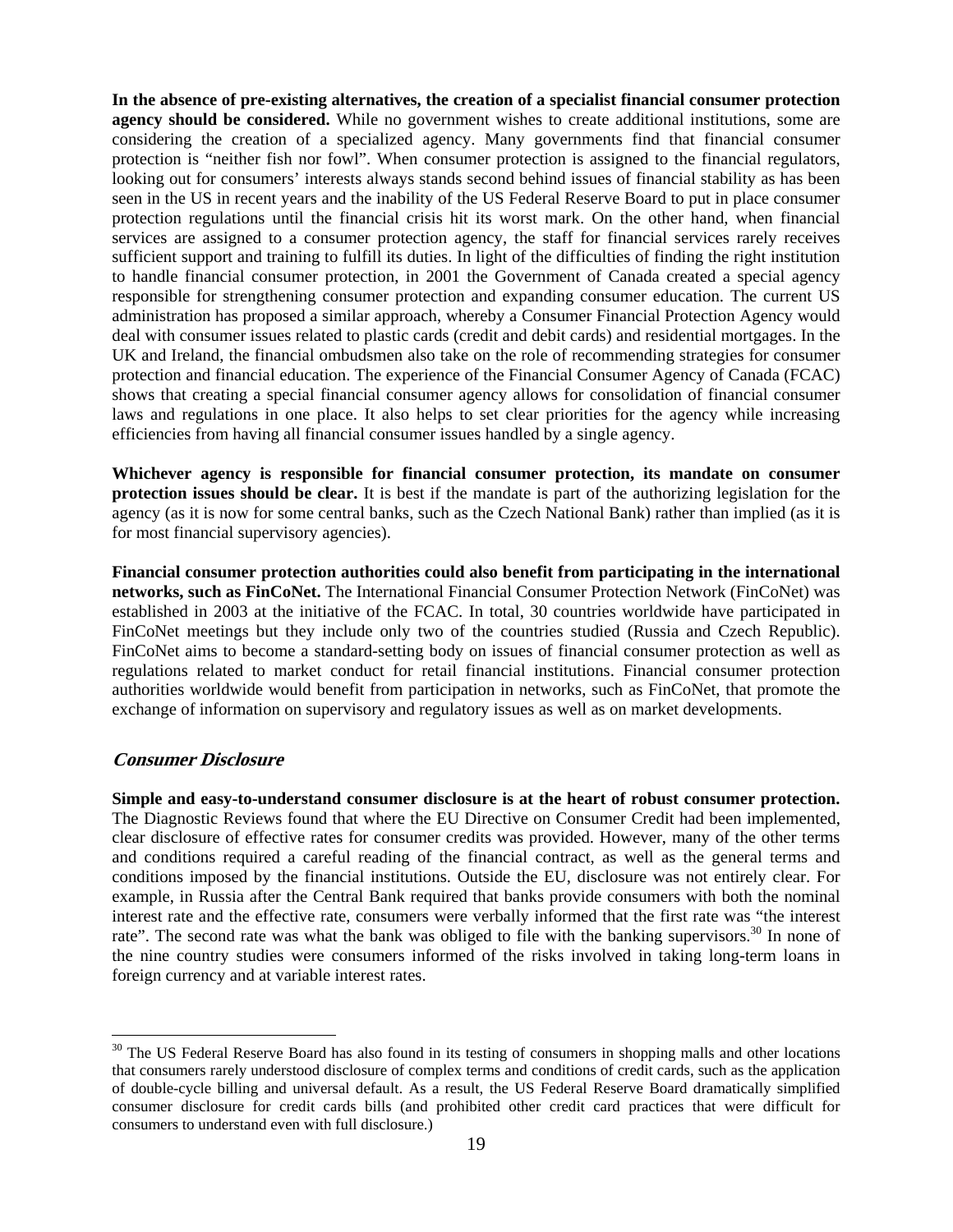**In the absence of pre-existing alternatives, the creation of a specialist financial consumer protection agency should be considered.** While no government wishes to create additional institutions, some are considering the creation of a specialized agency. Many governments find that financial consumer protection is "neither fish nor fowl". When consumer protection is assigned to the financial regulators, looking out for consumers' interests always stands second behind issues of financial stability as has been seen in the US in recent years and the inability of the US Federal Reserve Board to put in place consumer protection regulations until the financial crisis hit its worst mark. On the other hand, when financial services are assigned to a consumer protection agency, the staff for financial services rarely receives sufficient support and training to fulfill its duties. In light of the difficulties of finding the right institution to handle financial consumer protection, in 2001 the Government of Canada created a special agency responsible for strengthening consumer protection and expanding consumer education. The current US administration has proposed a similar approach, whereby a Consumer Financial Protection Agency would deal with consumer issues related to plastic cards (credit and debit cards) and residential mortgages. In the UK and Ireland, the financial ombudsmen also take on the role of recommending strategies for consumer protection and financial education. The experience of the Financial Consumer Agency of Canada (FCAC) shows that creating a special financial consumer agency allows for consolidation of financial consumer laws and regulations in one place. It also helps to set clear priorities for the agency while increasing efficiencies from having all financial consumer issues handled by a single agency.

**Whichever agency is responsible for financial consumer protection, its mandate on consumer protection issues should be clear.** It is best if the mandate is part of the authorizing legislation for the agency (as it is now for some central banks, such as the Czech National Bank) rather than implied (as it is for most financial supervisory agencies).

**Financial consumer protection authorities could also benefit from participating in the international networks, such as FinCoNet.** The International Financial Consumer Protection Network (FinCoNet) was established in 2003 at the initiative of the FCAC. In total, 30 countries worldwide have participated in FinCoNet meetings but they include only two of the countries studied (Russia and Czech Republic). FinCoNet aims to become a standard-setting body on issues of financial consumer protection as well as regulations related to market conduct for retail financial institutions. Financial consumer protection authorities worldwide would benefit from participation in networks, such as FinCoNet, that promote the exchange of information on supervisory and regulatory issues as well as on market developments.

## **Consumer Disclosure**

 $\overline{a}$ 

**Simple and easy-to-understand consumer disclosure is at the heart of robust consumer protection.**  The Diagnostic Reviews found that where the EU Directive on Consumer Credit had been implemented, clear disclosure of effective rates for consumer credits was provided. However, many of the other terms and conditions required a careful reading of the financial contract, as well as the general terms and conditions imposed by the financial institutions. Outside the EU, disclosure was not entirely clear. For example, in Russia after the Central Bank required that banks provide consumers with both the nominal interest rate and the effective rate, consumers were verbally informed that the first rate was "the interest rate". The second rate was what the bank was obliged to file with the banking supervisors.<sup>30</sup> In none of the nine country studies were consumers informed of the risks involved in taking long-term loans in foreign currency and at variable interest rates.

<sup>&</sup>lt;sup>30</sup> The US Federal Reserve Board has also found in its testing of consumers in shopping malls and other locations that consumers rarely understood disclosure of complex terms and conditions of credit cards, such as the application of double-cycle billing and universal default. As a result, the US Federal Reserve Board dramatically simplified consumer disclosure for credit cards bills (and prohibited other credit card practices that were difficult for consumers to understand even with full disclosure.)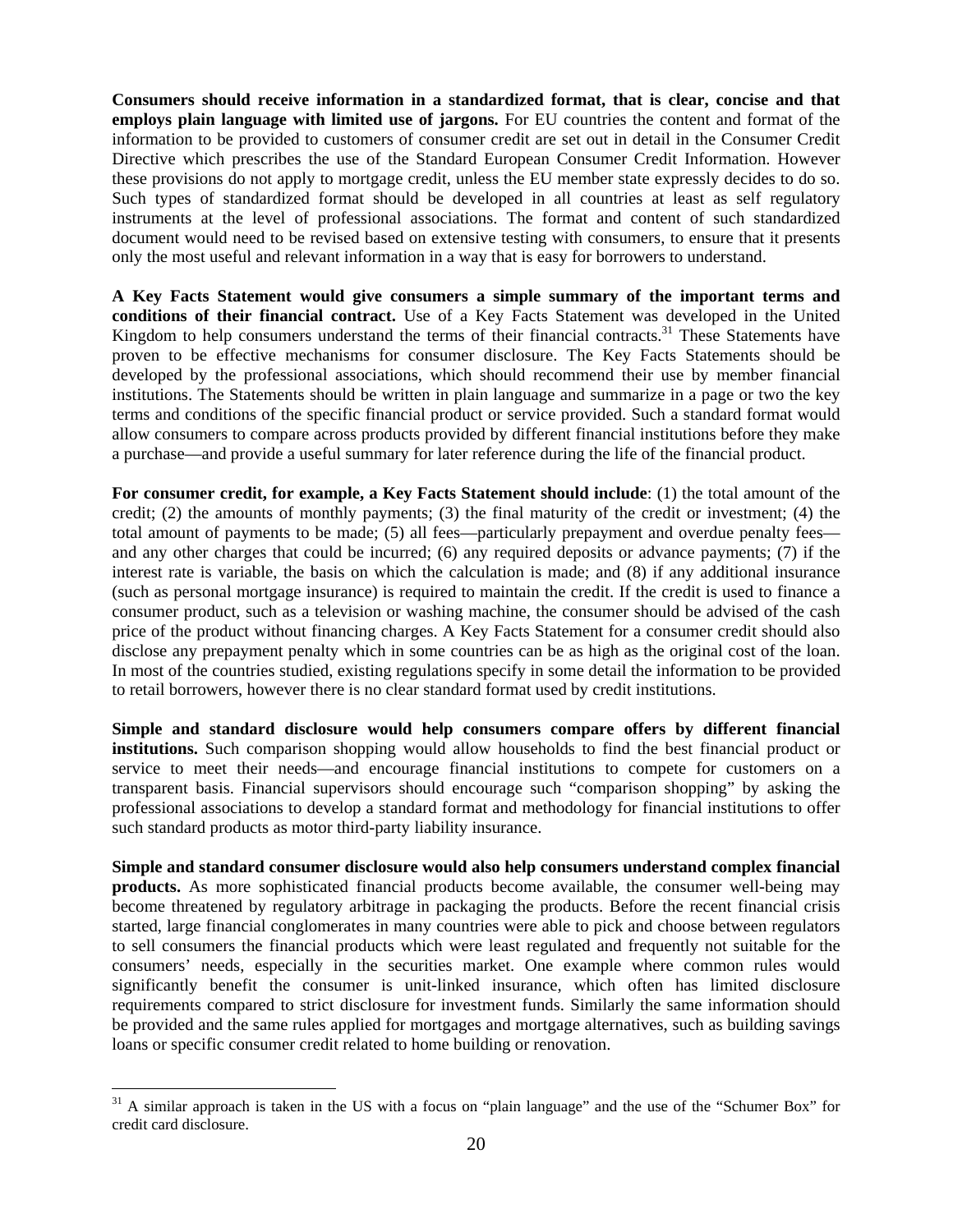**Consumers should receive information in a standardized format, that is clear, concise and that employs plain language with limited use of jargons.** For EU countries the content and format of the information to be provided to customers of consumer credit are set out in detail in the Consumer Credit Directive which prescribes the use of the Standard European Consumer Credit Information. However these provisions do not apply to mortgage credit, unless the EU member state expressly decides to do so. Such types of standardized format should be developed in all countries at least as self regulatory instruments at the level of professional associations. The format and content of such standardized document would need to be revised based on extensive testing with consumers, to ensure that it presents only the most useful and relevant information in a way that is easy for borrowers to understand.

**A Key Facts Statement would give consumers a simple summary of the important terms and conditions of their financial contract.** Use of a Key Facts Statement was developed in the United Kingdom to help consumers understand the terms of their financial contracts.<sup>31</sup> These Statements have proven to be effective mechanisms for consumer disclosure. The Key Facts Statements should be developed by the professional associations, which should recommend their use by member financial institutions. The Statements should be written in plain language and summarize in a page or two the key terms and conditions of the specific financial product or service provided. Such a standard format would allow consumers to compare across products provided by different financial institutions before they make a purchase—and provide a useful summary for later reference during the life of the financial product.

**For consumer credit, for example, a Key Facts Statement should include**: (1) the total amount of the credit; (2) the amounts of monthly payments; (3) the final maturity of the credit or investment; (4) the total amount of payments to be made; (5) all fees—particularly prepayment and overdue penalty fees and any other charges that could be incurred; (6) any required deposits or advance payments; (7) if the interest rate is variable, the basis on which the calculation is made; and (8) if any additional insurance (such as personal mortgage insurance) is required to maintain the credit. If the credit is used to finance a consumer product, such as a television or washing machine, the consumer should be advised of the cash price of the product without financing charges. A Key Facts Statement for a consumer credit should also disclose any prepayment penalty which in some countries can be as high as the original cost of the loan. In most of the countries studied, existing regulations specify in some detail the information to be provided to retail borrowers, however there is no clear standard format used by credit institutions.

**Simple and standard disclosure would help consumers compare offers by different financial institutions.** Such comparison shopping would allow households to find the best financial product or service to meet their needs—and encourage financial institutions to compete for customers on a transparent basis. Financial supervisors should encourage such "comparison shopping" by asking the professional associations to develop a standard format and methodology for financial institutions to offer such standard products as motor third-party liability insurance.

**Simple and standard consumer disclosure would also help consumers understand complex financial products.** As more sophisticated financial products become available, the consumer well-being may become threatened by regulatory arbitrage in packaging the products. Before the recent financial crisis started, large financial conglomerates in many countries were able to pick and choose between regulators to sell consumers the financial products which were least regulated and frequently not suitable for the consumers' needs, especially in the securities market. One example where common rules would significantly benefit the consumer is unit-linked insurance, which often has limited disclosure requirements compared to strict disclosure for investment funds. Similarly the same information should be provided and the same rules applied for mortgages and mortgage alternatives, such as building savings loans or specific consumer credit related to home building or renovation.

 $31$  A similar approach is taken in the US with a focus on "plain language" and the use of the "Schumer Box" for credit card disclosure.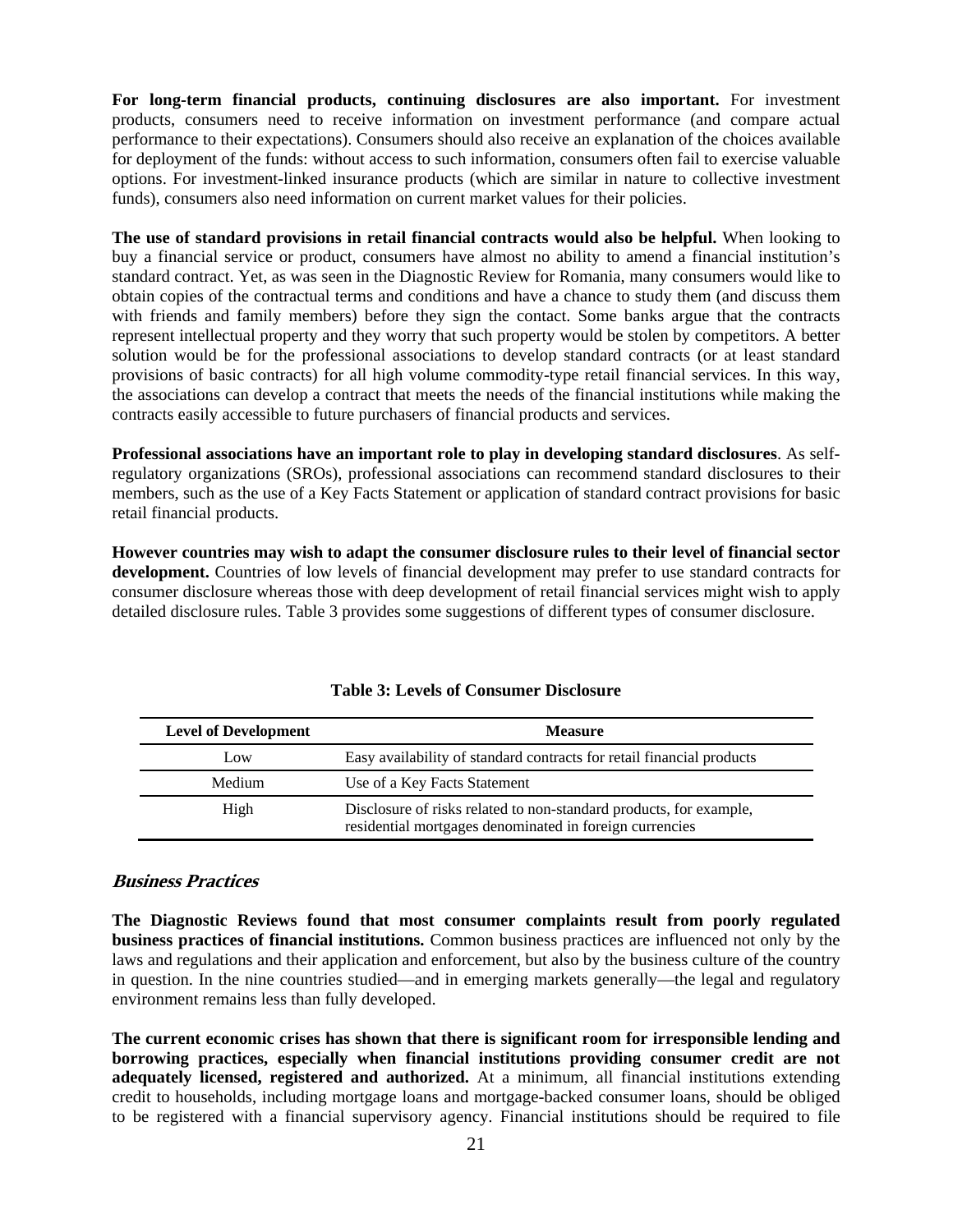**For long-term financial products, continuing disclosures are also important.** For investment products, consumers need to receive information on investment performance (and compare actual performance to their expectations). Consumers should also receive an explanation of the choices available for deployment of the funds: without access to such information, consumers often fail to exercise valuable options. For investment-linked insurance products (which are similar in nature to collective investment funds), consumers also need information on current market values for their policies.

**The use of standard provisions in retail financial contracts would also be helpful.** When looking to buy a financial service or product, consumers have almost no ability to amend a financial institution's standard contract. Yet, as was seen in the Diagnostic Review for Romania, many consumers would like to obtain copies of the contractual terms and conditions and have a chance to study them (and discuss them with friends and family members) before they sign the contact. Some banks argue that the contracts represent intellectual property and they worry that such property would be stolen by competitors. A better solution would be for the professional associations to develop standard contracts (or at least standard provisions of basic contracts) for all high volume commodity-type retail financial services. In this way, the associations can develop a contract that meets the needs of the financial institutions while making the contracts easily accessible to future purchasers of financial products and services.

**Professional associations have an important role to play in developing standard disclosures**. As selfregulatory organizations (SROs), professional associations can recommend standard disclosures to their members, such as the use of a Key Facts Statement or application of standard contract provisions for basic retail financial products.

**However countries may wish to adapt the consumer disclosure rules to their level of financial sector development.** Countries of low levels of financial development may prefer to use standard contracts for consumer disclosure whereas those with deep development of retail financial services might wish to apply detailed disclosure rules. Table 3 provides some suggestions of different types of consumer disclosure.

| <b>Level of Development</b> | <b>Measure</b>                                                                                                                |
|-----------------------------|-------------------------------------------------------------------------------------------------------------------------------|
| Low                         | Easy availability of standard contracts for retail financial products                                                         |
| Medium                      | Use of a Key Facts Statement                                                                                                  |
| High                        | Disclosure of risks related to non-standard products, for example,<br>residential mortgages denominated in foreign currencies |

**Table 3: Levels of Consumer Disclosure** 

# **Business Practices**

**The Diagnostic Reviews found that most consumer complaints result from poorly regulated business practices of financial institutions.** Common business practices are influenced not only by the laws and regulations and their application and enforcement, but also by the business culture of the country in question. In the nine countries studied—and in emerging markets generally—the legal and regulatory environment remains less than fully developed.

**The current economic crises has shown that there is significant room for irresponsible lending and borrowing practices, especially when financial institutions providing consumer credit are not adequately licensed, registered and authorized.** At a minimum, all financial institutions extending credit to households, including mortgage loans and mortgage-backed consumer loans, should be obliged to be registered with a financial supervisory agency. Financial institutions should be required to file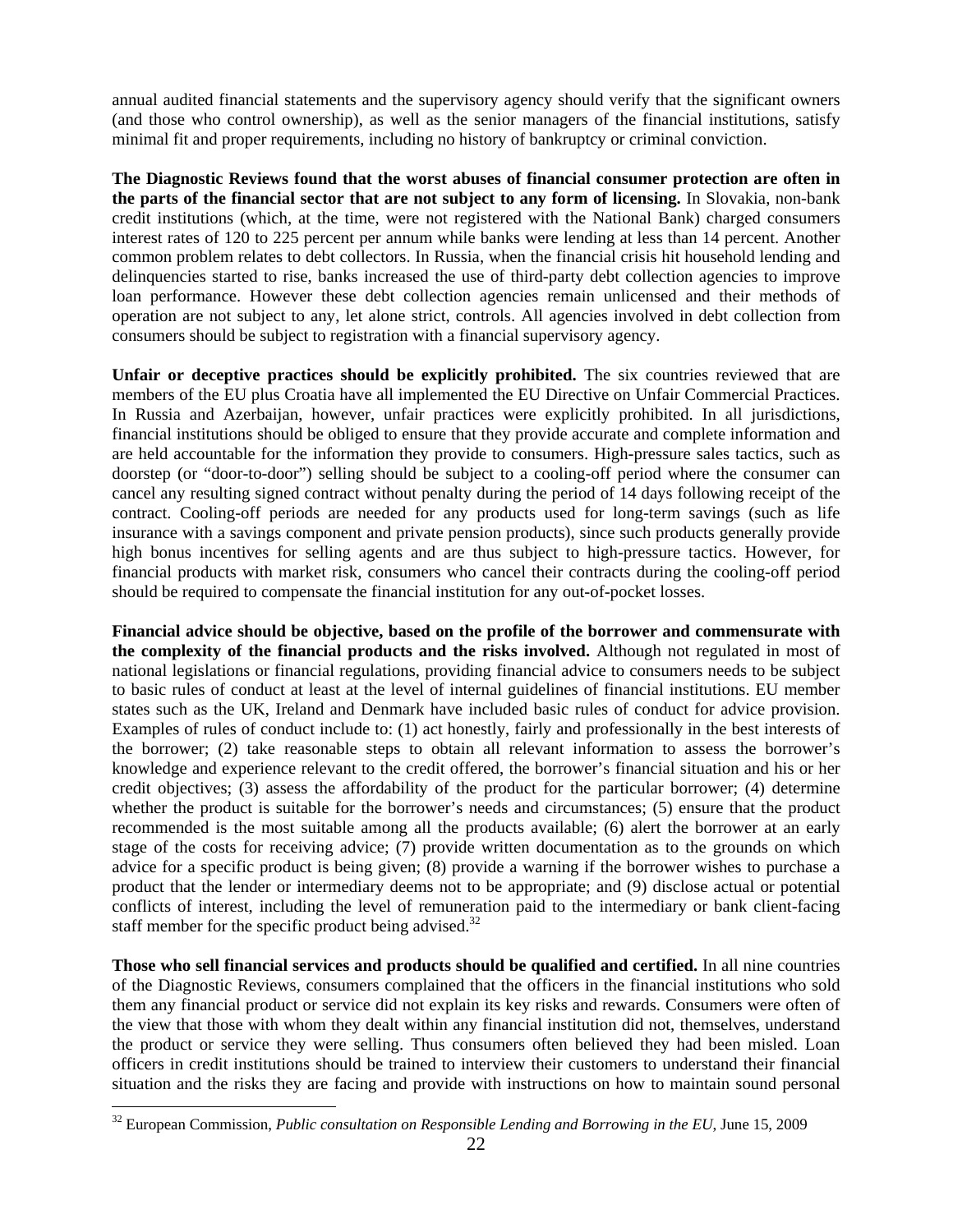annual audited financial statements and the supervisory agency should verify that the significant owners (and those who control ownership), as well as the senior managers of the financial institutions, satisfy minimal fit and proper requirements, including no history of bankruptcy or criminal conviction.

**The Diagnostic Reviews found that the worst abuses of financial consumer protection are often in the parts of the financial sector that are not subject to any form of licensing.** In Slovakia, non-bank credit institutions (which, at the time, were not registered with the National Bank) charged consumers interest rates of 120 to 225 percent per annum while banks were lending at less than 14 percent. Another common problem relates to debt collectors. In Russia, when the financial crisis hit household lending and delinquencies started to rise, banks increased the use of third-party debt collection agencies to improve loan performance. However these debt collection agencies remain unlicensed and their methods of operation are not subject to any, let alone strict, controls. All agencies involved in debt collection from consumers should be subject to registration with a financial supervisory agency.

**Unfair or deceptive practices should be explicitly prohibited.** The six countries reviewed that are members of the EU plus Croatia have all implemented the EU Directive on Unfair Commercial Practices. In Russia and Azerbaijan, however, unfair practices were explicitly prohibited. In all jurisdictions, financial institutions should be obliged to ensure that they provide accurate and complete information and are held accountable for the information they provide to consumers. High-pressure sales tactics, such as doorstep (or "door-to-door") selling should be subject to a cooling-off period where the consumer can cancel any resulting signed contract without penalty during the period of 14 days following receipt of the contract. Cooling-off periods are needed for any products used for long-term savings (such as life insurance with a savings component and private pension products), since such products generally provide high bonus incentives for selling agents and are thus subject to high-pressure tactics. However, for financial products with market risk, consumers who cancel their contracts during the cooling-off period should be required to compensate the financial institution for any out-of-pocket losses.

**Financial advice should be objective, based on the profile of the borrower and commensurate with the complexity of the financial products and the risks involved.** Although not regulated in most of national legislations or financial regulations, providing financial advice to consumers needs to be subject to basic rules of conduct at least at the level of internal guidelines of financial institutions. EU member states such as the UK, Ireland and Denmark have included basic rules of conduct for advice provision. Examples of rules of conduct include to: (1) act honestly, fairly and professionally in the best interests of the borrower; (2) take reasonable steps to obtain all relevant information to assess the borrower's knowledge and experience relevant to the credit offered, the borrower's financial situation and his or her credit objectives; (3) assess the affordability of the product for the particular borrower; (4) determine whether the product is suitable for the borrower's needs and circumstances; (5) ensure that the product recommended is the most suitable among all the products available; (6) alert the borrower at an early stage of the costs for receiving advice; (7) provide written documentation as to the grounds on which advice for a specific product is being given; (8) provide a warning if the borrower wishes to purchase a product that the lender or intermediary deems not to be appropriate; and (9) disclose actual or potential conflicts of interest, including the level of remuneration paid to the intermediary or bank client-facing staff member for the specific product being advised.<sup>32</sup>

**Those who sell financial services and products should be qualified and certified.** In all nine countries of the Diagnostic Reviews, consumers complained that the officers in the financial institutions who sold them any financial product or service did not explain its key risks and rewards. Consumers were often of the view that those with whom they dealt within any financial institution did not, themselves, understand the product or service they were selling. Thus consumers often believed they had been misled. Loan officers in credit institutions should be trained to interview their customers to understand their financial situation and the risks they are facing and provide with instructions on how to maintain sound personal

<sup>32</sup> European Commission, *Public consultation on Responsible Lending and Borrowing in the EU*, June 15, 2009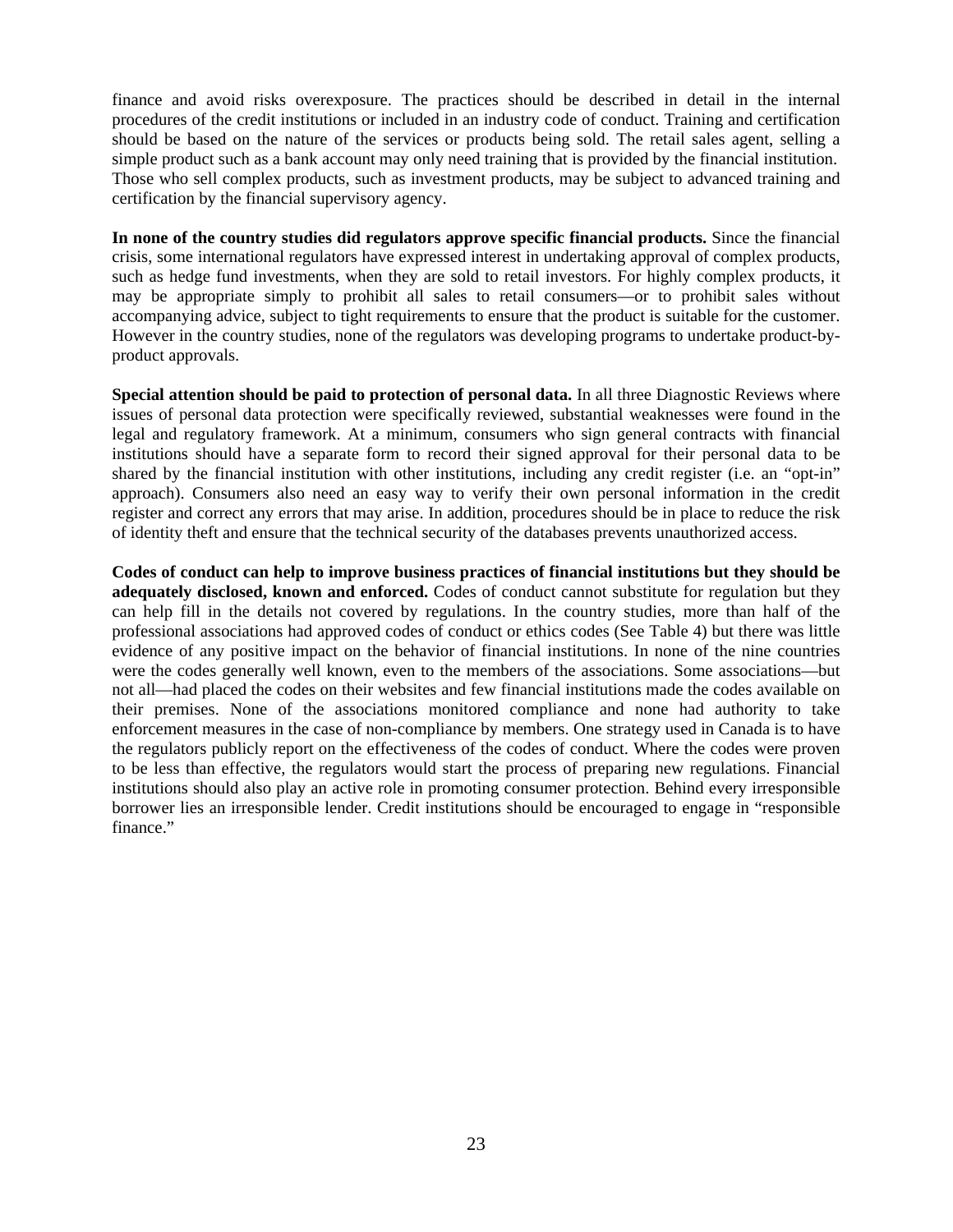finance and avoid risks overexposure. The practices should be described in detail in the internal procedures of the credit institutions or included in an industry code of conduct. Training and certification should be based on the nature of the services or products being sold. The retail sales agent, selling a simple product such as a bank account may only need training that is provided by the financial institution. Those who sell complex products, such as investment products, may be subject to advanced training and certification by the financial supervisory agency.

**In none of the country studies did regulators approve specific financial products.** Since the financial crisis, some international regulators have expressed interest in undertaking approval of complex products, such as hedge fund investments, when they are sold to retail investors. For highly complex products, it may be appropriate simply to prohibit all sales to retail consumers—or to prohibit sales without accompanying advice, subject to tight requirements to ensure that the product is suitable for the customer. However in the country studies, none of the regulators was developing programs to undertake product-byproduct approvals.

**Special attention should be paid to protection of personal data.** In all three Diagnostic Reviews where issues of personal data protection were specifically reviewed, substantial weaknesses were found in the legal and regulatory framework. At a minimum, consumers who sign general contracts with financial institutions should have a separate form to record their signed approval for their personal data to be shared by the financial institution with other institutions, including any credit register (i.e. an "opt-in" approach). Consumers also need an easy way to verify their own personal information in the credit register and correct any errors that may arise. In addition, procedures should be in place to reduce the risk of identity theft and ensure that the technical security of the databases prevents unauthorized access.

**Codes of conduct can help to improve business practices of financial institutions but they should be adequately disclosed, known and enforced.** Codes of conduct cannot substitute for regulation but they can help fill in the details not covered by regulations. In the country studies, more than half of the professional associations had approved codes of conduct or ethics codes (See Table 4) but there was little evidence of any positive impact on the behavior of financial institutions. In none of the nine countries were the codes generally well known, even to the members of the associations. Some associations—but not all—had placed the codes on their websites and few financial institutions made the codes available on their premises. None of the associations monitored compliance and none had authority to take enforcement measures in the case of non-compliance by members. One strategy used in Canada is to have the regulators publicly report on the effectiveness of the codes of conduct. Where the codes were proven to be less than effective, the regulators would start the process of preparing new regulations. Financial institutions should also play an active role in promoting consumer protection. Behind every irresponsible borrower lies an irresponsible lender. Credit institutions should be encouraged to engage in "responsible finance."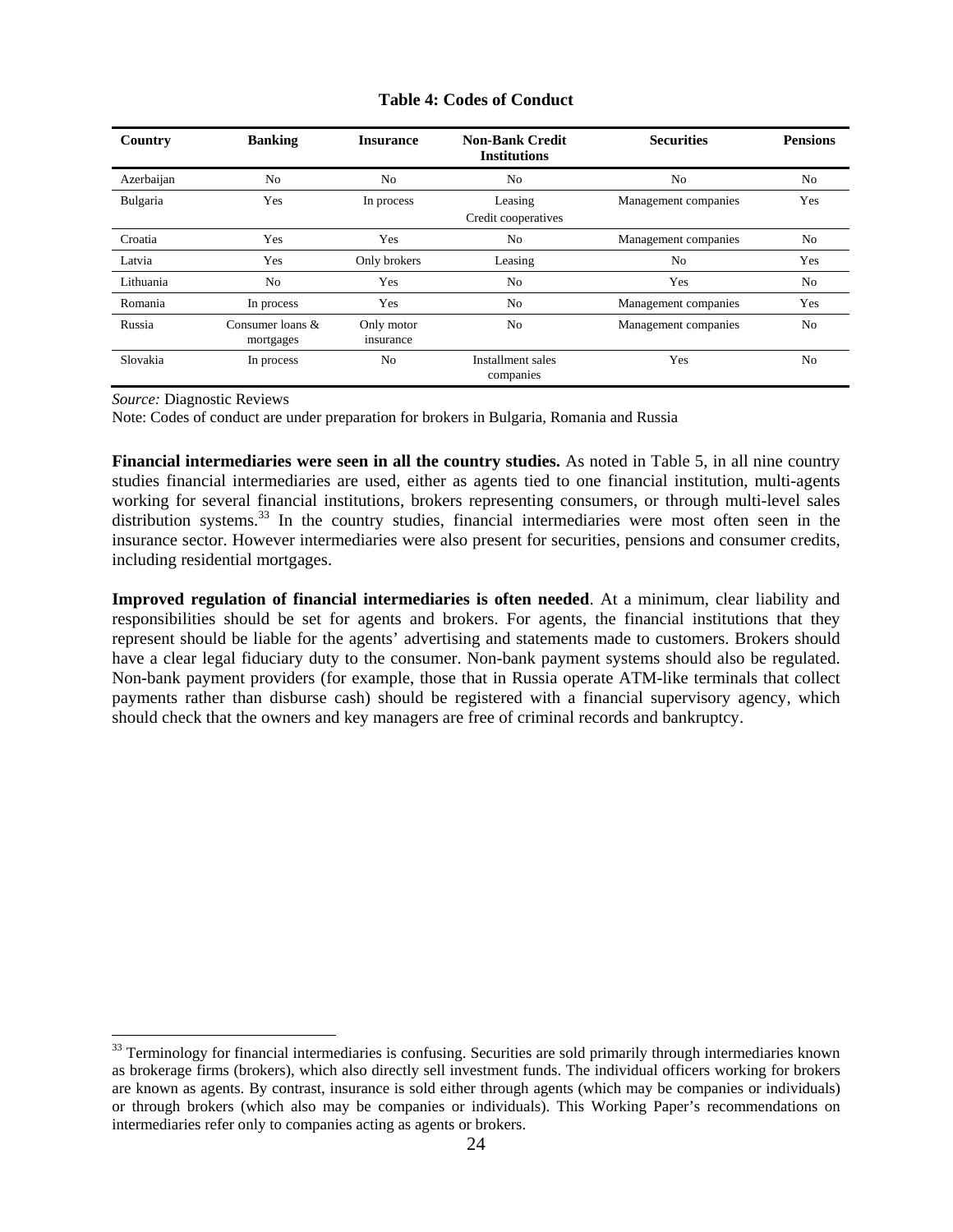| <b>Table 4: Codes of Conduct</b> |  |
|----------------------------------|--|
|----------------------------------|--|

| Country    | <b>Banking</b>                   | <b>Insurance</b>        | <b>Non-Bank Credit</b><br><b>Institutions</b> | <b>Securities</b>           | <b>Pensions</b> |
|------------|----------------------------------|-------------------------|-----------------------------------------------|-----------------------------|-----------------|
| Azerbaijan | N <sub>0</sub>                   | N <sub>0</sub>          | N <sub>0</sub>                                | N <sub>o</sub>              | N <sub>0</sub>  |
| Bulgaria   | Yes                              | In process              | Leasing<br>Credit cooperatives                | Yes<br>Management companies |                 |
| Croatia    | Yes                              | Yes                     | N <sub>0</sub>                                | Management companies        | No              |
| Latvia     | Yes                              | Only brokers            | Leasing                                       | N <sub>o</sub>              | Yes             |
| Lithuania  | No                               | Yes                     | No.                                           | Yes                         | No              |
| Romania    | In process                       | Yes                     | N <sub>0</sub>                                | Management companies        | Yes             |
| Russia     | Consumer loans $\&$<br>mortgages | Only motor<br>insurance | No.                                           | Management companies        | N <sub>0</sub>  |
| Slovakia   | In process                       | N <sub>0</sub>          | Installment sales<br>companies                | Yes                         | N <sub>0</sub>  |

*Source:* Diagnostic Reviews

 $\overline{a}$ 

Note: Codes of conduct are under preparation for brokers in Bulgaria, Romania and Russia

**Financial intermediaries were seen in all the country studies.** As noted in Table 5, in all nine country studies financial intermediaries are used, either as agents tied to one financial institution, multi-agents working for several financial institutions, brokers representing consumers, or through multi-level sales distribution systems.<sup>33</sup> In the country studies, financial intermediaries were most often seen in the insurance sector. However intermediaries were also present for securities, pensions and consumer credits, including residential mortgages.

**Improved regulation of financial intermediaries is often needed**. At a minimum, clear liability and responsibilities should be set for agents and brokers. For agents, the financial institutions that they represent should be liable for the agents' advertising and statements made to customers. Brokers should have a clear legal fiduciary duty to the consumer. Non-bank payment systems should also be regulated. Non-bank payment providers (for example, those that in Russia operate ATM-like terminals that collect payments rather than disburse cash) should be registered with a financial supervisory agency, which should check that the owners and key managers are free of criminal records and bankruptcy.

<sup>&</sup>lt;sup>33</sup> Terminology for financial intermediaries is confusing. Securities are sold primarily through intermediaries known as brokerage firms (brokers), which also directly sell investment funds. The individual officers working for brokers are known as agents. By contrast, insurance is sold either through agents (which may be companies or individuals) or through brokers (which also may be companies or individuals). This Working Paper's recommendations on intermediaries refer only to companies acting as agents or brokers.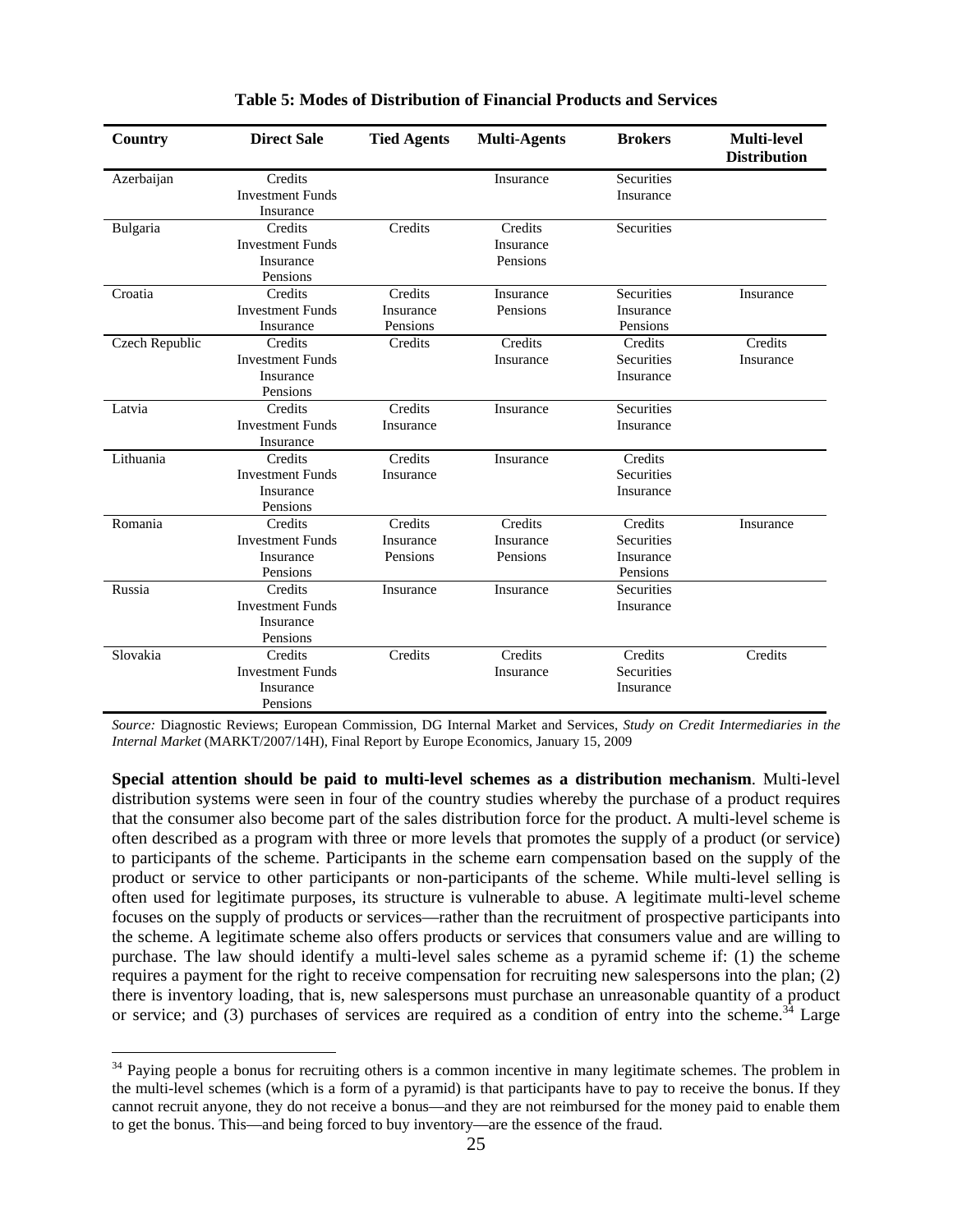| Country        | <b>Direct Sale</b>                   | <b>Tied Agents</b> | <b>Multi-Agents</b>  | <b>Brokers</b> | <b>Multi-level</b><br><b>Distribution</b> |
|----------------|--------------------------------------|--------------------|----------------------|----------------|-------------------------------------------|
| Azerbaijan     | Credits                              |                    | Insurance            | Securities     |                                           |
|                | <b>Investment Funds</b><br>Insurance |                    |                      | Insurance      |                                           |
|                |                                      |                    |                      |                |                                           |
| Bulgaria       | Credits<br><b>Investment Funds</b>   | Credits            | Credits<br>Insurance | Securities     |                                           |
|                | Insurance                            |                    | Pensions             |                |                                           |
|                | Pensions                             |                    |                      |                |                                           |
| Croatia        | Credits                              | Credits            | Insurance            | Securities     | Insurance                                 |
|                | <b>Investment Funds</b>              | Insurance          | Pensions             | Insurance      |                                           |
|                | Insurance                            | Pensions           |                      | Pensions       |                                           |
| Czech Republic | Credits                              | Credits            | Credits              | Credits        | Credits                                   |
|                | <b>Investment Funds</b>              |                    | Insurance            | Securities     | Insurance                                 |
|                | Insurance                            |                    |                      | Insurance      |                                           |
|                | Pensions                             |                    |                      |                |                                           |
| Latvia         | Credits                              | Credits            | Insurance            | Securities     |                                           |
|                | <b>Investment Funds</b>              | Insurance          |                      | Insurance      |                                           |
|                | Insurance                            |                    |                      |                |                                           |
| Lithuania      | Credits                              | Credits            | Insurance            | Credits        |                                           |
|                | <b>Investment Funds</b>              | Insurance          |                      | Securities     |                                           |
|                | Insurance                            |                    |                      | Insurance      |                                           |
|                | Pensions                             |                    |                      |                |                                           |
| Romania        | Credits                              | Credits            | Credits              | Credits        | Insurance                                 |
|                | <b>Investment Funds</b>              | Insurance          | Insurance            | Securities     |                                           |
|                | Insurance                            | Pensions           | Pensions             | Insurance      |                                           |
|                | Pensions                             |                    |                      | Pensions       |                                           |
| Russia         | Credits                              | Insurance          | Insurance            | Securities     |                                           |
|                | <b>Investment Funds</b>              |                    |                      | Insurance      |                                           |
|                | Insurance                            |                    |                      |                |                                           |
|                | Pensions                             |                    |                      |                |                                           |
| Slovakia       | Credits                              | Credits            | Credits              | Credits        | Credits                                   |
|                | <b>Investment Funds</b>              |                    | Insurance            | Securities     |                                           |
|                | Insurance                            |                    |                      | Insurance      |                                           |
|                | Pensions                             |                    |                      |                |                                           |

#### **Table 5: Modes of Distribution of Financial Products and Services**

*Source:* Diagnostic Reviews; European Commission, DG Internal Market and Services, *Study on Credit Intermediaries in the Internal Market* (MARKT/2007/14H), Final Report by Europe Economics, January 15, 2009

**Special attention should be paid to multi-level schemes as a distribution mechanism**. Multi-level distribution systems were seen in four of the country studies whereby the purchase of a product requires that the consumer also become part of the sales distribution force for the product. A multi-level scheme is often described as a program with three or more levels that promotes the supply of a product (or service) to participants of the scheme. Participants in the scheme earn compensation based on the supply of the product or service to other participants or non-participants of the scheme. While multi-level selling is often used for legitimate purposes, its structure is vulnerable to abuse. A legitimate multi-level scheme focuses on the supply of products or services—rather than the recruitment of prospective participants into the scheme. A legitimate scheme also offers products or services that consumers value and are willing to purchase. The law should identify a multi-level sales scheme as a pyramid scheme if: (1) the scheme requires a payment for the right to receive compensation for recruiting new salespersons into the plan; (2) there is inventory loading, that is, new salespersons must purchase an unreasonable quantity of a product or service; and (3) purchases of services are required as a condition of entry into the scheme.<sup>34</sup> Large

 $34$  Paying people a bonus for recruiting others is a common incentive in many legitimate schemes. The problem in the multi-level schemes (which is a form of a pyramid) is that participants have to pay to receive the bonus. If they cannot recruit anyone, they do not receive a bonus—and they are not reimbursed for the money paid to enable them to get the bonus. This—and being forced to buy inventory—are the essence of the fraud.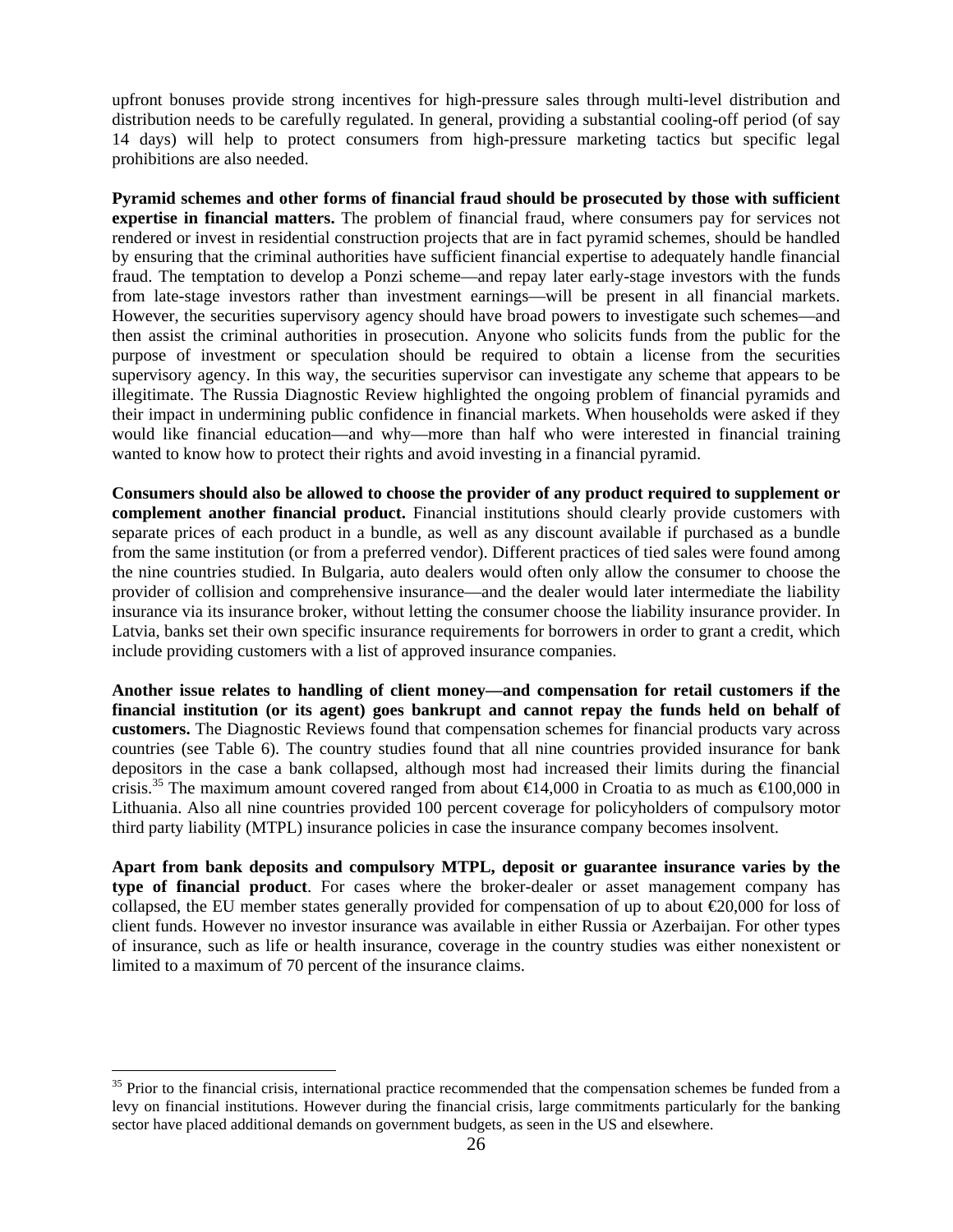upfront bonuses provide strong incentives for high-pressure sales through multi-level distribution and distribution needs to be carefully regulated. In general, providing a substantial cooling-off period (of say 14 days) will help to protect consumers from high-pressure marketing tactics but specific legal prohibitions are also needed.

**Pyramid schemes and other forms of financial fraud should be prosecuted by those with sufficient expertise in financial matters.** The problem of financial fraud, where consumers pay for services not rendered or invest in residential construction projects that are in fact pyramid schemes, should be handled by ensuring that the criminal authorities have sufficient financial expertise to adequately handle financial fraud. The temptation to develop a Ponzi scheme—and repay later early-stage investors with the funds from late-stage investors rather than investment earnings—will be present in all financial markets. However, the securities supervisory agency should have broad powers to investigate such schemes—and then assist the criminal authorities in prosecution. Anyone who solicits funds from the public for the purpose of investment or speculation should be required to obtain a license from the securities supervisory agency. In this way, the securities supervisor can investigate any scheme that appears to be illegitimate. The Russia Diagnostic Review highlighted the ongoing problem of financial pyramids and their impact in undermining public confidence in financial markets. When households were asked if they would like financial education—and why—more than half who were interested in financial training wanted to know how to protect their rights and avoid investing in a financial pyramid.

**Consumers should also be allowed to choose the provider of any product required to supplement or complement another financial product.** Financial institutions should clearly provide customers with separate prices of each product in a bundle, as well as any discount available if purchased as a bundle from the same institution (or from a preferred vendor). Different practices of tied sales were found among the nine countries studied. In Bulgaria, auto dealers would often only allow the consumer to choose the provider of collision and comprehensive insurance—and the dealer would later intermediate the liability insurance via its insurance broker, without letting the consumer choose the liability insurance provider. In Latvia, banks set their own specific insurance requirements for borrowers in order to grant a credit, which include providing customers with a list of approved insurance companies.

**Another issue relates to handling of client money—and compensation for retail customers if the financial institution (or its agent) goes bankrupt and cannot repay the funds held on behalf of customers.** The Diagnostic Reviews found that compensation schemes for financial products vary across countries (see Table 6). The country studies found that all nine countries provided insurance for bank depositors in the case a bank collapsed, although most had increased their limits during the financial crisis.<sup>35</sup> The maximum amount covered ranged from about  $\epsilon$ 14,000 in Croatia to as much as  $\epsilon$ 100,000 in Lithuania. Also all nine countries provided 100 percent coverage for policyholders of compulsory motor third party liability (MTPL) insurance policies in case the insurance company becomes insolvent.

**Apart from bank deposits and compulsory MTPL, deposit or guarantee insurance varies by the type of financial product**. For cases where the broker-dealer or asset management company has collapsed, the EU member states generally provided for compensation of up to about  $\epsilon$ 20,000 for loss of client funds. However no investor insurance was available in either Russia or Azerbaijan. For other types of insurance, such as life or health insurance, coverage in the country studies was either nonexistent or limited to a maximum of 70 percent of the insurance claims.

<sup>&</sup>lt;sup>35</sup> Prior to the financial crisis, international practice recommended that the compensation schemes be funded from a levy on financial institutions. However during the financial crisis, large commitments particularly for the banking sector have placed additional demands on government budgets, as seen in the US and elsewhere.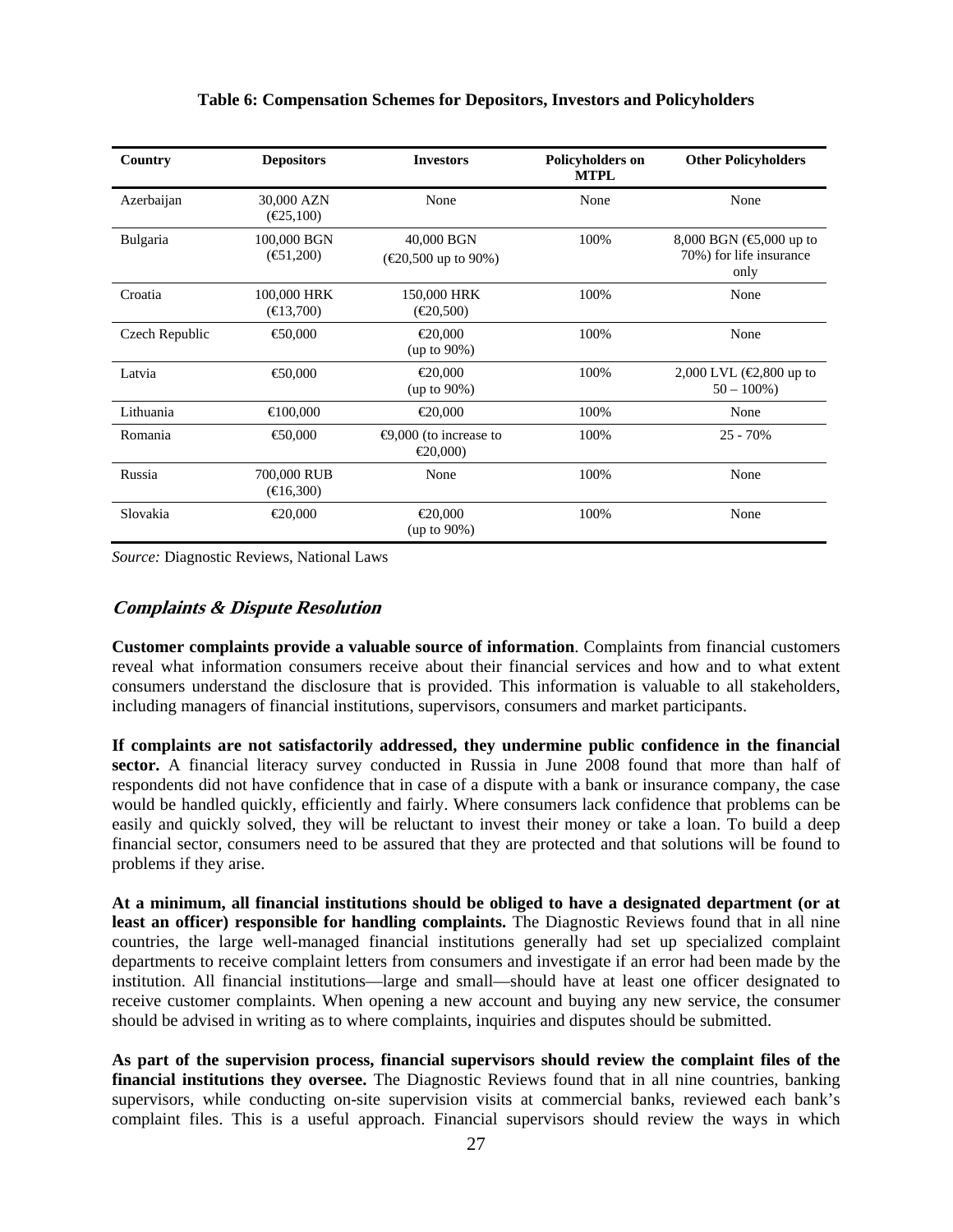| Country        | <b>Depositors</b>                            | <b>Investors</b>                             | <b>Policyholders on</b><br><b>MTPL</b> | <b>Other Policyholders</b>                                                                      |
|----------------|----------------------------------------------|----------------------------------------------|----------------------------------------|-------------------------------------------------------------------------------------------------|
| Azerbaijan     | 30,000 AZN<br>$(\text{\textsterling}25,100)$ | None                                         | None                                   | None                                                                                            |
| Bulgaria       | 100,000 BGN<br>$(\text{\textsterling}1,200)$ | 40,000 BGN<br>( $€20,500$ up to 90%)         | 100%                                   | 8,000 BGN $(\text{\textcircled{\char'42}}000 \text{ up to})$<br>70%) for life insurance<br>only |
| Croatia        | 100,000 HRK<br>$(\text{ } \infty 3,700)$     | 150,000 HRK<br>(€20,500)                     | 100%                                   | None                                                                                            |
| Czech Republic | €50,000                                      | €20,000<br>$(up to 90\%)$                    | 100%                                   | None                                                                                            |
| Latvia         | € 0,000                                      | €20,000<br>$(up to 90\%)$                    | 100%                                   | 2,000 LVL (€2,800 up to<br>$50 - 100\%$                                                         |
| Lithuania      | $-00,000$                                    | €20,000                                      | 100%                                   | None                                                                                            |
| Romania        | € 0,000                                      | $\bigoplus$ ,000 (to increase to<br>€20,000) | 100%                                   | $25 - 70%$                                                                                      |
| Russia         | 700,000 RUB<br>$(\text{€}16,300)$            | None                                         | 100%                                   | None                                                                                            |
| Slovakia       | €20,000                                      | €20,000<br>$(up to 90\%)$                    | 100%                                   | None                                                                                            |

#### **Table 6: Compensation Schemes for Depositors, Investors and Policyholders**

*Source:* Diagnostic Reviews, National Laws

## **Complaints & Dispute Resolution**

**Customer complaints provide a valuable source of information**. Complaints from financial customers reveal what information consumers receive about their financial services and how and to what extent consumers understand the disclosure that is provided. This information is valuable to all stakeholders, including managers of financial institutions, supervisors, consumers and market participants.

**If complaints are not satisfactorily addressed, they undermine public confidence in the financial sector.** A financial literacy survey conducted in Russia in June 2008 found that more than half of respondents did not have confidence that in case of a dispute with a bank or insurance company, the case would be handled quickly, efficiently and fairly. Where consumers lack confidence that problems can be easily and quickly solved, they will be reluctant to invest their money or take a loan. To build a deep financial sector, consumers need to be assured that they are protected and that solutions will be found to problems if they arise.

**At a minimum, all financial institutions should be obliged to have a designated department (or at least an officer) responsible for handling complaints.** The Diagnostic Reviews found that in all nine countries, the large well-managed financial institutions generally had set up specialized complaint departments to receive complaint letters from consumers and investigate if an error had been made by the institution. All financial institutions—large and small—should have at least one officer designated to receive customer complaints. When opening a new account and buying any new service, the consumer should be advised in writing as to where complaints, inquiries and disputes should be submitted.

**As part of the supervision process, financial supervisors should review the complaint files of the financial institutions they oversee.** The Diagnostic Reviews found that in all nine countries, banking supervisors, while conducting on-site supervision visits at commercial banks, reviewed each bank's complaint files. This is a useful approach. Financial supervisors should review the ways in which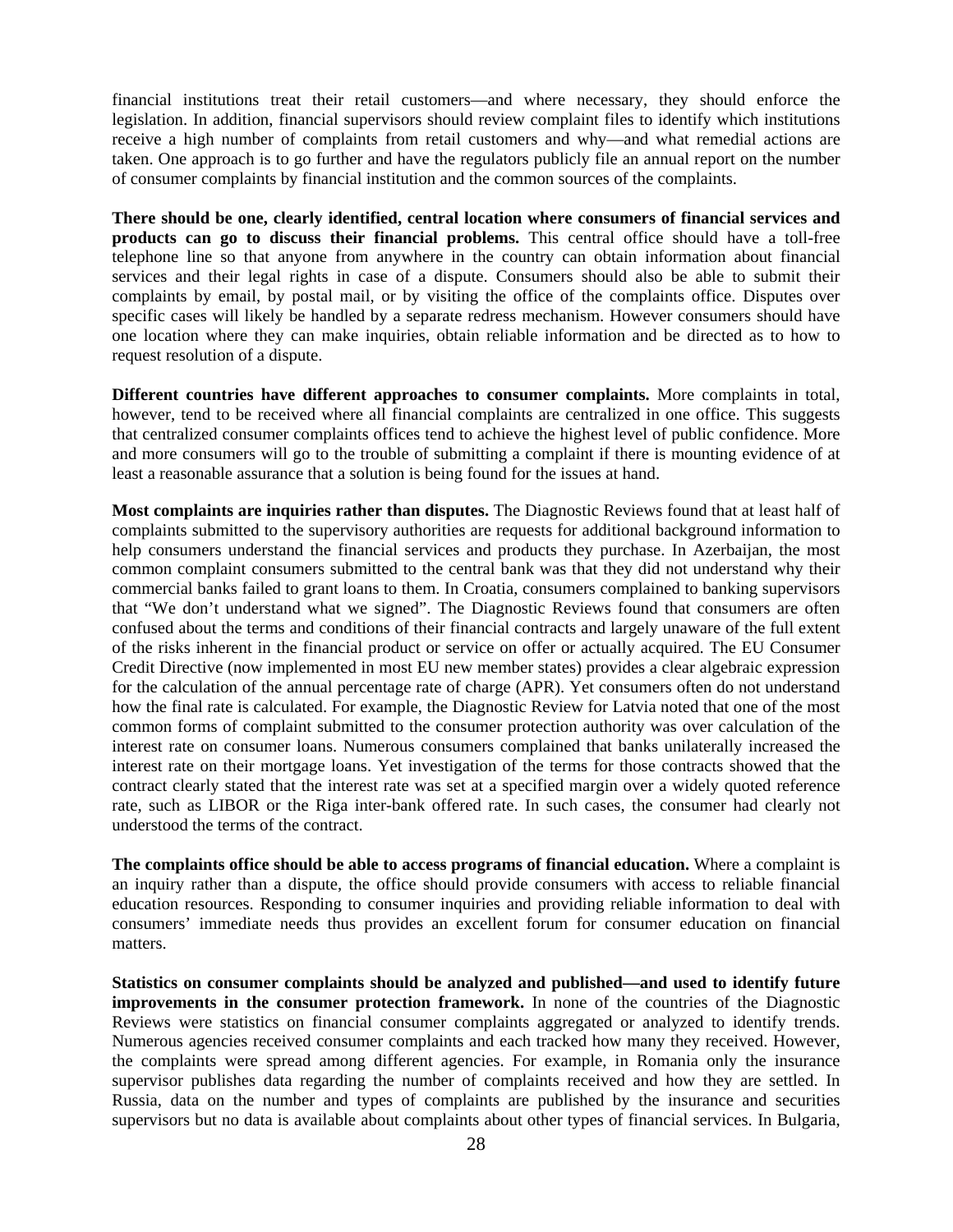financial institutions treat their retail customers—and where necessary, they should enforce the legislation. In addition, financial supervisors should review complaint files to identify which institutions receive a high number of complaints from retail customers and why—and what remedial actions are taken. One approach is to go further and have the regulators publicly file an annual report on the number of consumer complaints by financial institution and the common sources of the complaints.

**There should be one, clearly identified, central location where consumers of financial services and products can go to discuss their financial problems.** This central office should have a toll-free telephone line so that anyone from anywhere in the country can obtain information about financial services and their legal rights in case of a dispute. Consumers should also be able to submit their complaints by email, by postal mail, or by visiting the office of the complaints office. Disputes over specific cases will likely be handled by a separate redress mechanism. However consumers should have one location where they can make inquiries, obtain reliable information and be directed as to how to request resolution of a dispute.

**Different countries have different approaches to consumer complaints.** More complaints in total, however, tend to be received where all financial complaints are centralized in one office. This suggests that centralized consumer complaints offices tend to achieve the highest level of public confidence. More and more consumers will go to the trouble of submitting a complaint if there is mounting evidence of at least a reasonable assurance that a solution is being found for the issues at hand.

**Most complaints are inquiries rather than disputes.** The Diagnostic Reviews found that at least half of complaints submitted to the supervisory authorities are requests for additional background information to help consumers understand the financial services and products they purchase. In Azerbaijan, the most common complaint consumers submitted to the central bank was that they did not understand why their commercial banks failed to grant loans to them. In Croatia, consumers complained to banking supervisors that "We don't understand what we signed". The Diagnostic Reviews found that consumers are often confused about the terms and conditions of their financial contracts and largely unaware of the full extent of the risks inherent in the financial product or service on offer or actually acquired. The EU Consumer Credit Directive (now implemented in most EU new member states) provides a clear algebraic expression for the calculation of the annual percentage rate of charge (APR). Yet consumers often do not understand how the final rate is calculated. For example, the Diagnostic Review for Latvia noted that one of the most common forms of complaint submitted to the consumer protection authority was over calculation of the interest rate on consumer loans. Numerous consumers complained that banks unilaterally increased the interest rate on their mortgage loans. Yet investigation of the terms for those contracts showed that the contract clearly stated that the interest rate was set at a specified margin over a widely quoted reference rate, such as LIBOR or the Riga inter-bank offered rate. In such cases, the consumer had clearly not understood the terms of the contract.

**The complaints office should be able to access programs of financial education.** Where a complaint is an inquiry rather than a dispute, the office should provide consumers with access to reliable financial education resources. Responding to consumer inquiries and providing reliable information to deal with consumers' immediate needs thus provides an excellent forum for consumer education on financial matters.

**Statistics on consumer complaints should be analyzed and published—and used to identify future improvements in the consumer protection framework.** In none of the countries of the Diagnostic Reviews were statistics on financial consumer complaints aggregated or analyzed to identify trends. Numerous agencies received consumer complaints and each tracked how many they received. However, the complaints were spread among different agencies. For example, in Romania only the insurance supervisor publishes data regarding the number of complaints received and how they are settled. In Russia, data on the number and types of complaints are published by the insurance and securities supervisors but no data is available about complaints about other types of financial services. In Bulgaria,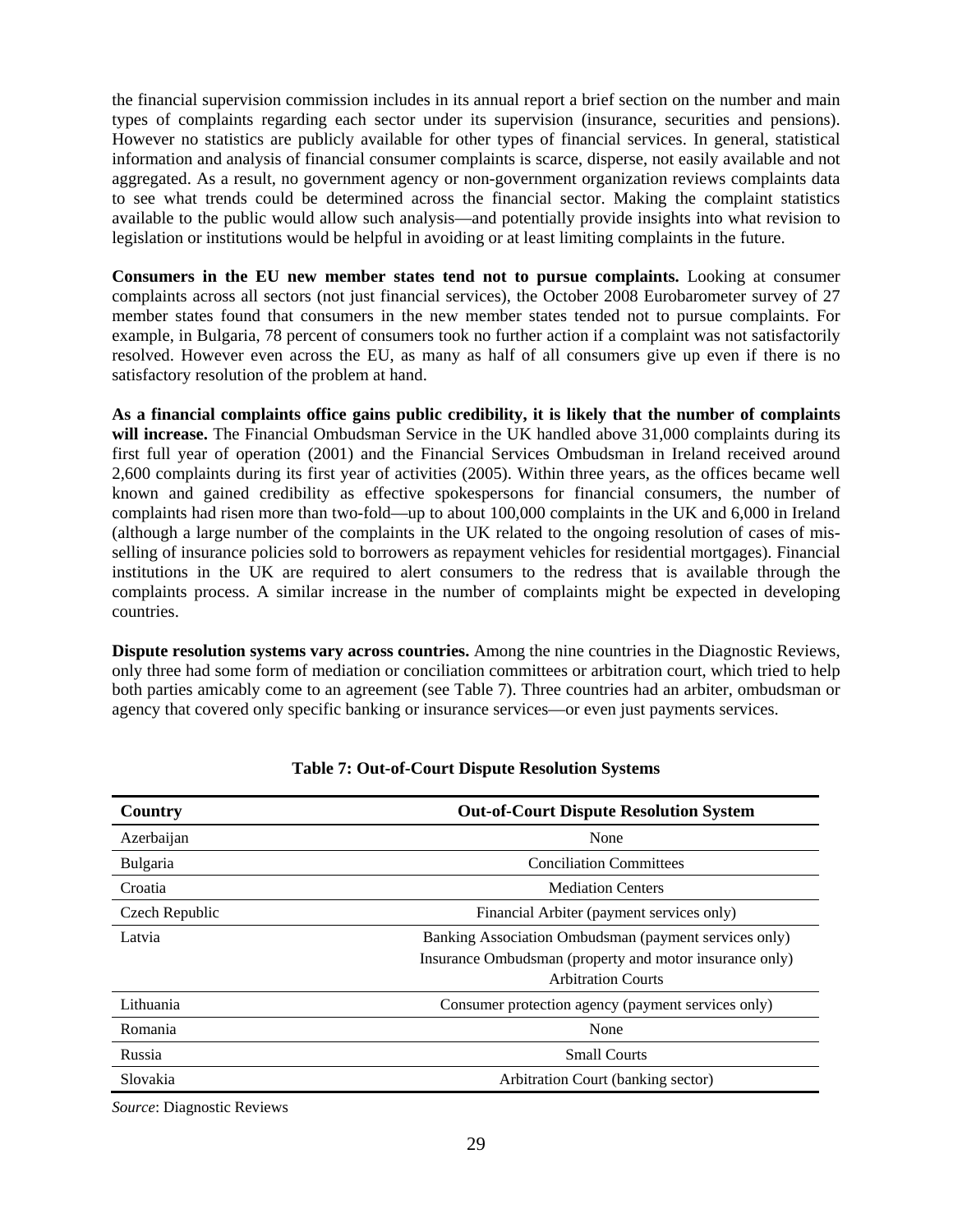the financial supervision commission includes in its annual report a brief section on the number and main types of complaints regarding each sector under its supervision (insurance, securities and pensions). However no statistics are publicly available for other types of financial services. In general, statistical information and analysis of financial consumer complaints is scarce, disperse, not easily available and not aggregated. As a result, no government agency or non-government organization reviews complaints data to see what trends could be determined across the financial sector. Making the complaint statistics available to the public would allow such analysis—and potentially provide insights into what revision to legislation or institutions would be helpful in avoiding or at least limiting complaints in the future.

**Consumers in the EU new member states tend not to pursue complaints.** Looking at consumer complaints across all sectors (not just financial services), the October 2008 Eurobarometer survey of 27 member states found that consumers in the new member states tended not to pursue complaints. For example, in Bulgaria, 78 percent of consumers took no further action if a complaint was not satisfactorily resolved. However even across the EU, as many as half of all consumers give up even if there is no satisfactory resolution of the problem at hand.

**As a financial complaints office gains public credibility, it is likely that the number of complaints will increase.** The Financial Ombudsman Service in the UK handled above 31,000 complaints during its first full year of operation (2001) and the Financial Services Ombudsman in Ireland received around 2,600 complaints during its first year of activities (2005). Within three years, as the offices became well known and gained credibility as effective spokespersons for financial consumers, the number of complaints had risen more than two-fold—up to about 100,000 complaints in the UK and 6,000 in Ireland (although a large number of the complaints in the UK related to the ongoing resolution of cases of misselling of insurance policies sold to borrowers as repayment vehicles for residential mortgages). Financial institutions in the UK are required to alert consumers to the redress that is available through the complaints process. A similar increase in the number of complaints might be expected in developing countries.

**Dispute resolution systems vary across countries.** Among the nine countries in the Diagnostic Reviews, only three had some form of mediation or conciliation committees or arbitration court, which tried to help both parties amicably come to an agreement (see Table 7). Three countries had an arbiter, ombudsman or agency that covered only specific banking or insurance services—or even just payments services.

| Country         | <b>Out-of-Court Dispute Resolution System</b>           |  |
|-----------------|---------------------------------------------------------|--|
| Azerbaijan      | None                                                    |  |
| <b>Bulgaria</b> | <b>Conciliation Committees</b>                          |  |
| Croatia         | <b>Mediation Centers</b>                                |  |
| Czech Republic  | Financial Arbiter (payment services only)               |  |
| Latvia          | Banking Association Ombudsman (payment services only)   |  |
|                 | Insurance Ombudsman (property and motor insurance only) |  |
|                 | <b>Arbitration Courts</b>                               |  |
| Lithuania       | Consumer protection agency (payment services only)      |  |
| Romania         | None                                                    |  |
| Russia          | <b>Small Courts</b>                                     |  |
| Slovakia        | Arbitration Court (banking sector)                      |  |

*Source*: Diagnostic Reviews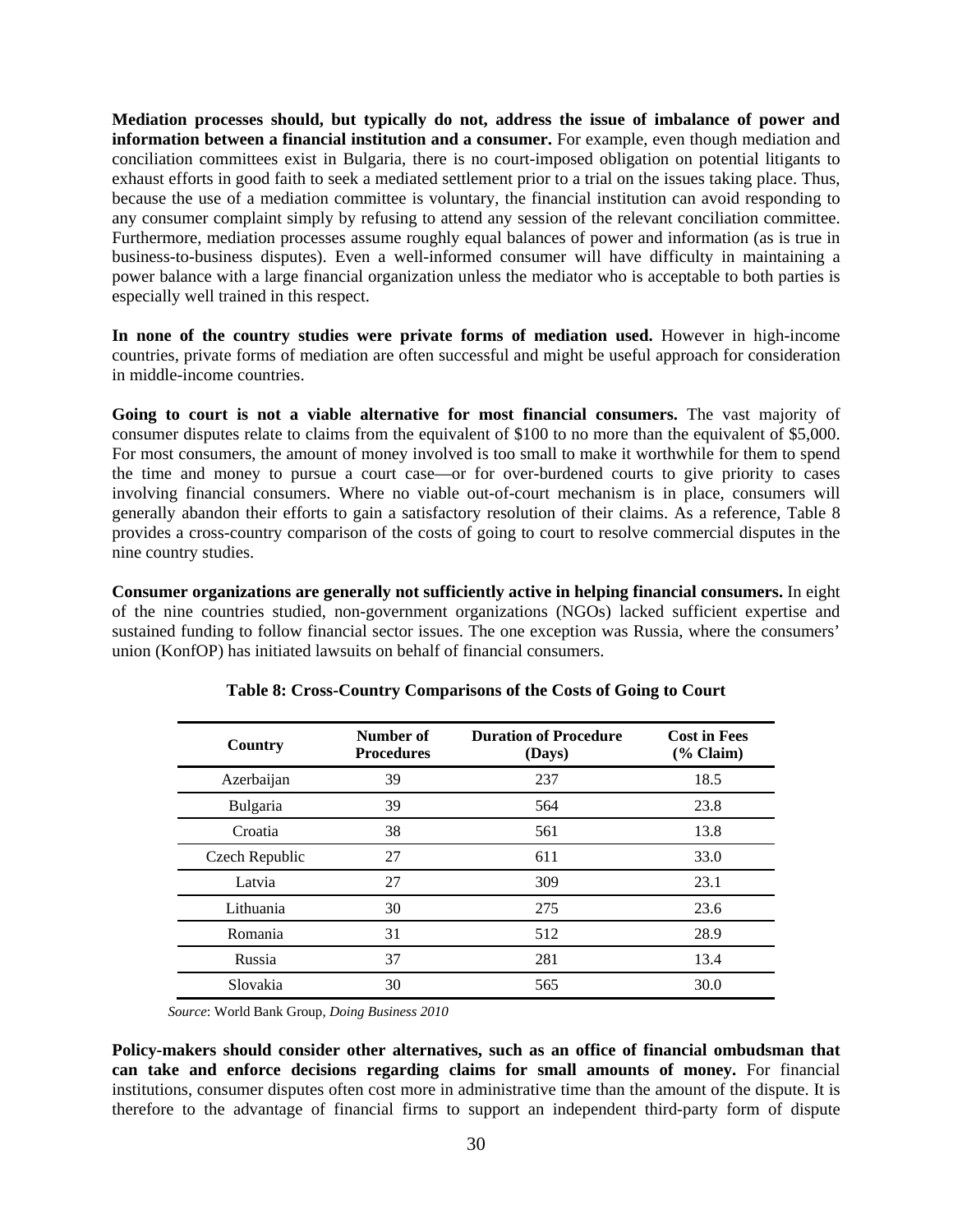**Mediation processes should, but typically do not, address the issue of imbalance of power and information between a financial institution and a consumer.** For example, even though mediation and conciliation committees exist in Bulgaria, there is no court-imposed obligation on potential litigants to exhaust efforts in good faith to seek a mediated settlement prior to a trial on the issues taking place. Thus, because the use of a mediation committee is voluntary, the financial institution can avoid responding to any consumer complaint simply by refusing to attend any session of the relevant conciliation committee. Furthermore, mediation processes assume roughly equal balances of power and information (as is true in business-to-business disputes). Even a well-informed consumer will have difficulty in maintaining a power balance with a large financial organization unless the mediator who is acceptable to both parties is especially well trained in this respect.

**In none of the country studies were private forms of mediation used.** However in high-income countries, private forms of mediation are often successful and might be useful approach for consideration in middle-income countries.

**Going to court is not a viable alternative for most financial consumers.** The vast majority of consumer disputes relate to claims from the equivalent of \$100 to no more than the equivalent of \$5,000. For most consumers, the amount of money involved is too small to make it worthwhile for them to spend the time and money to pursue a court case—or for over-burdened courts to give priority to cases involving financial consumers. Where no viable out-of-court mechanism is in place, consumers will generally abandon their efforts to gain a satisfactory resolution of their claims. As a reference, Table 8 provides a cross-country comparison of the costs of going to court to resolve commercial disputes in the nine country studies.

**Consumer organizations are generally not sufficiently active in helping financial consumers.** In eight of the nine countries studied, non-government organizations (NGOs) lacked sufficient expertise and sustained funding to follow financial sector issues. The one exception was Russia, where the consumers' union (KonfOP) has initiated lawsuits on behalf of financial consumers.

| Country        | Number of<br><b>Procedures</b> | <b>Duration of Procedure</b><br>(Days) | <b>Cost in Fees</b><br>$(\%$ Claim) |
|----------------|--------------------------------|----------------------------------------|-------------------------------------|
| Azerbaijan     | 39                             | 237                                    | 18.5                                |
| Bulgaria       | 39                             | 564                                    | 23.8                                |
| Croatia        | 38                             | 561                                    | 13.8                                |
| Czech Republic | 27                             | 611                                    | 33.0                                |
| Latvia         | 27                             | 309                                    | 23.1                                |
| Lithuania      | 30                             | 275                                    | 23.6                                |
| Romania        | 31                             | 512                                    | 28.9                                |
| Russia         | 37                             | 281                                    | 13.4                                |
| Slovakia       | 30                             | 565                                    | 30.0                                |

## **Table 8: Cross-Country Comparisons of the Costs of Going to Court**

*Source*: World Bank Group, *Doing Business 2010*

**Policy-makers should consider other alternatives, such as an office of financial ombudsman that can take and enforce decisions regarding claims for small amounts of money.** For financial institutions, consumer disputes often cost more in administrative time than the amount of the dispute. It is therefore to the advantage of financial firms to support an independent third-party form of dispute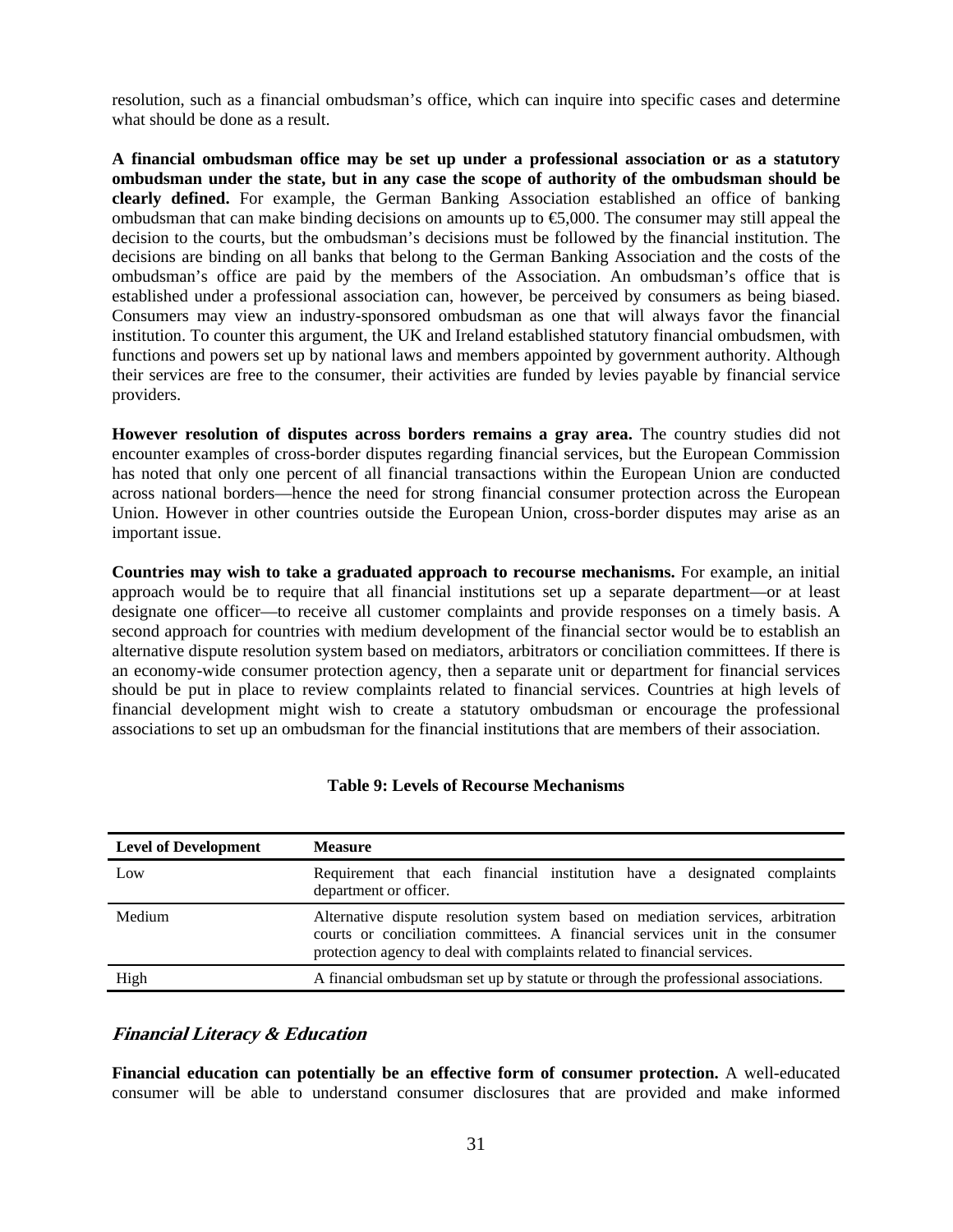resolution, such as a financial ombudsman's office, which can inquire into specific cases and determine what should be done as a result.

**A financial ombudsman office may be set up under a professional association or as a statutory ombudsman under the state, but in any case the scope of authority of the ombudsman should be clearly defined.** For example, the German Banking Association established an office of banking ombudsman that can make binding decisions on amounts up to  $\epsilon$ ,000. The consumer may still appeal the decision to the courts, but the ombudsman's decisions must be followed by the financial institution. The decisions are binding on all banks that belong to the German Banking Association and the costs of the ombudsman's office are paid by the members of the Association. An ombudsman's office that is established under a professional association can, however, be perceived by consumers as being biased. Consumers may view an industry-sponsored ombudsman as one that will always favor the financial institution. To counter this argument, the UK and Ireland established statutory financial ombudsmen, with functions and powers set up by national laws and members appointed by government authority. Although their services are free to the consumer, their activities are funded by levies payable by financial service providers.

**However resolution of disputes across borders remains a gray area.** The country studies did not encounter examples of cross-border disputes regarding financial services, but the European Commission has noted that only one percent of all financial transactions within the European Union are conducted across national borders—hence the need for strong financial consumer protection across the European Union. However in other countries outside the European Union, cross-border disputes may arise as an important issue.

**Countries may wish to take a graduated approach to recourse mechanisms.** For example, an initial approach would be to require that all financial institutions set up a separate department—or at least designate one officer—to receive all customer complaints and provide responses on a timely basis. A second approach for countries with medium development of the financial sector would be to establish an alternative dispute resolution system based on mediators, arbitrators or conciliation committees. If there is an economy-wide consumer protection agency, then a separate unit or department for financial services should be put in place to review complaints related to financial services. Countries at high levels of financial development might wish to create a statutory ombudsman or encourage the professional associations to set up an ombudsman for the financial institutions that are members of their association.

| <b>Level of Development</b> | <b>Measure</b>                                                                                                                                                                                                                             |
|-----------------------------|--------------------------------------------------------------------------------------------------------------------------------------------------------------------------------------------------------------------------------------------|
| Low                         | Requirement that each financial institution have a designated complaints<br>department or officer.                                                                                                                                         |
| Medium                      | Alternative dispute resolution system based on mediation services, arbitration<br>courts or conciliation committees. A financial services unit in the consumer<br>protection agency to deal with complaints related to financial services. |
| High                        | A financial ombudsman set up by statute or through the professional associations.                                                                                                                                                          |

## **Table 9: Levels of Recourse Mechanisms**

## **Financial Literacy & Education**

**Financial education can potentially be an effective form of consumer protection.** A well-educated consumer will be able to understand consumer disclosures that are provided and make informed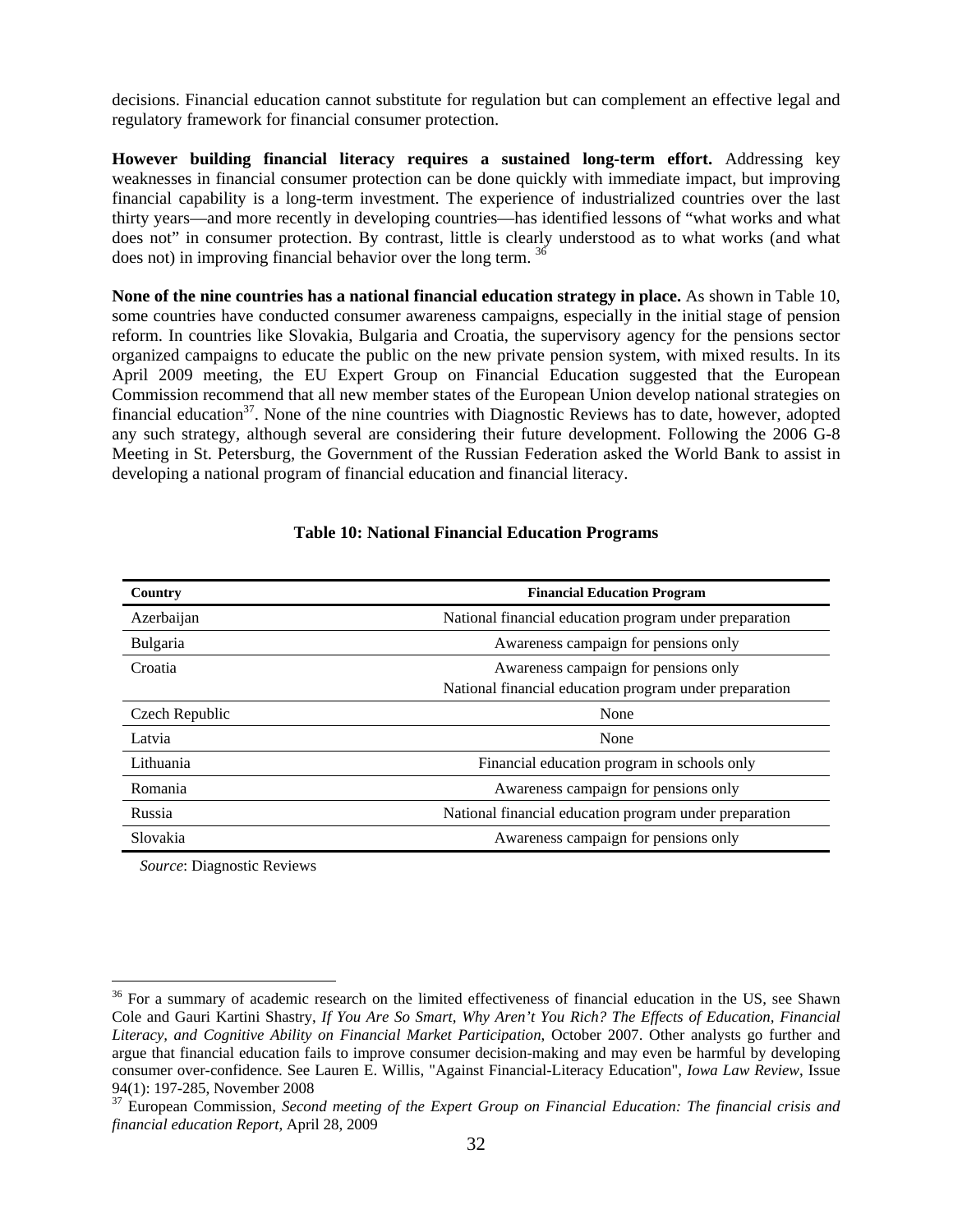decisions. Financial education cannot substitute for regulation but can complement an effective legal and regulatory framework for financial consumer protection.

**However building financial literacy requires a sustained long-term effort.** Addressing key weaknesses in financial consumer protection can be done quickly with immediate impact, but improving financial capability is a long-term investment. The experience of industrialized countries over the last thirty years—and more recently in developing countries—has identified lessons of "what works and what does not" in consumer protection. By contrast, little is clearly understood as to what works (and what does not) in improving financial behavior over the long term. <sup>36</sup>

**None of the nine countries has a national financial education strategy in place.** As shown in Table 10, some countries have conducted consumer awareness campaigns, especially in the initial stage of pension reform. In countries like Slovakia, Bulgaria and Croatia, the supervisory agency for the pensions sector organized campaigns to educate the public on the new private pension system, with mixed results. In its April 2009 meeting, the EU Expert Group on Financial Education suggested that the European Commission recommend that all new member states of the European Union develop national strategies on financial education $3^7$ . None of the nine countries with Diagnostic Reviews has to date, however, adopted any such strategy, although several are considering their future development. Following the 2006 G-8 Meeting in St. Petersburg, the Government of the Russian Federation asked the World Bank to assist in developing a national program of financial education and financial literacy.

| Country        | <b>Financial Education Program</b>                     |  |
|----------------|--------------------------------------------------------|--|
| Azerbaijan     | National financial education program under preparation |  |
| Bulgaria       | Awareness campaign for pensions only                   |  |
| Croatia        | Awareness campaign for pensions only                   |  |
|                | National financial education program under preparation |  |
| Czech Republic | None                                                   |  |
| Latvia         | None                                                   |  |
| Lithuania      | Financial education program in schools only            |  |
| Romania        | Awareness campaign for pensions only                   |  |
| Russia         | National financial education program under preparation |  |
| Slovakia       | Awareness campaign for pensions only                   |  |

#### **Table 10: National Financial Education Programs**

*Source*: Diagnostic Reviews

<sup>&</sup>lt;sup>36</sup> For a summary of academic research on the limited effectiveness of financial education in the US, see Shawn Cole and Gauri Kartini Shastry, *If You Are So Smart, Why Aren't You Rich? The Effects of Education, Financial Literacy, and Cognitive Ability on Financial Market Participation*, October 2007. Other analysts go further and argue that financial education fails to improve consumer decision-making and may even be harmful by developing consumer over-confidence. See Lauren E. Willis, "Against Financial-Literacy Education", *Iowa Law Review*, Issue 94(1): 197-285, November 2008

<sup>37</sup> European Commission, *Second meeting of the Expert Group on Financial Education: The financial crisis and financial education Report*, April 28, 2009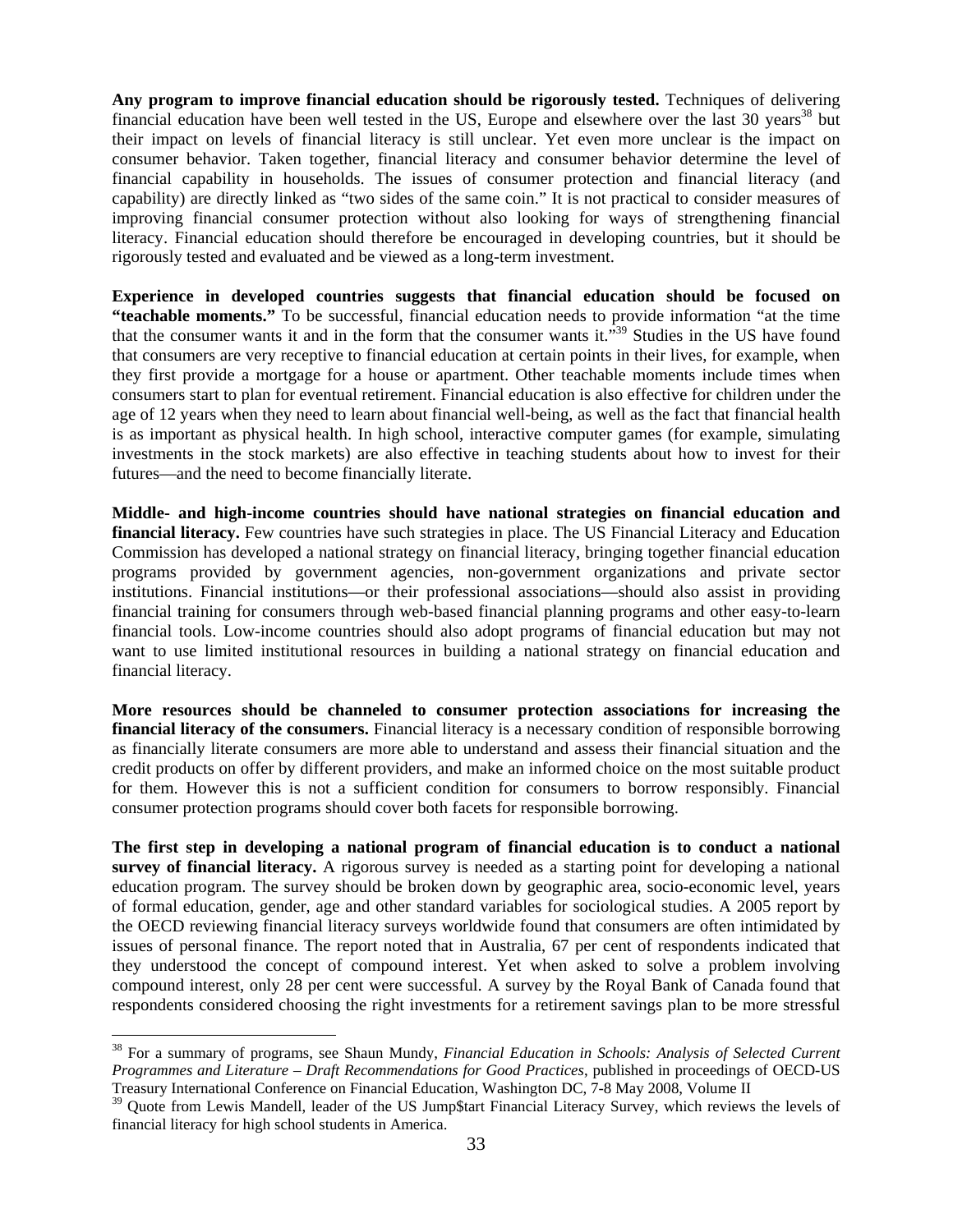**Any program to improve financial education should be rigorously tested.** Techniques of delivering financial education have been well tested in the US, Europe and elsewhere over the last 30 years<sup>38</sup> but their impact on levels of financial literacy is still unclear. Yet even more unclear is the impact on consumer behavior. Taken together, financial literacy and consumer behavior determine the level of financial capability in households. The issues of consumer protection and financial literacy (and capability) are directly linked as "two sides of the same coin." It is not practical to consider measures of improving financial consumer protection without also looking for ways of strengthening financial literacy. Financial education should therefore be encouraged in developing countries, but it should be rigorously tested and evaluated and be viewed as a long-term investment.

**Experience in developed countries suggests that financial education should be focused on "teachable moments."** To be successful, financial education needs to provide information "at the time that the consumer wants it and in the form that the consumer wants it.<sup>339</sup> Studies in the US have found that consumers are very receptive to financial education at certain points in their lives, for example, when they first provide a mortgage for a house or apartment. Other teachable moments include times when consumers start to plan for eventual retirement. Financial education is also effective for children under the age of 12 years when they need to learn about financial well-being, as well as the fact that financial health is as important as physical health. In high school, interactive computer games (for example, simulating investments in the stock markets) are also effective in teaching students about how to invest for their futures—and the need to become financially literate.

**Middle- and high-income countries should have national strategies on financial education and financial literacy.** Few countries have such strategies in place. The US Financial Literacy and Education Commission has developed a national strategy on financial literacy, bringing together financial education programs provided by government agencies, non-government organizations and private sector institutions. Financial institutions—or their professional associations—should also assist in providing financial training for consumers through web-based financial planning programs and other easy-to-learn financial tools. Low-income countries should also adopt programs of financial education but may not want to use limited institutional resources in building a national strategy on financial education and financial literacy.

**More resources should be channeled to consumer protection associations for increasing the financial literacy of the consumers.** Financial literacy is a necessary condition of responsible borrowing as financially literate consumers are more able to understand and assess their financial situation and the credit products on offer by different providers, and make an informed choice on the most suitable product for them. However this is not a sufficient condition for consumers to borrow responsibly. Financial consumer protection programs should cover both facets for responsible borrowing.

**The first step in developing a national program of financial education is to conduct a national survey of financial literacy.** A rigorous survey is needed as a starting point for developing a national education program. The survey should be broken down by geographic area, socio-economic level, years of formal education, gender, age and other standard variables for sociological studies. A 2005 report by the OECD reviewing financial literacy surveys worldwide found that consumers are often intimidated by issues of personal finance. The report noted that in Australia, 67 per cent of respondents indicated that they understood the concept of compound interest. Yet when asked to solve a problem involving compound interest, only 28 per cent were successful. A survey by the Royal Bank of Canada found that respondents considered choosing the right investments for a retirement savings plan to be more stressful

<sup>38</sup> For a summary of programs, see Shaun Mundy, *Financial Education in Schools: Analysis of Selected Current Programmes and Literature – Draft Recommendations for Good Practices*, published in proceedings of OECD-US Treasury International Conference on Financial Education, Washington DC, 7-8 May 2008, Volume II

<sup>&</sup>lt;sup>39</sup> Ouote from Lewis Mandell, leader of the US Jump\$tart Financial Literacy Survey, which reviews the levels of financial literacy for high school students in America.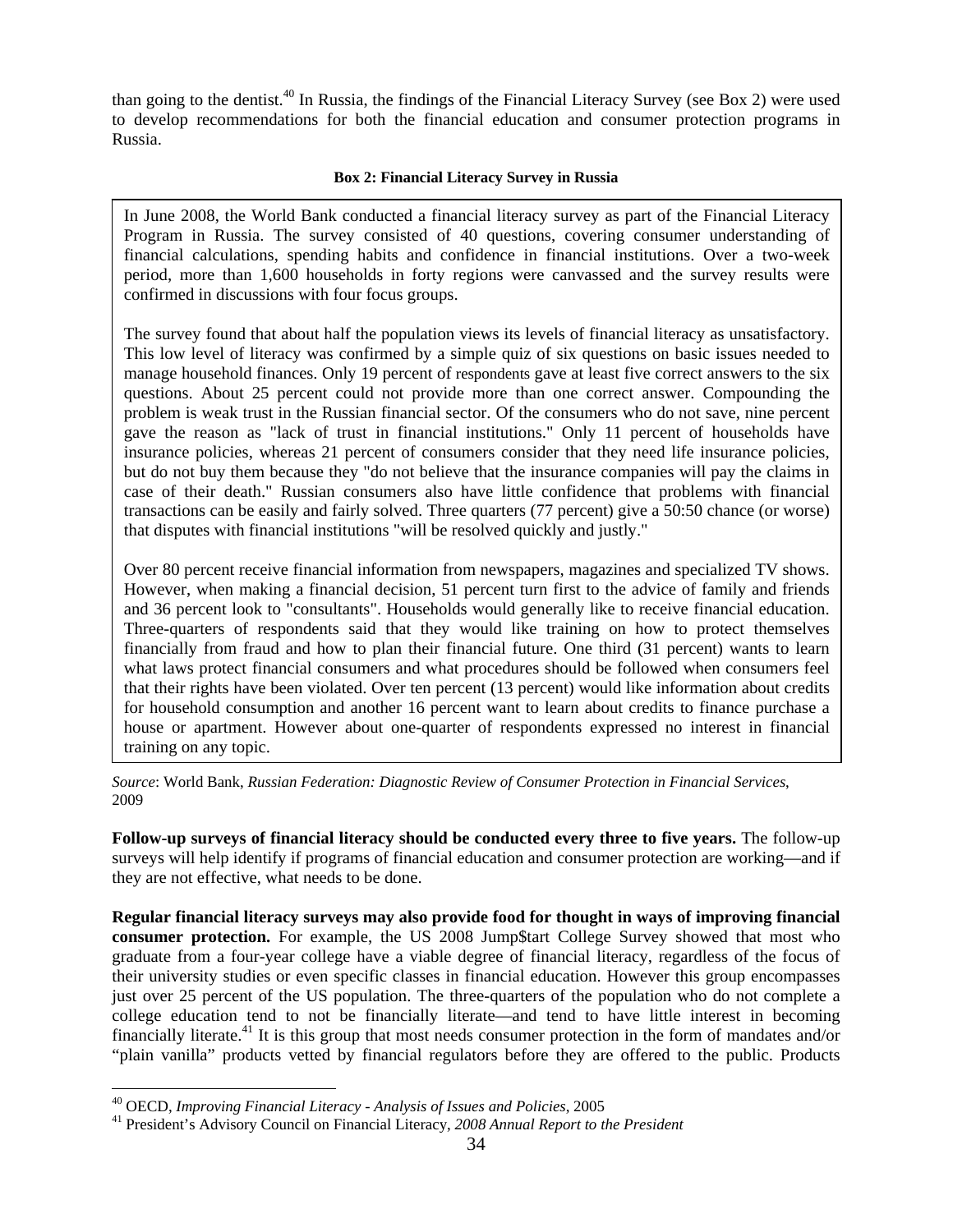than going to the dentist.<sup>40</sup> In Russia, the findings of the Financial Literacy Survey (see Box 2) were used to develop recommendations for both the financial education and consumer protection programs in Russia.

#### **Box 2: Financial Literacy Survey in Russia**

In June 2008, the World Bank conducted a financial literacy survey as part of the Financial Literacy Program in Russia. The survey consisted of 40 questions, covering consumer understanding of financial calculations, spending habits and confidence in financial institutions. Over a two-week period, more than 1,600 households in forty regions were canvassed and the survey results were confirmed in discussions with four focus groups.

The survey found that about half the population views its levels of financial literacy as unsatisfactory. This low level of literacy was confirmed by a simple quiz of six questions on basic issues needed to manage household finances. Only 19 percent of respondents gave at least five correct answers to the six questions. About 25 percent could not provide more than one correct answer. Compounding the problem is weak trust in the Russian financial sector. Of the consumers who do not save, nine percent gave the reason as "lack of trust in financial institutions." Only 11 percent of households have insurance policies, whereas 21 percent of consumers consider that they need life insurance policies, but do not buy them because they "do not believe that the insurance companies will pay the claims in case of their death." Russian consumers also have little confidence that problems with financial transactions can be easily and fairly solved. Three quarters (77 percent) give a 50:50 chance (or worse) that disputes with financial institutions "will be resolved quickly and justly."

Over 80 percent receive financial information from newspapers, magazines and specialized TV shows. However, when making a financial decision, 51 percent turn first to the advice of family and friends and 36 percent look to "consultants". Households would generally like to receive financial education. Three-quarters of respondents said that they would like training on how to protect themselves financially from fraud and how to plan their financial future. One third (31 percent) wants to learn what laws protect financial consumers and what procedures should be followed when consumers feel that their rights have been violated. Over ten percent (13 percent) would like information about credits for household consumption and another 16 percent want to learn about credits to finance purchase a house or apartment. However about one-quarter of respondents expressed no interest in financial training on any topic.

*Source*: World Bank, *Russian Federation: Diagnostic Review of Consumer Protection in Financial Services*, 2009

**Follow-up surveys of financial literacy should be conducted every three to five years.** The follow-up surveys will help identify if programs of financial education and consumer protection are working—and if they are not effective, what needs to be done.

**Regular financial literacy surveys may also provide food for thought in ways of improving financial consumer protection.** For example, the US 2008 Jump\$tart College Survey showed that most who graduate from a four-year college have a viable degree of financial literacy, regardless of the focus of their university studies or even specific classes in financial education. However this group encompasses just over 25 percent of the US population. The three-quarters of the population who do not complete a college education tend to not be financially literate—and tend to have little interest in becoming financially literate.<sup>41</sup> It is this group that most needs consumer protection in the form of mandates and/or "plain vanilla" products vetted by financial regulators before they are offered to the public. Products

<sup>40</sup> OECD, *Improving Financial Literacy - Analysis of Issues and Policies*, 2005 41 President's Advisory Council on Financial Literacy, *2008 Annual Report to the President*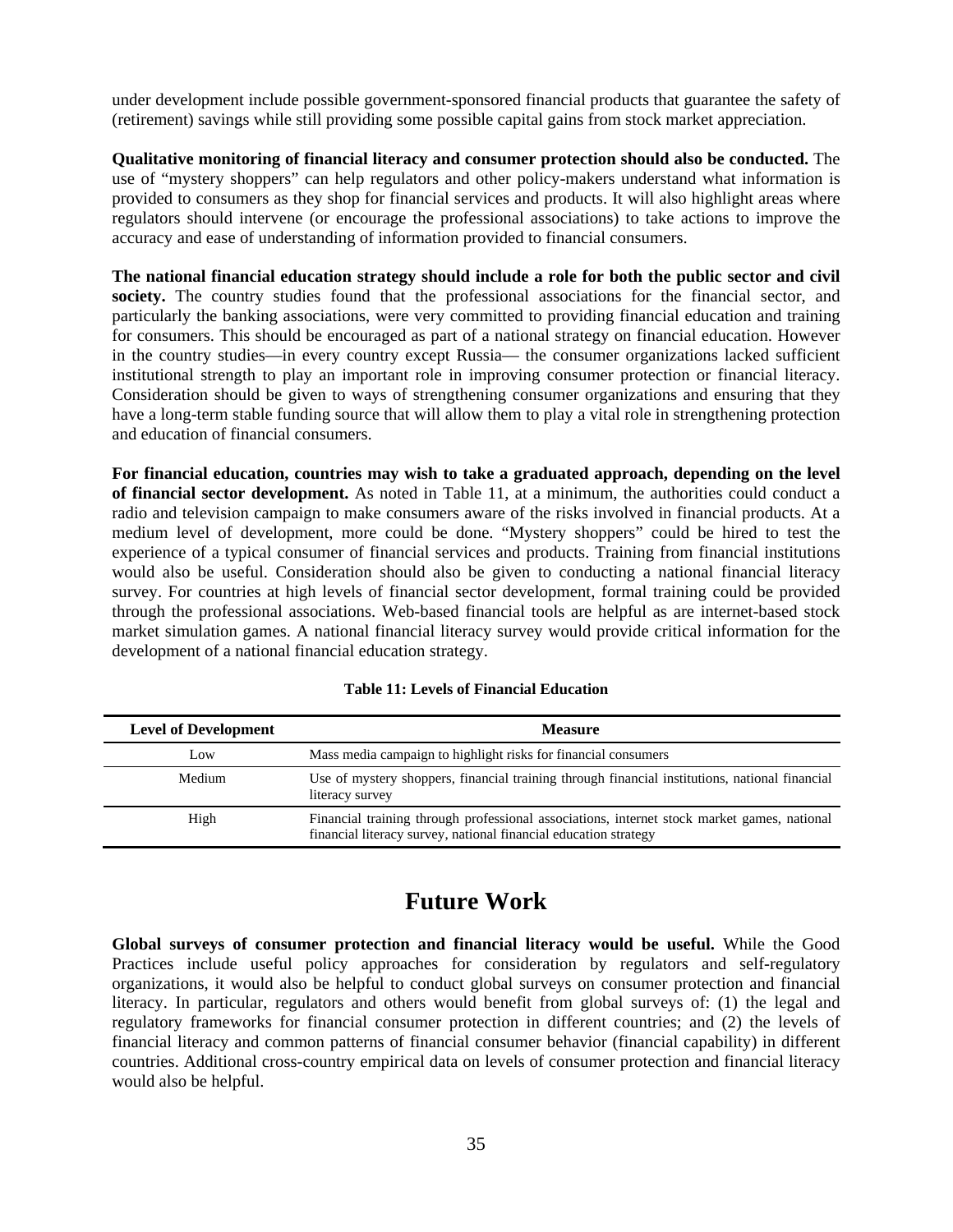under development include possible government-sponsored financial products that guarantee the safety of (retirement) savings while still providing some possible capital gains from stock market appreciation.

**Qualitative monitoring of financial literacy and consumer protection should also be conducted.** The use of "mystery shoppers" can help regulators and other policy-makers understand what information is provided to consumers as they shop for financial services and products. It will also highlight areas where regulators should intervene (or encourage the professional associations) to take actions to improve the accuracy and ease of understanding of information provided to financial consumers.

**The national financial education strategy should include a role for both the public sector and civil**  society. The country studies found that the professional associations for the financial sector, and particularly the banking associations, were very committed to providing financial education and training for consumers. This should be encouraged as part of a national strategy on financial education. However in the country studies—in every country except Russia— the consumer organizations lacked sufficient institutional strength to play an important role in improving consumer protection or financial literacy. Consideration should be given to ways of strengthening consumer organizations and ensuring that they have a long-term stable funding source that will allow them to play a vital role in strengthening protection and education of financial consumers.

**For financial education, countries may wish to take a graduated approach, depending on the level of financial sector development.** As noted in Table 11, at a minimum, the authorities could conduct a radio and television campaign to make consumers aware of the risks involved in financial products. At a medium level of development, more could be done. "Mystery shoppers" could be hired to test the experience of a typical consumer of financial services and products. Training from financial institutions would also be useful. Consideration should also be given to conducting a national financial literacy survey. For countries at high levels of financial sector development, formal training could be provided through the professional associations. Web-based financial tools are helpful as are internet-based stock market simulation games. A national financial literacy survey would provide critical information for the development of a national financial education strategy.

| <b>Level of Development</b> | <b>Measure</b>                                                                                                                                                  |
|-----------------------------|-----------------------------------------------------------------------------------------------------------------------------------------------------------------|
| Low                         | Mass media campaign to highlight risks for financial consumers                                                                                                  |
| Medium                      | Use of mystery shoppers, financial training through financial institutions, national financial<br>literacy survey                                               |
| High                        | Financial training through professional associations, internet stock market games, national<br>financial literacy survey, national financial education strategy |

## **Table 11: Levels of Financial Education**

# **Future Work**

**Global surveys of consumer protection and financial literacy would be useful.** While the Good Practices include useful policy approaches for consideration by regulators and self-regulatory organizations, it would also be helpful to conduct global surveys on consumer protection and financial literacy. In particular, regulators and others would benefit from global surveys of: (1) the legal and regulatory frameworks for financial consumer protection in different countries; and (2) the levels of financial literacy and common patterns of financial consumer behavior (financial capability) in different countries. Additional cross-country empirical data on levels of consumer protection and financial literacy would also be helpful.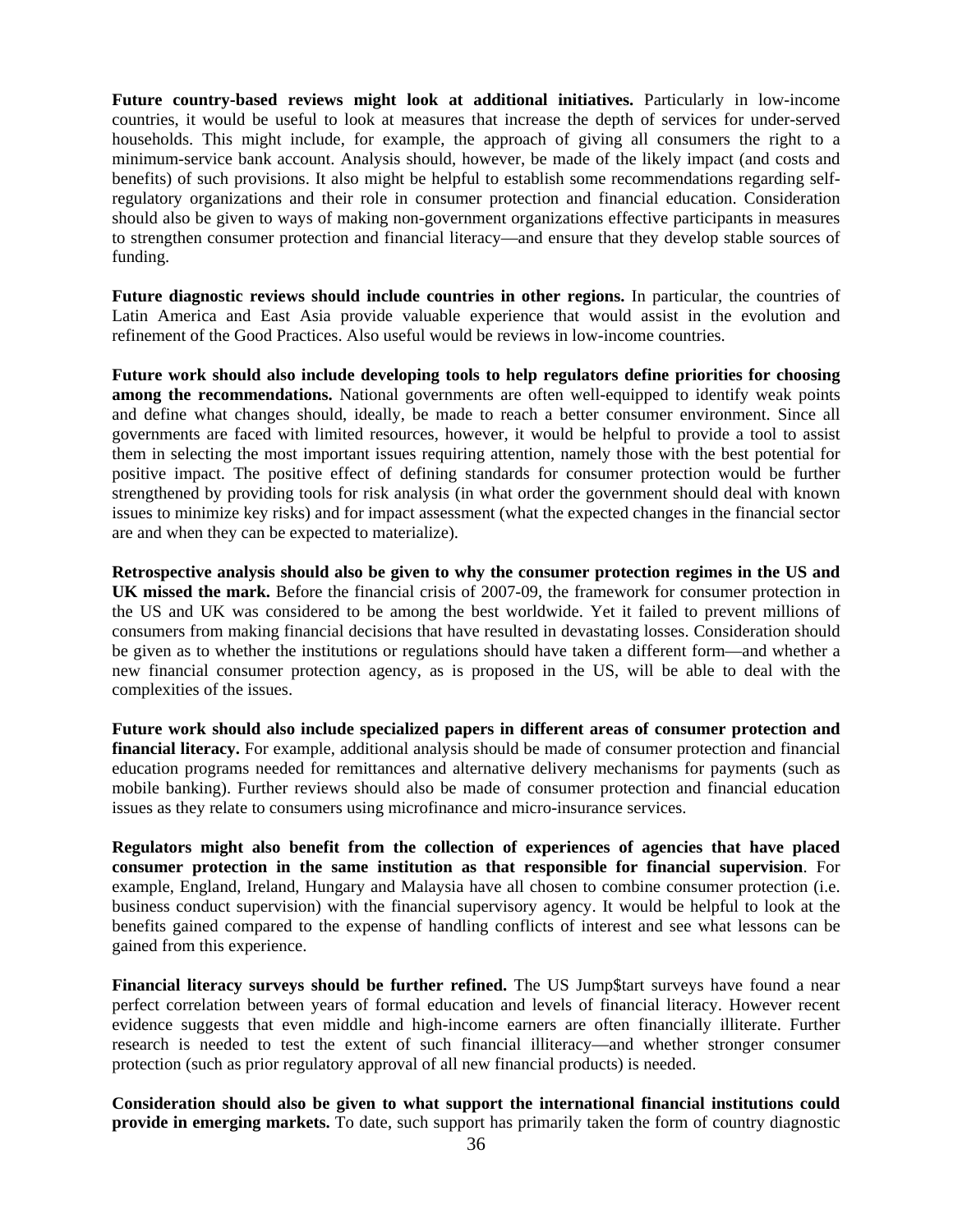**Future country-based reviews might look at additional initiatives.** Particularly in low-income countries, it would be useful to look at measures that increase the depth of services for under-served households. This might include, for example, the approach of giving all consumers the right to a minimum-service bank account. Analysis should, however, be made of the likely impact (and costs and benefits) of such provisions. It also might be helpful to establish some recommendations regarding selfregulatory organizations and their role in consumer protection and financial education. Consideration should also be given to ways of making non-government organizations effective participants in measures to strengthen consumer protection and financial literacy—and ensure that they develop stable sources of funding.

**Future diagnostic reviews should include countries in other regions.** In particular, the countries of Latin America and East Asia provide valuable experience that would assist in the evolution and refinement of the Good Practices. Also useful would be reviews in low-income countries.

**Future work should also include developing tools to help regulators define priorities for choosing among the recommendations.** National governments are often well-equipped to identify weak points and define what changes should, ideally, be made to reach a better consumer environment. Since all governments are faced with limited resources, however, it would be helpful to provide a tool to assist them in selecting the most important issues requiring attention, namely those with the best potential for positive impact. The positive effect of defining standards for consumer protection would be further strengthened by providing tools for risk analysis (in what order the government should deal with known issues to minimize key risks) and for impact assessment (what the expected changes in the financial sector are and when they can be expected to materialize).

**Retrospective analysis should also be given to why the consumer protection regimes in the US and UK missed the mark.** Before the financial crisis of 2007-09, the framework for consumer protection in the US and UK was considered to be among the best worldwide. Yet it failed to prevent millions of consumers from making financial decisions that have resulted in devastating losses. Consideration should be given as to whether the institutions or regulations should have taken a different form—and whether a new financial consumer protection agency, as is proposed in the US, will be able to deal with the complexities of the issues.

**Future work should also include specialized papers in different areas of consumer protection and financial literacy.** For example, additional analysis should be made of consumer protection and financial education programs needed for remittances and alternative delivery mechanisms for payments (such as mobile banking). Further reviews should also be made of consumer protection and financial education issues as they relate to consumers using microfinance and micro-insurance services.

**Regulators might also benefit from the collection of experiences of agencies that have placed consumer protection in the same institution as that responsible for financial supervision**. For example, England, Ireland, Hungary and Malaysia have all chosen to combine consumer protection (i.e. business conduct supervision) with the financial supervisory agency. It would be helpful to look at the benefits gained compared to the expense of handling conflicts of interest and see what lessons can be gained from this experience.

**Financial literacy surveys should be further refined.** The US Jump\$tart surveys have found a near perfect correlation between years of formal education and levels of financial literacy. However recent evidence suggests that even middle and high-income earners are often financially illiterate. Further research is needed to test the extent of such financial illiteracy—and whether stronger consumer protection (such as prior regulatory approval of all new financial products) is needed.

**Consideration should also be given to what support the international financial institutions could provide in emerging markets.** To date, such support has primarily taken the form of country diagnostic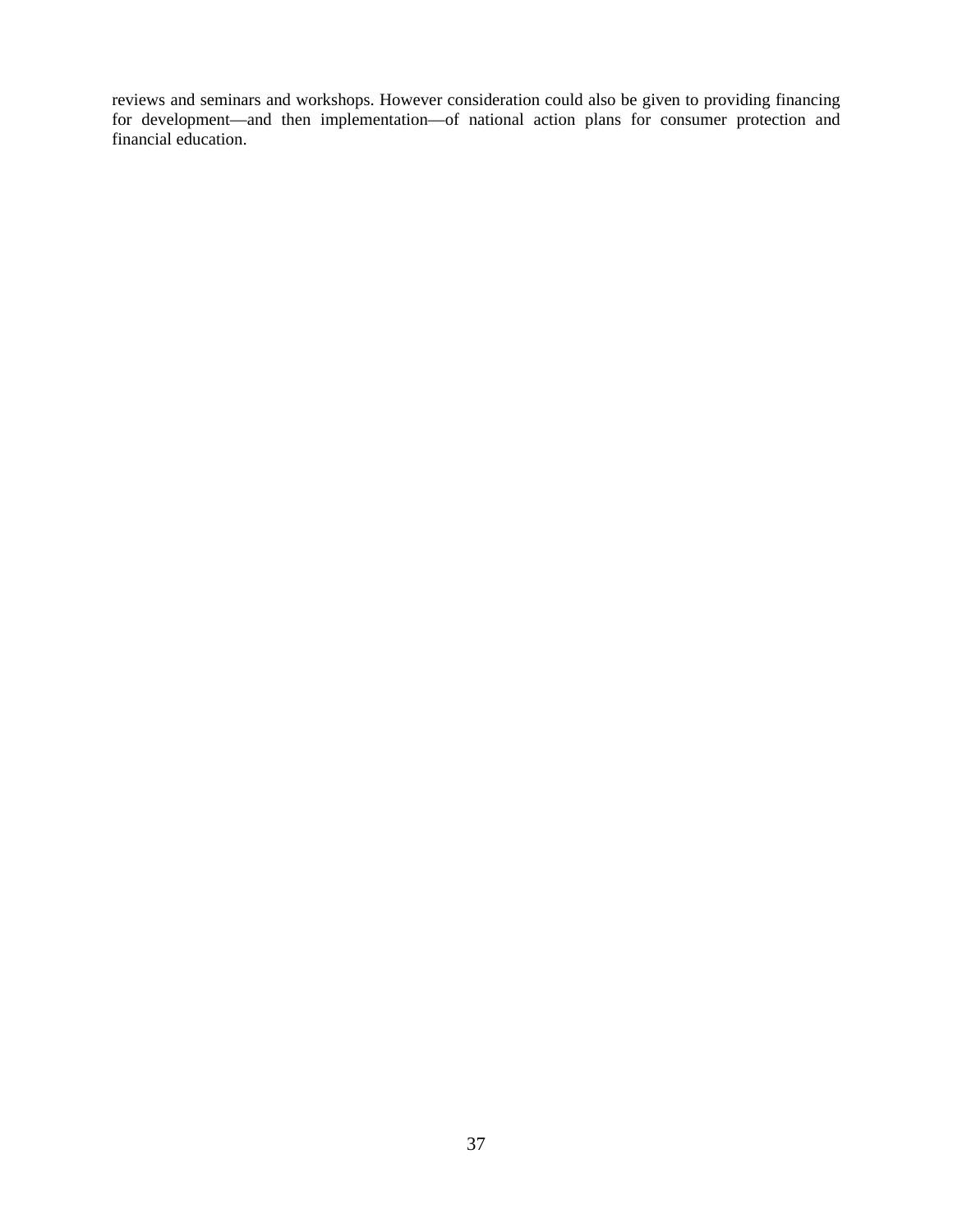reviews and seminars and workshops. However consideration could also be given to providing financing for development—and then implementation—of national action plans for consumer protection and financial education.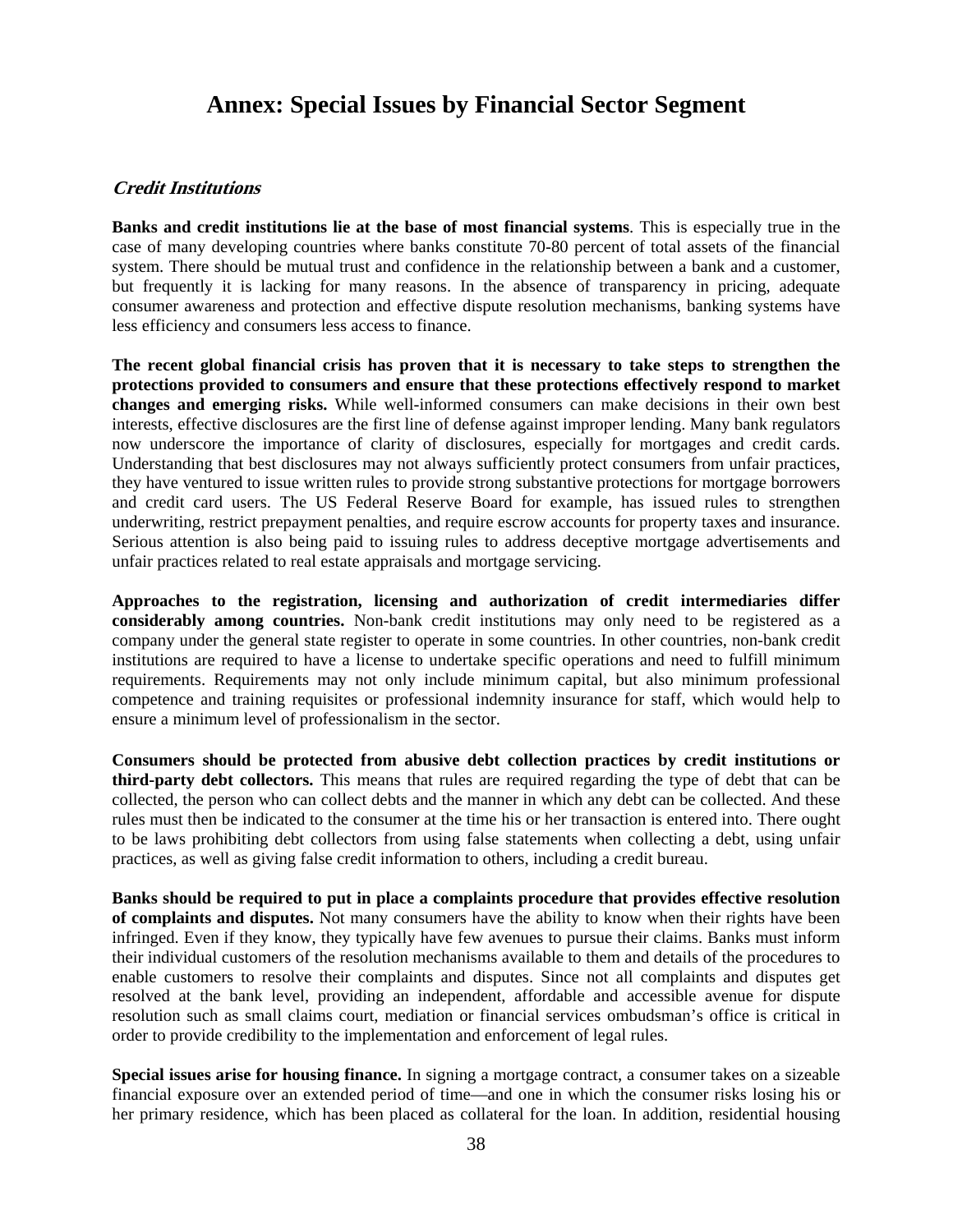# **Annex: Special Issues by Financial Sector Segment**

### **Credit Institutions**

**Banks and credit institutions lie at the base of most financial systems**. This is especially true in the case of many developing countries where banks constitute 70-80 percent of total assets of the financial system. There should be mutual trust and confidence in the relationship between a bank and a customer, but frequently it is lacking for many reasons. In the absence of transparency in pricing, adequate consumer awareness and protection and effective dispute resolution mechanisms, banking systems have less efficiency and consumers less access to finance.

**The recent global financial crisis has proven that it is necessary to take steps to strengthen the protections provided to consumers and ensure that these protections effectively respond to market changes and emerging risks.** While well-informed consumers can make decisions in their own best interests, effective disclosures are the first line of defense against improper lending. Many bank regulators now underscore the importance of clarity of disclosures, especially for mortgages and credit cards. Understanding that best disclosures may not always sufficiently protect consumers from unfair practices, they have ventured to issue written rules to provide strong substantive protections for mortgage borrowers and credit card users. The US Federal Reserve Board for example, has issued rules to strengthen underwriting, restrict prepayment penalties, and require escrow accounts for property taxes and insurance. Serious attention is also being paid to issuing rules to address deceptive mortgage advertisements and unfair practices related to real estate appraisals and mortgage servicing.

**Approaches to the registration, licensing and authorization of credit intermediaries differ considerably among countries.** Non-bank credit institutions may only need to be registered as a company under the general state register to operate in some countries. In other countries, non-bank credit institutions are required to have a license to undertake specific operations and need to fulfill minimum requirements. Requirements may not only include minimum capital, but also minimum professional competence and training requisites or professional indemnity insurance for staff, which would help to ensure a minimum level of professionalism in the sector.

**Consumers should be protected from abusive debt collection practices by credit institutions or third-party debt collectors.** This means that rules are required regarding the type of debt that can be collected, the person who can collect debts and the manner in which any debt can be collected. And these rules must then be indicated to the consumer at the time his or her transaction is entered into. There ought to be laws prohibiting debt collectors from using false statements when collecting a debt, using unfair practices, as well as giving false credit information to others, including a credit bureau.

**Banks should be required to put in place a complaints procedure that provides effective resolution of complaints and disputes.** Not many consumers have the ability to know when their rights have been infringed. Even if they know, they typically have few avenues to pursue their claims. Banks must inform their individual customers of the resolution mechanisms available to them and details of the procedures to enable customers to resolve their complaints and disputes. Since not all complaints and disputes get resolved at the bank level, providing an independent, affordable and accessible avenue for dispute resolution such as small claims court, mediation or financial services ombudsman's office is critical in order to provide credibility to the implementation and enforcement of legal rules.

**Special issues arise for housing finance.** In signing a mortgage contract, a consumer takes on a sizeable financial exposure over an extended period of time—and one in which the consumer risks losing his or her primary residence, which has been placed as collateral for the loan. In addition, residential housing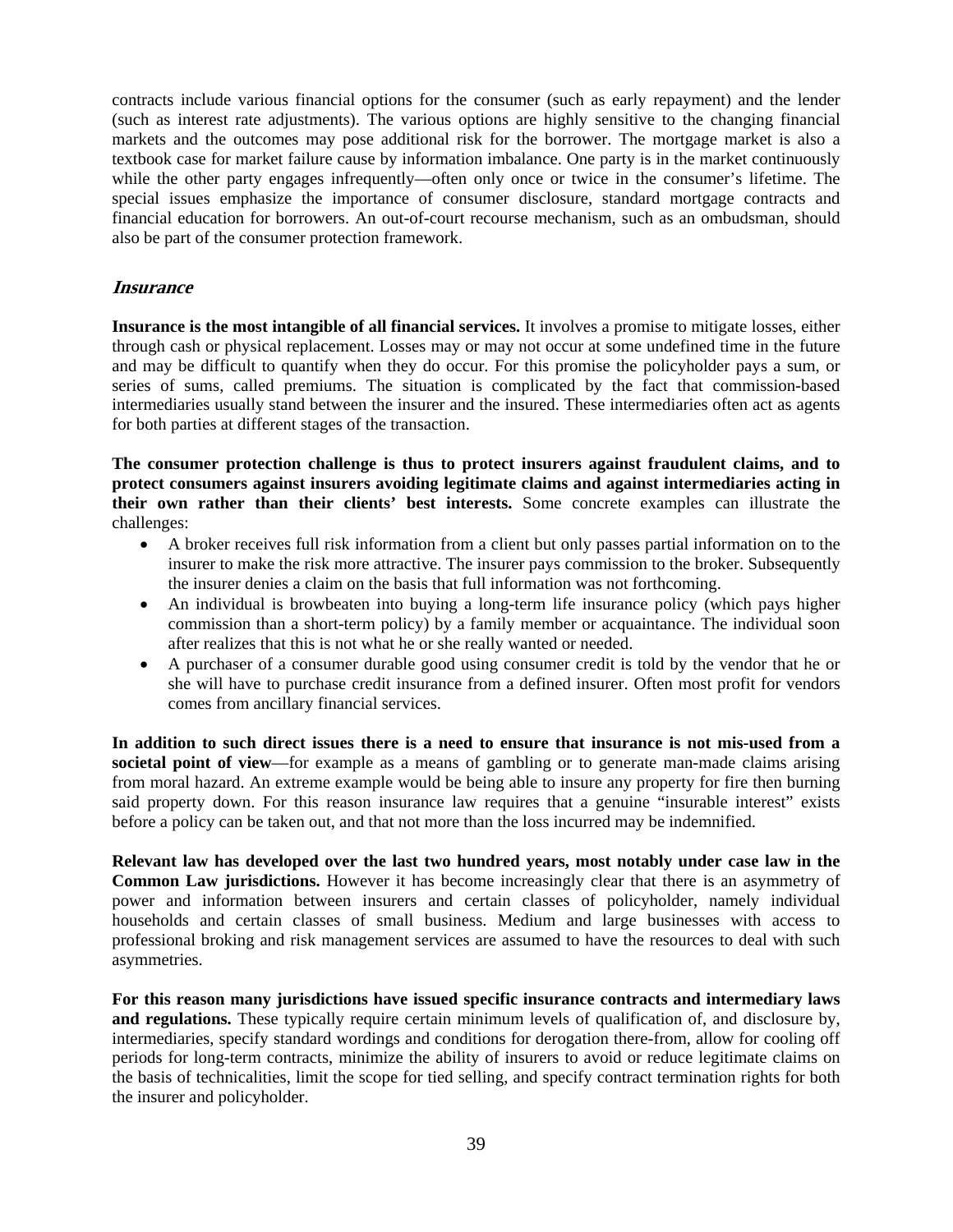contracts include various financial options for the consumer (such as early repayment) and the lender (such as interest rate adjustments). The various options are highly sensitive to the changing financial markets and the outcomes may pose additional risk for the borrower. The mortgage market is also a textbook case for market failure cause by information imbalance. One party is in the market continuously while the other party engages infrequently—often only once or twice in the consumer's lifetime. The special issues emphasize the importance of consumer disclosure, standard mortgage contracts and financial education for borrowers. An out-of-court recourse mechanism, such as an ombudsman, should also be part of the consumer protection framework.

# **Insurance**

**Insurance is the most intangible of all financial services.** It involves a promise to mitigate losses, either through cash or physical replacement. Losses may or may not occur at some undefined time in the future and may be difficult to quantify when they do occur. For this promise the policyholder pays a sum, or series of sums, called premiums. The situation is complicated by the fact that commission-based intermediaries usually stand between the insurer and the insured. These intermediaries often act as agents for both parties at different stages of the transaction.

**The consumer protection challenge is thus to protect insurers against fraudulent claims, and to protect consumers against insurers avoiding legitimate claims and against intermediaries acting in their own rather than their clients' best interests.** Some concrete examples can illustrate the challenges:

- A broker receives full risk information from a client but only passes partial information on to the insurer to make the risk more attractive. The insurer pays commission to the broker. Subsequently the insurer denies a claim on the basis that full information was not forthcoming.
- An individual is browbeaten into buying a long-term life insurance policy (which pays higher commission than a short-term policy) by a family member or acquaintance. The individual soon after realizes that this is not what he or she really wanted or needed.
- A purchaser of a consumer durable good using consumer credit is told by the vendor that he or she will have to purchase credit insurance from a defined insurer. Often most profit for vendors comes from ancillary financial services.

**In addition to such direct issues there is a need to ensure that insurance is not mis-used from a societal point of view**—for example as a means of gambling or to generate man-made claims arising from moral hazard. An extreme example would be being able to insure any property for fire then burning said property down. For this reason insurance law requires that a genuine "insurable interest" exists before a policy can be taken out, and that not more than the loss incurred may be indemnified.

**Relevant law has developed over the last two hundred years, most notably under case law in the Common Law jurisdictions.** However it has become increasingly clear that there is an asymmetry of power and information between insurers and certain classes of policyholder, namely individual households and certain classes of small business. Medium and large businesses with access to professional broking and risk management services are assumed to have the resources to deal with such asymmetries.

**For this reason many jurisdictions have issued specific insurance contracts and intermediary laws and regulations.** These typically require certain minimum levels of qualification of, and disclosure by, intermediaries, specify standard wordings and conditions for derogation there-from, allow for cooling off periods for long-term contracts, minimize the ability of insurers to avoid or reduce legitimate claims on the basis of technicalities, limit the scope for tied selling, and specify contract termination rights for both the insurer and policyholder.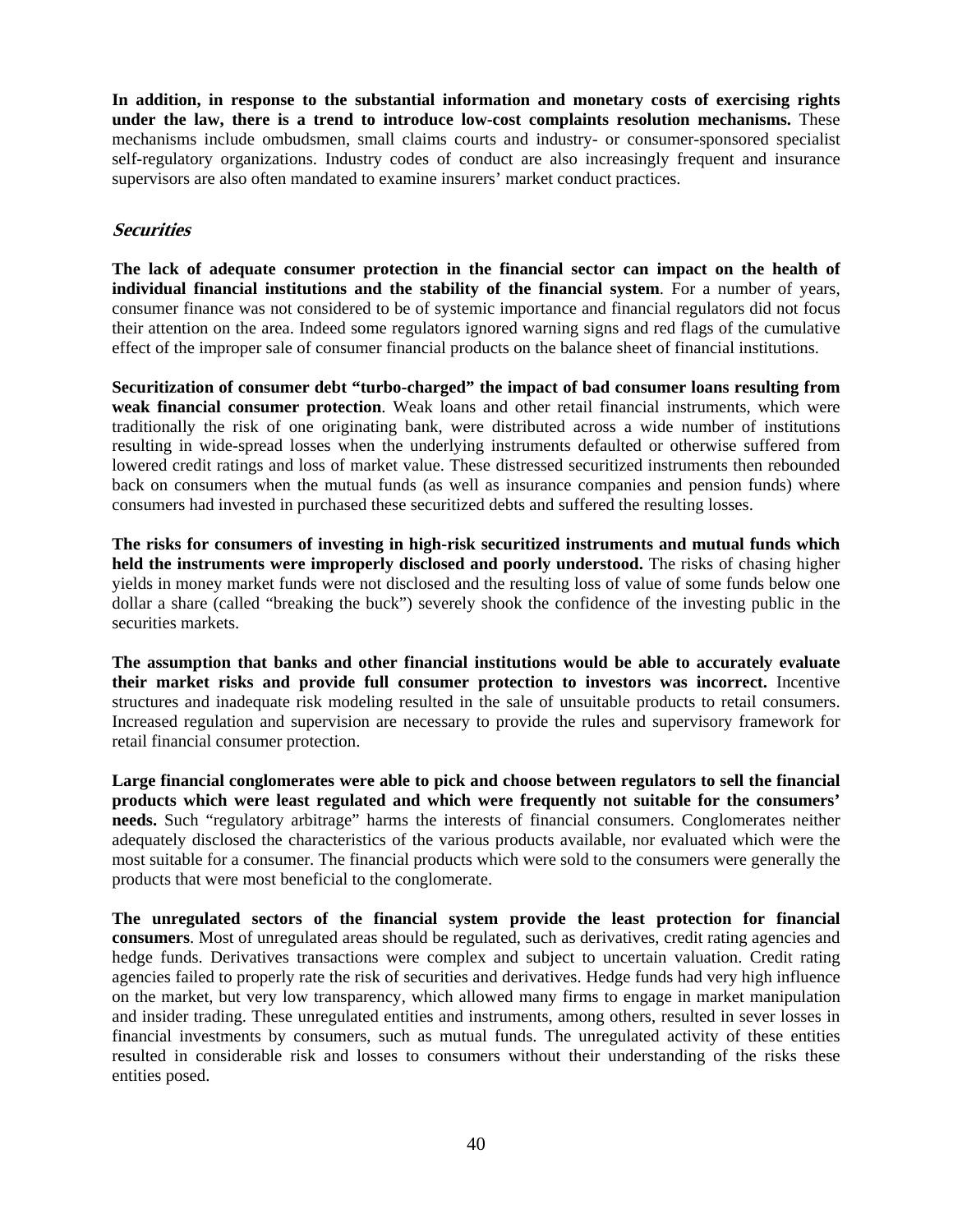**In addition, in response to the substantial information and monetary costs of exercising rights under the law, there is a trend to introduce low-cost complaints resolution mechanisms.** These mechanisms include ombudsmen, small claims courts and industry- or consumer-sponsored specialist self-regulatory organizations. Industry codes of conduct are also increasingly frequent and insurance supervisors are also often mandated to examine insurers' market conduct practices.

# **Securities**

**The lack of adequate consumer protection in the financial sector can impact on the health of individual financial institutions and the stability of the financial system**. For a number of years, consumer finance was not considered to be of systemic importance and financial regulators did not focus their attention on the area. Indeed some regulators ignored warning signs and red flags of the cumulative effect of the improper sale of consumer financial products on the balance sheet of financial institutions.

**Securitization of consumer debt "turbo-charged" the impact of bad consumer loans resulting from weak financial consumer protection**. Weak loans and other retail financial instruments, which were traditionally the risk of one originating bank, were distributed across a wide number of institutions resulting in wide-spread losses when the underlying instruments defaulted or otherwise suffered from lowered credit ratings and loss of market value. These distressed securitized instruments then rebounded back on consumers when the mutual funds (as well as insurance companies and pension funds) where consumers had invested in purchased these securitized debts and suffered the resulting losses.

**The risks for consumers of investing in high-risk securitized instruments and mutual funds which held the instruments were improperly disclosed and poorly understood.** The risks of chasing higher yields in money market funds were not disclosed and the resulting loss of value of some funds below one dollar a share (called "breaking the buck") severely shook the confidence of the investing public in the securities markets.

**The assumption that banks and other financial institutions would be able to accurately evaluate their market risks and provide full consumer protection to investors was incorrect.** Incentive structures and inadequate risk modeling resulted in the sale of unsuitable products to retail consumers. Increased regulation and supervision are necessary to provide the rules and supervisory framework for retail financial consumer protection.

**Large financial conglomerates were able to pick and choose between regulators to sell the financial products which were least regulated and which were frequently not suitable for the consumers' needs.** Such "regulatory arbitrage" harms the interests of financial consumers. Conglomerates neither adequately disclosed the characteristics of the various products available, nor evaluated which were the most suitable for a consumer. The financial products which were sold to the consumers were generally the products that were most beneficial to the conglomerate.

**The unregulated sectors of the financial system provide the least protection for financial consumers**. Most of unregulated areas should be regulated, such as derivatives, credit rating agencies and hedge funds. Derivatives transactions were complex and subject to uncertain valuation. Credit rating agencies failed to properly rate the risk of securities and derivatives. Hedge funds had very high influence on the market, but very low transparency, which allowed many firms to engage in market manipulation and insider trading. These unregulated entities and instruments, among others, resulted in sever losses in financial investments by consumers, such as mutual funds. The unregulated activity of these entities resulted in considerable risk and losses to consumers without their understanding of the risks these entities posed.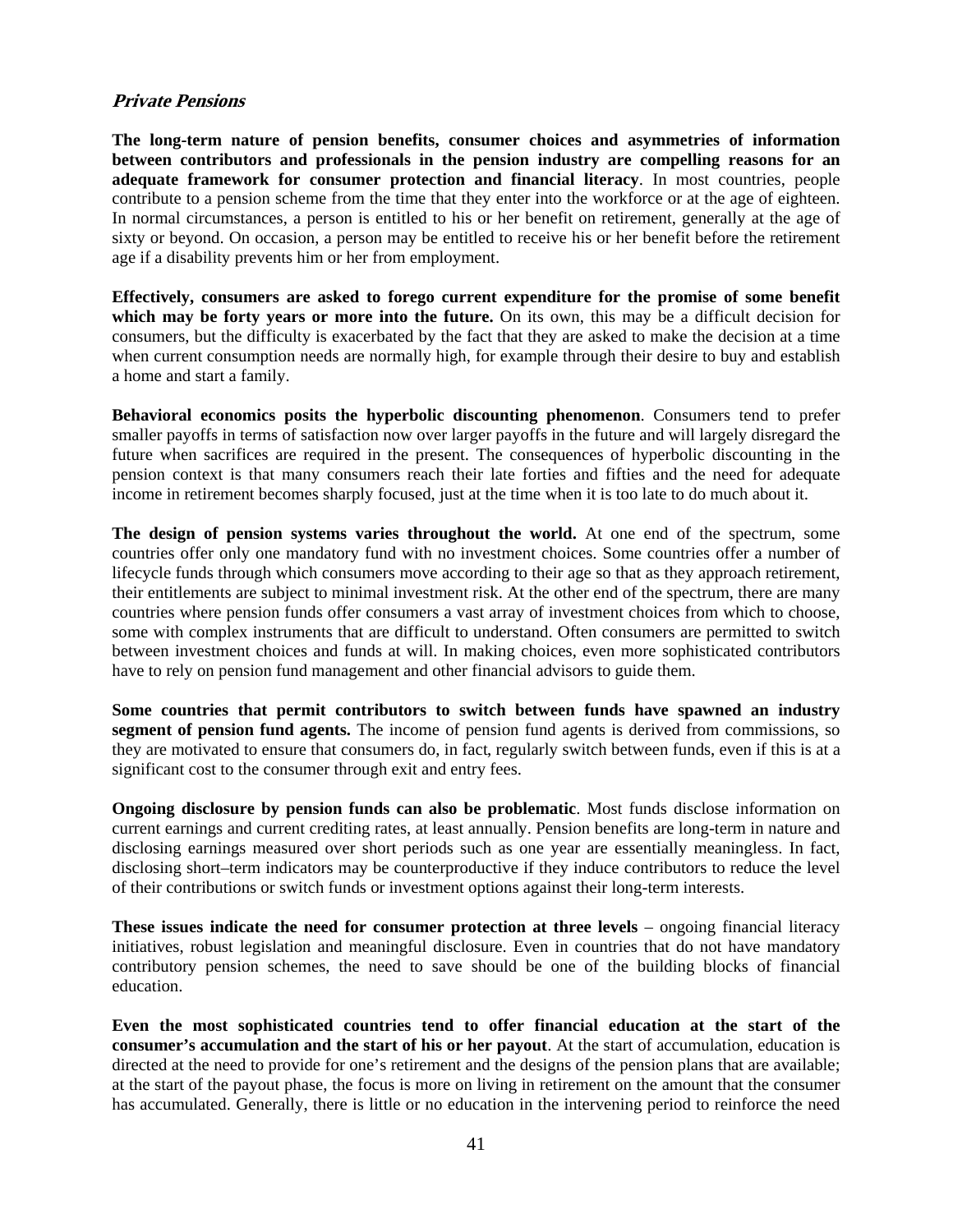#### **Private Pensions**

**The long-term nature of pension benefits, consumer choices and asymmetries of information between contributors and professionals in the pension industry are compelling reasons for an adequate framework for consumer protection and financial literacy**. In most countries, people contribute to a pension scheme from the time that they enter into the workforce or at the age of eighteen. In normal circumstances, a person is entitled to his or her benefit on retirement, generally at the age of sixty or beyond. On occasion, a person may be entitled to receive his or her benefit before the retirement age if a disability prevents him or her from employment.

**Effectively, consumers are asked to forego current expenditure for the promise of some benefit**  which may be forty years or more into the future. On its own, this may be a difficult decision for consumers, but the difficulty is exacerbated by the fact that they are asked to make the decision at a time when current consumption needs are normally high, for example through their desire to buy and establish a home and start a family.

**Behavioral economics posits the hyperbolic discounting phenomenon**. Consumers tend to prefer smaller payoffs in terms of satisfaction now over larger payoffs in the future and will largely disregard the future when sacrifices are required in the present. The consequences of hyperbolic discounting in the pension context is that many consumers reach their late forties and fifties and the need for adequate income in retirement becomes sharply focused, just at the time when it is too late to do much about it.

**The design of pension systems varies throughout the world.** At one end of the spectrum, some countries offer only one mandatory fund with no investment choices. Some countries offer a number of lifecycle funds through which consumers move according to their age so that as they approach retirement, their entitlements are subject to minimal investment risk. At the other end of the spectrum, there are many countries where pension funds offer consumers a vast array of investment choices from which to choose, some with complex instruments that are difficult to understand. Often consumers are permitted to switch between investment choices and funds at will. In making choices, even more sophisticated contributors have to rely on pension fund management and other financial advisors to guide them.

**Some countries that permit contributors to switch between funds have spawned an industry segment of pension fund agents.** The income of pension fund agents is derived from commissions, so they are motivated to ensure that consumers do, in fact, regularly switch between funds, even if this is at a significant cost to the consumer through exit and entry fees.

**Ongoing disclosure by pension funds can also be problematic**. Most funds disclose information on current earnings and current crediting rates, at least annually. Pension benefits are long-term in nature and disclosing earnings measured over short periods such as one year are essentially meaningless. In fact, disclosing short–term indicators may be counterproductive if they induce contributors to reduce the level of their contributions or switch funds or investment options against their long-term interests.

**These issues indicate the need for consumer protection at three levels** – ongoing financial literacy initiatives, robust legislation and meaningful disclosure. Even in countries that do not have mandatory contributory pension schemes, the need to save should be one of the building blocks of financial education.

**Even the most sophisticated countries tend to offer financial education at the start of the consumer's accumulation and the start of his or her payout**. At the start of accumulation, education is directed at the need to provide for one's retirement and the designs of the pension plans that are available; at the start of the payout phase, the focus is more on living in retirement on the amount that the consumer has accumulated. Generally, there is little or no education in the intervening period to reinforce the need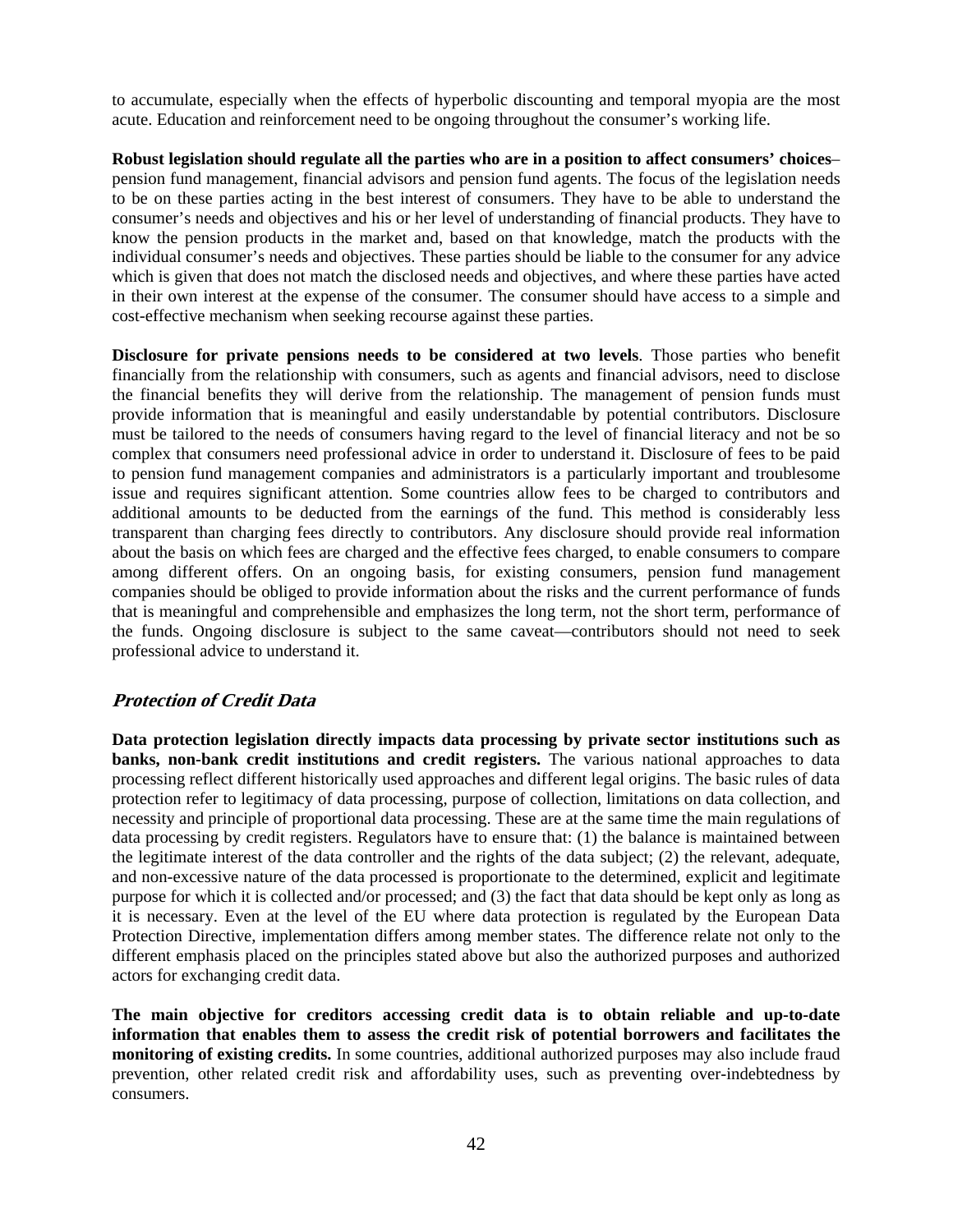to accumulate, especially when the effects of hyperbolic discounting and temporal myopia are the most acute. Education and reinforcement need to be ongoing throughout the consumer's working life.

**Robust legislation should regulate all the parties who are in a position to affect consumers' choices**– pension fund management, financial advisors and pension fund agents. The focus of the legislation needs to be on these parties acting in the best interest of consumers. They have to be able to understand the consumer's needs and objectives and his or her level of understanding of financial products. They have to know the pension products in the market and, based on that knowledge, match the products with the individual consumer's needs and objectives. These parties should be liable to the consumer for any advice which is given that does not match the disclosed needs and objectives, and where these parties have acted in their own interest at the expense of the consumer. The consumer should have access to a simple and cost-effective mechanism when seeking recourse against these parties.

**Disclosure for private pensions needs to be considered at two levels**. Those parties who benefit financially from the relationship with consumers, such as agents and financial advisors, need to disclose the financial benefits they will derive from the relationship. The management of pension funds must provide information that is meaningful and easily understandable by potential contributors. Disclosure must be tailored to the needs of consumers having regard to the level of financial literacy and not be so complex that consumers need professional advice in order to understand it. Disclosure of fees to be paid to pension fund management companies and administrators is a particularly important and troublesome issue and requires significant attention. Some countries allow fees to be charged to contributors and additional amounts to be deducted from the earnings of the fund. This method is considerably less transparent than charging fees directly to contributors. Any disclosure should provide real information about the basis on which fees are charged and the effective fees charged, to enable consumers to compare among different offers. On an ongoing basis, for existing consumers, pension fund management companies should be obliged to provide information about the risks and the current performance of funds that is meaningful and comprehensible and emphasizes the long term, not the short term, performance of the funds. Ongoing disclosure is subject to the same caveat—contributors should not need to seek professional advice to understand it.

# **Protection of Credit Data**

**Data protection legislation directly impacts data processing by private sector institutions such as banks, non-bank credit institutions and credit registers.** The various national approaches to data processing reflect different historically used approaches and different legal origins. The basic rules of data protection refer to legitimacy of data processing, purpose of collection, limitations on data collection, and necessity and principle of proportional data processing. These are at the same time the main regulations of data processing by credit registers. Regulators have to ensure that: (1) the balance is maintained between the legitimate interest of the data controller and the rights of the data subject; (2) the relevant, adequate, and non-excessive nature of the data processed is proportionate to the determined, explicit and legitimate purpose for which it is collected and/or processed; and (3) the fact that data should be kept only as long as it is necessary. Even at the level of the EU where data protection is regulated by the European Data Protection Directive, implementation differs among member states. The difference relate not only to the different emphasis placed on the principles stated above but also the authorized purposes and authorized actors for exchanging credit data.

**The main objective for creditors accessing credit data is to obtain reliable and up-to-date information that enables them to assess the credit risk of potential borrowers and facilitates the monitoring of existing credits.** In some countries, additional authorized purposes may also include fraud prevention, other related credit risk and affordability uses, such as preventing over-indebtedness by consumers.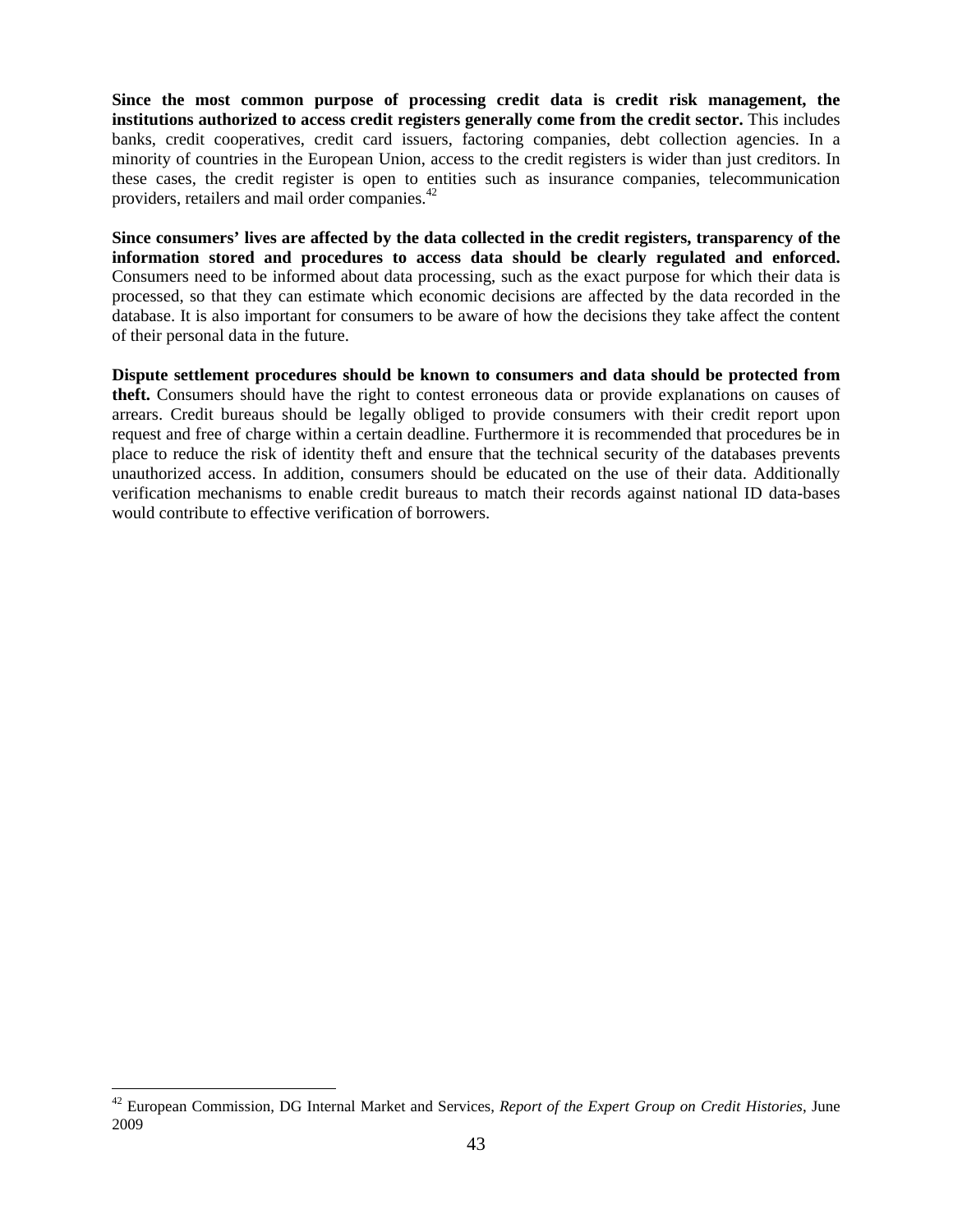**Since the most common purpose of processing credit data is credit risk management, the institutions authorized to access credit registers generally come from the credit sector.** This includes banks, credit cooperatives, credit card issuers, factoring companies, debt collection agencies. In a minority of countries in the European Union, access to the credit registers is wider than just creditors. In these cases, the credit register is open to entities such as insurance companies, telecommunication providers, retailers and mail order companies.<sup>42</sup>

**Since consumers' lives are affected by the data collected in the credit registers, transparency of the information stored and procedures to access data should be clearly regulated and enforced.**  Consumers need to be informed about data processing, such as the exact purpose for which their data is processed, so that they can estimate which economic decisions are affected by the data recorded in the database. It is also important for consumers to be aware of how the decisions they take affect the content of their personal data in the future.

**Dispute settlement procedures should be known to consumers and data should be protected from theft.** Consumers should have the right to contest erroneous data or provide explanations on causes of arrears. Credit bureaus should be legally obliged to provide consumers with their credit report upon request and free of charge within a certain deadline. Furthermore it is recommended that procedures be in place to reduce the risk of identity theft and ensure that the technical security of the databases prevents unauthorized access. In addition, consumers should be educated on the use of their data. Additionally verification mechanisms to enable credit bureaus to match their records against national ID data-bases would contribute to effective verification of borrowers.

<sup>42</sup> European Commission, DG Internal Market and Services, *Report of the Expert Group on Credit Histories*, June 2009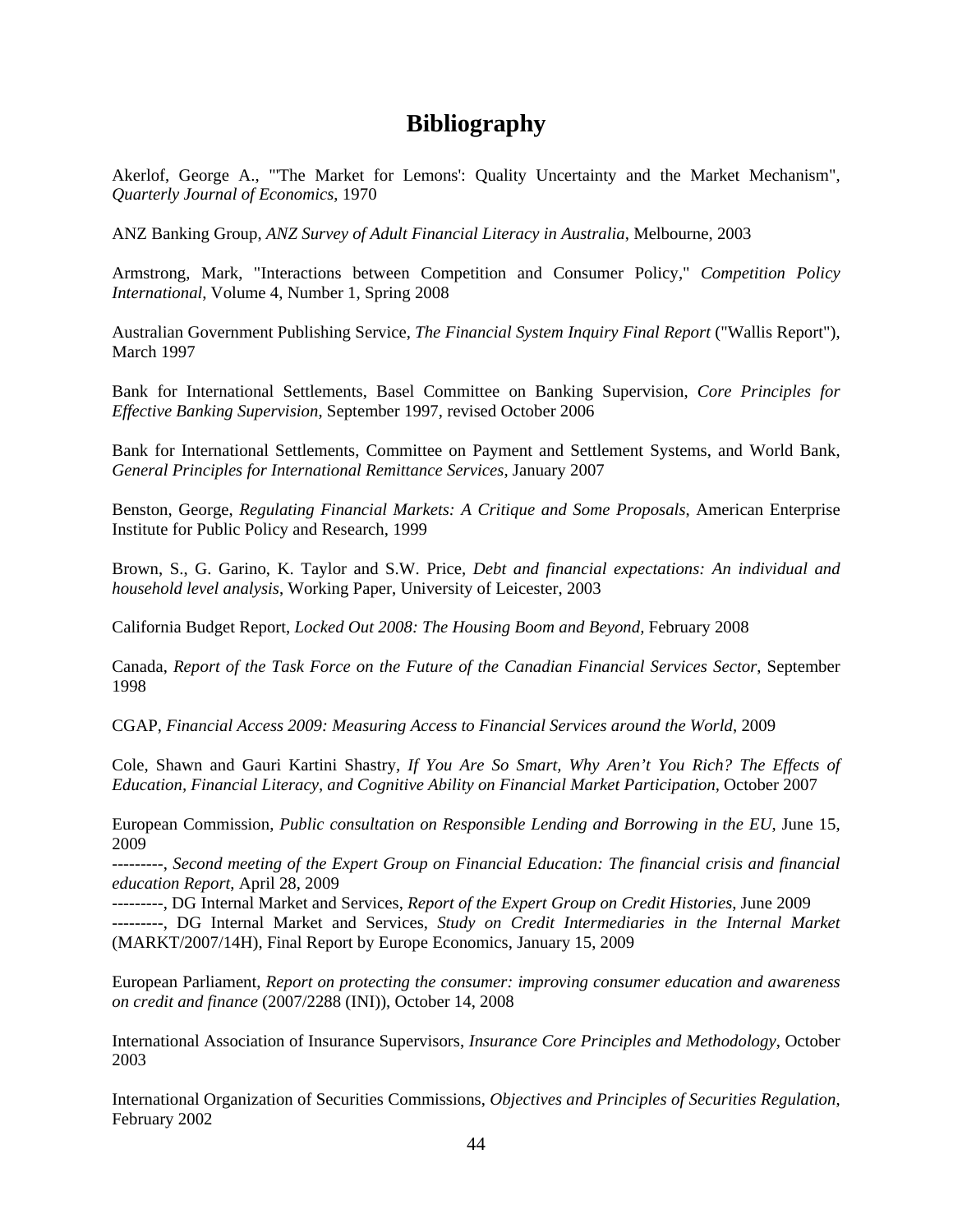# **Bibliography**

Akerlof, George A., "'The Market for Lemons': Quality Uncertainty and the Market Mechanism", *Quarterly Journal of Economics*, 1970

ANZ Banking Group, *ANZ Survey of Adult Financial Literacy in Australia*, Melbourne, 2003

Armstrong, Mark, "Interactions between Competition and Consumer Policy," *Competition Policy International*, Volume 4, Number 1, Spring 2008

Australian Government Publishing Service, *The Financial System Inquiry Final Report* ("Wallis Report"), March 1997

Bank for International Settlements, Basel Committee on Banking Supervision, *Core Principles for Effective Banking Supervision*, September 1997, revised October 2006

Bank for International Settlements, Committee on Payment and Settlement Systems, and World Bank, *General Principles for International Remittance Services*, January 2007

Benston, George, *Regulating Financial Markets: A Critique and Some Proposals*, American Enterprise Institute for Public Policy and Research, 1999

Brown, S., G. Garino, K. Taylor and S.W. Price, *Debt and financial expectations: An individual and household level analysis*, Working Paper, University of Leicester, 2003

California Budget Report, *Locked Out 2008: The Housing Boom and Beyond,* February 2008

Canada, *Report of the Task Force on the Future of the Canadian Financial Services Sector*, September 1998

CGAP, *Financial Access 2009: Measuring Access to Financial Services around the World*, 2009

Cole, Shawn and Gauri Kartini Shastry, *If You Are So Smart, Why Aren't You Rich? The Effects of Education, Financial Literacy, and Cognitive Ability on Financial Market Participation,* October 2007

European Commission, *Public consultation on Responsible Lending and Borrowing in the EU*, June 15, 2009

---------, *Second meeting of the Expert Group on Financial Education: The financial crisis and financial education Report*, April 28, 2009

---------, DG Internal Market and Services, *Report of the Expert Group on Credit Histories*, June 2009 ---------, DG Internal Market and Services, *Study on Credit Intermediaries in the Internal Market* (MARKT/2007/14H), Final Report by Europe Economics, January 15, 2009

European Parliament, *Report on protecting the consumer: improving consumer education and awareness on credit and finance* (2007/2288 (INI)), October 14, 2008

International Association of Insurance Supervisors, *Insurance Core Principles and Methodology*, October 2003

International Organization of Securities Commissions, *Objectives and Principles of Securities Regulation*, February 2002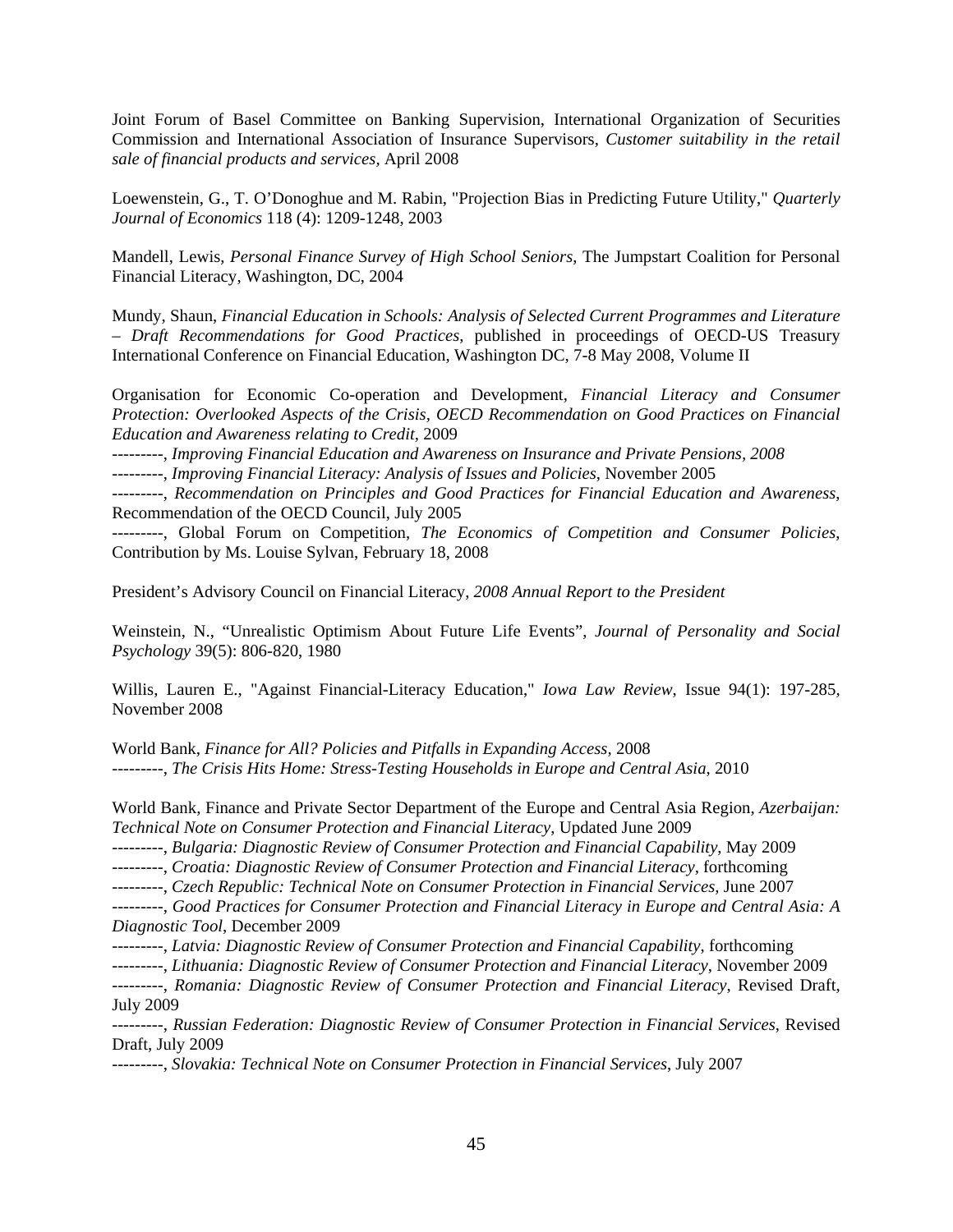Joint Forum of Basel Committee on Banking Supervision, International Organization of Securities Commission and International Association of Insurance Supervisors, *Customer suitability in the retail sale of financial products and services,* April 2008

Loewenstein, G., T. O'Donoghue and M. Rabin, "Projection Bias in Predicting Future Utility," *Quarterly Journal of Economics* 118 (4): 1209-1248, 2003

Mandell, Lewis, *Personal Finance Survey of High School Seniors*, The Jumpstart Coalition for Personal Financial Literacy, Washington, DC, 2004

Mundy, Shaun, *Financial Education in Schools: Analysis of Selected Current Programmes and Literature – Draft Recommendations for Good Practices*, published in proceedings of OECD-US Treasury International Conference on Financial Education, Washington DC, 7-8 May 2008, Volume II

Organisation for Economic Co-operation and Development, *Financial Literacy and Consumer Protection: Overlooked Aspects of the Crisis, OECD Recommendation on Good Practices on Financial Education and Awareness relating to Credit,* 2009

---------, *Improving Financial Education and Awareness on Insurance and Private Pensions, 2008* 

---------, *Improving Financial Literacy: Analysis of Issues and Policies*, November 2005

---------, *Recommendation on Principles and Good Practices for Financial Education and Awareness*, Recommendation of the OECD Council, July 2005

---------, Global Forum on Competition, *The Economics of Competition and Consumer Policies*, Contribution by Ms. Louise Sylvan, February 18, 2008

President's Advisory Council on Financial Literacy, *2008 Annual Report to the President* 

Weinstein, N., "Unrealistic Optimism About Future Life Events", *Journal of Personality and Social Psychology* 39(5): 806-820, 1980

Willis, Lauren E., "Against Financial-Literacy Education," *Iowa Law Review*, Issue 94(1): 197-285*,* November 2008

World Bank, *Finance for All? Policies and Pitfalls in Expanding Access,* 2008 ---------, *The Crisis Hits Home: Stress-Testing Households in Europe and Central Asia*, 2010

World Bank, Finance and Private Sector Department of the Europe and Central Asia Region, *Azerbaijan: Technical Note on Consumer Protection and Financial Literacy*, Updated June 2009

---------, *Bulgaria: Diagnostic Review of Consumer Protection and Financial Capability*, May 2009

---------, *Croatia: Diagnostic Review of Consumer Protection and Financial Literacy,* forthcoming

---------, *Czech Republic: Technical Note on Consumer Protection in Financial Services,* June 2007

---------, *Good Practices for Consumer Protection and Financial Literacy in Europe and Central Asia: A Diagnostic Tool*, December 2009

---------, *Latvia: Diagnostic Review of Consumer Protection and Financial Capability*, forthcoming

---------, *Lithuania: Diagnostic Review of Consumer Protection and Financial Literacy*, November 2009 ---------, *Romania: Diagnostic Review of Consumer Protection and Financial Literacy*, Revised Draft, July 2009

---------, *Russian Federation: Diagnostic Review of Consumer Protection in Financial Services*, Revised Draft, July 2009

---------, *Slovakia: Technical Note on Consumer Protection in Financial Services*, July 2007